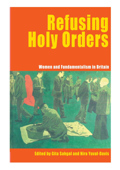# Refusin **Holy Orders**

**Women and Fundamentalism in Britain** 



**Edited by Gita Sahgal and Nira Yuval-Davis**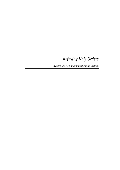## *Refusing Holy Orders*

*Women and Fundamentalism in Britain*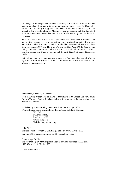Gita Sahgal is an independent filmmaker working in Britain and in India. She has made a number of current affairs programmes on gender issues for Channel 4 Television, including Struggle or Submission ? Women under Islam, on the impact of the Rushdie affair on Muslim women in Britain; and The Provoked Wife, on women who have killed their husbands after enduring years of domestic violence.

Nira Yuval-Davis is a Professor at the University of Greenwich in London. She has written extensively on theoretical and practical aspects of women, nationalism and racism in Israel and in Britain. She has co-edited Women-Nation-State (Macmilan 1989) and The Gulf War and the New World Order (Zed Books 1991), and has co-authored, with F. Anthias, Racialized Boundries: Ethnic, Gender, Colour and Class Divisions and the Anti Racist Struggle (Routledge 1992).

Both editors live in London and are among the Founding Members of Women Against Fundamentalisms (WAF). The Website of WAF is located at: http://www.gn.apc.org/waf

Acknowledgements by Publishers:

Women Living Under Muslim Laws is thankful to Gita Sahgal and Nira Yuval Davis of Women Against Fundamentalisms for granting us the permission to the publish this volume.

Published by Women Living Under Muslim Laws in August 2000 Women Living Under Muslim Laws: International Solidarity Network WLUML, PO. Box 28445, London N19 5ZH, United Kingdom Website: http://wluml.org

Copyrights:

This collection copyright © Gita Sahgal and Nira Yuval Davis - 1992 Copyright © in each contribution held by the author - 1992

Cover Image Credits: The cover image by Mahl is part of a series of 'Four paintings on Algiers', 1975. Copyright © Mahl - 1975

ISBN: 2-912606-01-2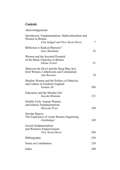### *Contents*

Aknowledgements

| Introducion: Fundamentalism, Multiculturalism and<br>Women in Britain                                  |     |
|--------------------------------------------------------------------------------------------------------|-----|
| Gita Sahgal and Nira Yuval-Davis                                                                       | 7   |
| Biblicism: A Radical Rhetoric?<br>Sara Maitland                                                        | 32  |
| Women and the Inverted Pyramid<br>of the Black Churches in Britain<br>Elaine Foster                    | 51  |
| 'Between the Devil and the Deep Blue Sea':<br>Irish Women, Catholicism and Colonialism<br>Ann Rossiter | 74  |
| Muslim Women and the Politics of Ethnicity<br>and Culture in Northern England<br>Yasmin Ali            | 106 |
| <b>Education and the Muslim Girl</b><br>Saeeda Khanum                                                  | 131 |
| Double Exile: Iranian Women<br>and Islamic Fundamentalism<br>Maryam Poya                               | 148 |
| <b>Secular Spaces:</b><br>The Experience of Asian Women Organizing<br>GitaSahgal                       | 169 |
| Jewish fundamentalism<br>and Women's Empowerment<br>Nira Yuval-Davis                                   | 204 |
| <b>Bibliography</b>                                                                                    | 230 |
| Notes on Contributors                                                                                  | 238 |
| Index                                                                                                  | 240 |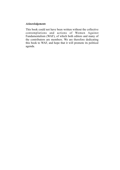#### *Acknowledgements*

This book could not have been written without the collective contemplations and actions of Women Against Fundamentalism (WAF), of which both editors and many of the contributors are members. We are therefore dedicating this book to WAF, and hope that it will promote its political agenda.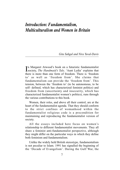## *Introduction: Fundamentalism, Multiculturalism and Women in Britain*

*Gita Sahgal and Nira Yuval-Davis*

In Margaret Atwood's book on a futuristic fundamentalist<br>Isociety, *The Handmaid's Tale*, 'Aunt Lydia' explains that n Margaret Atwood's book on a futuristic fundamentalist there is more than one form of freedom. There is 'freedom to' as well as 'freedom from'. She claims that fundamentalism can provide the 'freedom from'. This tension, between the 'freedom to' (to be autonomous, to be self- defined, which has characterized feminist politics) and freedom from (uncertainty and insecurity, which has characterized fundamentalist women's politics), runs through the various contributions to this book.

Women, their roles, and above all their control, are at the heart of the fundamentalist agenda. That they should conform to the strict confines of womanhood within the fundamentalist religious code is a precondition for maintaining and reproducing the fundamentalist version of society.

All the essays included here focus on women's relationship to different fundamentalist movements. They all share a feminist anti-fundamentalist perspective, although they might differ on the particular ways in which they define both feminism and fundamentalism.

Unlike the widely held British stereotype, fundamentalism is not peculiar to Islam. 1991 has signalled the beginning of the 'Decade of Evangelism'. During the Gulf War, the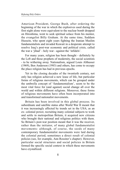American President, George Bush, after ordering the beginning of the war in which the explosives used during the first night alone were equivalent to the nuclear bomb dropped on Hiroshima, went to seek spiritual solace from his mentor, the evangelist Billy Graham. At the same time, Saddam Hussein, who spent eight years fighting the Iranian Muslim fundamentalists and invaded Kuwait in a desperate attempt to resolve Iraq's post-war economic and political crisis, called the war a 'jihad' - holy war - against the 'infidels'.

For many years, religion has been thought - definitely by the Left and those prophets of modernity, the social scientists - to be withering away. Nationalism, argued Louis Althusser (1969), Ben Anderson (1983) and others, has come to occupy the place religion has had in previous epochs.

Yet in the closing decades of the twentieth century, not only has religion achieved a new lease of life, but particular forms of religious movements, which can be grouped under the umbrella concept of 'fundamentalism', seem to be the most vital force for (and against) social change all over the world and within different religions. Moreover, these forms of religious movements have often been incorporated into and transformed nationalist movements.

Britain has been involved in this global process. Its subordinate and satellite status after World War II meant that it was increasingly affected by trends set in the USA; as an ex- colonial power, recruiting many colonial subjects to work and settle in metropolitan Britain, it acquired new citizens who brought their national and religious politics with them. So Britain's post-war position meant that it was the receiver, rather than the initiator, of many global fundamentalist movements- although, of course, the seeds of many contemporary fundamentalist movements were laid during the colonial period, sometimes a direct result of colonial policies (see, for example, Ann Rossiter's chapter). However, particular social structures and social policies in Britain formed the specific social context in which these movements have crystallized.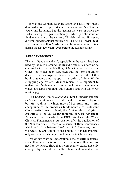It was the Salman Rushdie affair and Muslims' mass demonstrations in protest - not only against *The Satanic Verses* and its author, but also against the ways in which the British state privileges Christianity - which put the issue of fundamentalism at the centre of British politics. However, different fundamentalist movements - Christian, Jewish, Sikh and Hindu, as well as Muslim - have been growing in Britain during the last few years, even before the Rushdie affair.

#### *What is Fundamentalism?*

The term 'fundamentalism', especially in the way it has been used by the media around the Rushdie affair, has become so confused with abusive labelling of Muslims as 'the Barbaric Other' that it has been suggested that the term should be dispensed with altogether. It is clear from the title of this book that we do not support this point of view. While struggling against anti-Muslim racism, it is important to realize that fundamentalism is a much wider phenomenon which cuts across religions and cultures, and with which we must engage.

The *Concise Oxford Dictionary* defines fundamentalism as 'strict maintenance of traditional, orthodox, religious beliefs, such as the inerrancy of Scripture and literal acceptance of the creeds as fundamentals of Protestant Christianity'. And indeed, the first modern religious groupings to be called fundamentalist were American Protestant Churches which, in 1919, established the World Christian Fundamentalist Association after the publication of the 'Fundamentals' - based on a series of Bible conferences which took place between 1865 and 1910. However, just as we reject the application of the notion of 'fundamentalism' only to Islam, we also reject its limitation to Christianity.

We do not want to underestimate the specific historical and cultural constructions of different religions. However, we need to be aware, first, that heterogeneity exists not only among religions but also within them, and secondly, that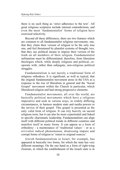there is no such thing as 'strict adherence to the text'. All great religious scriptures include internal contradictions, and even the most 'fundamentalist' forms of religion have exercised selectivity.

Beyond all these differences, there are two features which are common to all fundamentalist religious movements: one, that they claim their version of religion to be the only true one, and feel threatened by pluralist systems of thought; two, that they use political means to impose their version of the truth on all members of their religion. Fundamentalist militantism must be differentiated, therefore, from liberation theologies which, while deeply religious and political, cooperate with, rather than subjugate, non-religious political struggles.

Fundamentalism is not merely a traditional form of religious orthodoxy. It is significant, as well as typical, that the original fundamentalist movement arose in the USA as a response to the rise of liberalism in general and the 'Social Gospel' movement within the Church in particular, which liberalized religion and had strong progressive elements.

Fundamentalist movements, all over the world, are basically political movements which have a religious imperative and seek in various ways, in widely differing circumstances, to harness modern state and media powers to the service of their gospel. This gospel is presented as the only valid form of religion. It can rely heavily on sacred religious texts, but it can also be more experiential and linked to specific charismatic leadership. Fundamentalism can align itself with different political trends in different countries and manifest itself in many forms. It can appear as a form of orthodoxy - a maintenance of 'traditional values' - or as a revivalist radical phenomenon, dismissing impure and corrupt forms of religion to 'return to original sources'.

Jewish fundamentalism in Israel, for example, has appeared in basically two forms, for which the state has very different meanings. On the one hand as a form of right-wing Zionism, in which the establishment of the Israeli state is in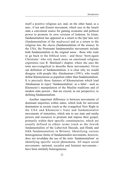itself a positive religious act; and, on the other hand, as a non-, if not anti-Zionist movement, which sees in the Israeli state a convenient source for gaining economic and political power to promote its own versions of Judaism. In Islam, fundamentalism has appeared as a return to the Qur'anic text (fundamentalism of the *madrassa*) and as a return to the religious law, the *sharia* (fundamentalism of the *ulama*). In the USA, the Protestant fundamentalist movements include both fundamentalists in the original sense - those who want to go back to the biblical texts - and those 'born-again Christians' who rely much more on emotional religious experience (see R. Maitland's chapter, where she uses the term neo-evangelical to describe these movements). Given our definition of fundamentalism, it is clear why we would disagree with people like Abrahamian (1991), who would define Khomeiniism as populism rather than fundamentalism. It is precisely those features of Khomeiniism which lead Abrahamian to reject 'fundamentalism' as a label - such as Khomeini's manipulation of the Muslim traditions and of modern state powers - that are crucial, in our perspective, to defining fundamentalism.

Another important difference is between movements of dominant majorities within states, which look for universal domination in society (such as the evangelical New Right in the USA and Khomeini's Iran) and fundamentalist movements of minorities, which aim to use state and media powers and resources to promote and impose their gospel, primarily within their specific constituencies, which are usually defined in ethnic terms (such as the Jewish fundamentalists of the Lubavitch Hassids, and Hindu and Sikh fundamentalists in Britain). Identifying various heterogeneous forms of fundamentalist movements, however, does not invalidate the use of the term 'fundamentalism' as identifying specific social phenomena. All major social movements- national, socialist and feminist movements have been similarly heterogeneous.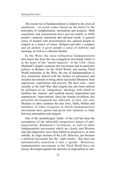The recent rise of fundamentalism is linked to the crisis of modernity - of social orders based on the belief in the principles of enlightenment, rationalism and progress. Both capitalism and communism have proved unable to fulfil people's material, emotional and spiritual needs. A general sense of despair and disorientation has opened people to religion as a source of solace. Religion provides a compass and an anchor; it gives people a sense of stability and meaning, as well as a coherent identity.

In the West, the most influential fundamentalist movement has been the neo-evangelical movement which is at the heart of the 'moral majority' in the USA. (Sara Maitland's chapter examines this movement and its particular politics in Britain.) In the Third World, and among Third World minorities in the West, the rise of fundamentalism is also intimately linked with the failure of nationalist and socialist movements to bring about successful liberation from oppression, exploitation and poverty. We have seen - most recently in the Gulf War- that religion has also been utilized by militants as an 'indigenous' ideology with which to mobilize the 'masses' and confront racism, imperialism and superpowers' interventions. Since the Iranian revolution, this powerful development has affected, in turn, not only Muslims in other countries but also Jews, Sikhs, Hindus and members of other religions in which fundamentalist movements have grown and given new intensity to links between nationalism and religion.

One of the unchallenged 'truths' of the Left has been the assumption of the inherently progressive nature of antiimperialism. Khomeini's revolution, as well as other fundamentalist movements which are clearly anti-Western and anti-imperialist, have been hailed as progressive, at least initially, by large sections of the Left. However, just because a political movement has the 'right enemy', that does not automatically transform it into a 'goody'. Moreover, fundamentalist movements in the Third World have not always developed against the interests of imperialism or neo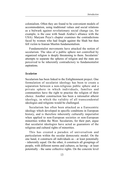colonialism. Often they are found to be convenient models of accommodation, using traditional values and social relations as a bulwark against revolutionary social change (as, for example, is the case with Saudi Arabia's alliance with the USA). Maryam Poya's chapter examines the contradictions faced by women who had fought against the Shah but then fell victim to Iranian Muslim fundamentalism.

Fundamentalist movements have attacked the notion of secularism. The idea of a public sphere not controlled by organized religion is deeply threatening to them. Secularists' attempts to separate the spheres of religion and the state are perceived to be inherently contradictory to fundamentalist aspirations.

#### *Secularism*

Secularism has been linked to the Enlightenment project. One formulation of secularist ideology has been to create a separation between a non-religious public sphere and a private sphere in which individuals, families and communities have the right to practise the religion of their choice. Another construction has been a rationalist atheist ideology, in which the validity of all transcendental ideologies and religions would be challenged.

Secularism has often been attacked as a Eurocentric ideology which developed in specific conditions in European history, and is therefore inherently culturally imperialist when applied to non-European societies or non-European minorities within the West. Secularists, for their part, argue that secularist ideologies have acted as guarantors of the religious and cultural rights of minorities.

This has created a paradox of universalism and particularism within the secular democratic model. On the one hand, it constructs all individuals as - at least potentially - inherently equal. On the other, it constructs all groupings of people, with different norms and cultures, as having - at least potentially - the same collective rights. On the concrete level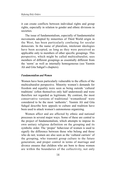it can create conflicts between individual rights and group rights, especially in relation to gender and ethnic divisions in societies.

The issue of fundamentalism, especially of fundamentalist movements adopted by minorities of Third World origin in the West, has been particularly confusing for secular democrats. In the name of pluralism, intolerant ideologies have been accepted, as long as they were perceived as applicable only to members of other specific groupings. This perspective, which might be called multiculturalist, sees members of different groupings as essentially different from the 'norm' as well as internally homogeneous (see Yasmin Ali and Gita Sahgal's chapters).

#### *Fundamentalism and Women*

Women have been particularly vulnerable to the effects of the multiculturalist perspective. Minority women's demands for freedom and equality were seen as being outside 'cultural traditions' (often themselves only half understood) and were therefore not regarded as legitimate. By contrast, the most conservative versions of traditional 'womanhood' were considered to be the most 'authentic'. Yasmin Ali and Gita Sahgal describe how appeals to culture and tradition have been used to attack women's autonomous organizing.

Women affect and are affected by ethnic and national processes in several major ways. Some of these are central to the project of fundamentalism, which attempts to impose its own unitary religious definition on the grouping and its symbolic order. The 'proper' behaviour of women is used to signify the difference between those who belong and those who do not; women are also seen as the 'cultural carriers' of the grouping, who transmit group culture to the future generation; and proper control in terms of marriage and divorce ensures that children who are born to those women are within the boundaries of the collectivity, not only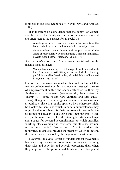biologically but also symbolically (Yuval-Davis and Anthias, 1989).

It is therefore no coincidence that the control of women and the patriarchal family are central to fundamentalism, and are often seen as the panacea for all social ills:

> A widespread evangelical conviction is that stability in the home is the key to the resolution of other social problems.

> Once wanderers came 'home' and the poor acquired the sense of responsibility found in strong Christian familiarity, poverty would cease. (Marsden, 1980, p. 37)

And women's desertion of their proper social role might mean a social disaster:

> Woman has such a degree of biological disability and such hue family responsibilities, as to preclude her leaving purdah in a well ordered society. (Pundah Mandrudi, quoted in Hyman, 1985, p. 24)

One of the paradoxes discussed in this book is the fact that women collude, seek comfort, and even at times gain a sense of empowerment within the spaces allocated to them by fundamentalist movements (see especially the chapters by Yasmin Ali, Elaine Foster, Sara Maitland and Nira Yuval-Davis). Being active in a religious movement allows women a legitimate place in a public sphere which otherwise might be blocked to them, and which in certain circumstances they might be able to subvert for their purposes - for example, the relationship between young girls and their parents. It can also, at the same time, be less threatening but still a challenge and a space for personal accomplishment to which unskilled working-class women and frustrated middle-class women might be attracted. For women of racial and ethnic minorities, it can also provide the mean by which to defend themselves as well as to defy the hegemonic racist culture.

However, the overall effect of fundamentalist movements has been very detrimental to women, limiting and defining their roles and activities and actively oppressing them when they step out of the preordained limits of their designated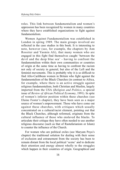roles. This link between fundamentalism and women's oppression has been recognized by women in many countries where they have established organizations to fight against fundamentalism.

Women Against Fundamentalism was established in London in spring 1989. The main groups involved are reflected in the case studies in this book. It is interesting to note, however (see, for example, the chapters by Ann Rossiter and Yasmin Ali), that many women who are engaged in this fight find themselves caught 'between the devil and the deep blue sea' - having to confront the fundamentalism within their own communities or countries of origin at the same time as having to confront the racism not only of society in general, but also of the Left and the feminist movements. This is probably why it is so difficult to find Afro-Caribbean women in Britain who fight against the fundamentalism of the Black Churches (in contrast to Africa, for example, where there is an active struggle against religious fundamentalism, both Christian and Muslim, largely imported from the USA (*Religion and Politics*, a special issue of *Review of African Political Economy*, 1991). In spite of women's inferior position within these churches (see Elaine Foster's chapter), they have been seen as a major source of women's empowerment. Those who have come out against these churches, with critiques which usually concentrated on a cultural/racist element, pointing out that the Black Churches, although reformed, originate from the cultural influence of those who enslaved the blacks. To articulate their critique they have often needed to use another religious discourse (such as that of Rastafarianism or Islam) to counter the influence of the Church.

For women who are political exiles (see Maryam Poya's chapter) the traditional solution for dealing with their sense of exclusion and estranement from the society has been to remain distant from the local political 'scene' and to dedicate their attention and energy almost wholly to the struggles which happen in their countries of origin. Geographical and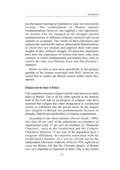psychological/ideological boundaries need not necessarily overlap. The establishment of Women Against Fundamentalism, however, has supplied a rare opportunity for women who are engaged in the struggle against fundamentalism in different religious, political and social contexts to co-operate. The variety of their experiences and analysis has enriched the narrow ethnocentrist British politics in which they are situated and supplied them with some insights in their political struggle. Of particular importance have been the experiences of women who have come from countries in which fundamentalist movements have come to control the state (see Maryam Poya and Ann Rossiter's chapters).

Before we turn to look more specifically at the political agendas of the women associated with WAF, however, we would like to explore the British context within which they operate.

#### *Religion and the State in Britain*

Full separation between religion and the state has never taken place in Britain. This is all too often ignored in the analysis both of the Left and of sociologists of religion, who have assumed that religion has either disappeared in secularized society or withdrawn into the private arena. So the enquiry into religion in Britain has predominantly focused on attitudes, beliefs and membership of religious organizations.

According to the latest statistics (*Social Trends*, 1989), less than 20 per cent of the population are members of organizations (only 15 per cent are members of 'Trinitarian Churches', such as the Established and the Catholic Churches). However, 75 per cent of the population have a religious affiliation, the majority associated with the Established Churches. In a survey carried out by the Independent Television Authority (ITA) in 1970, eight out of every ten Britons felt that the Christian identity of Britain was very important or important to them. This is the context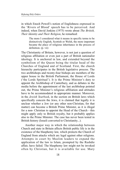in which Enoch Powell's notion of Englishness expressed in the 'Rivers of Blood' speech has to be perceived. And indeed, when David Jenkins (1975) wrote about *The British, Their Identity and Their Religion*, he remarked:

> The more I considered what it means in specific terms to be distinctively English, Scottish or Welsh, the more important became the place of religious inheritance in the process of definition. (p. vii)

The Christianity of Britain, however, is not just a question of religious affiliation or even just a part of British nationalist ideology. It is anchored in law, and extended beyond the symbolism of the Queen being the titular head of the Churches of England and of Scotland. First, the church hierarchy participates in the British legislative process. The two archbishops and twenty-four bishops are members of the upper house in the British Parliament, the House of Lords ('the Lords Spiritual'). It is the Prime Minister's duty to appoint the Archbishop of Canterbury, and as debates in the media before the appointment of the last archbishop pointed out, the Prime Minister's religious affiliation and attitudes have to be accommodated in appropriate manner. Moreover, in the *Jewish Yearbook*, in the section on British laws which specifically concern the Jews, it is claimed that legally it is unclear whether a Jew (or any other non-Christian, for that matter) can become a British Prime Minister, as it is illegal for a non- Christian to appoint the Head of the Church - this might apply only to British royalty, but it probably applies also to the Prime Minister. The case has never been tested in British history (Israeli converted to Christianity...).

Another major way in which the relationship between Church and state in Britain affects British public life is in the existence of the blasphemy law, which protects the Church of England from attacks which arc legal against other religions. Attempts in court by Muslim leaders to expand the application of the law to Islam, prompted by the Rushdie affair, have failed. The blasphemy law might not be invoked often by Christian, but it is available for use. Mary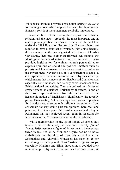Whitehouse brought a private prosecution against *Gay News* for printing a poem which implied that Jesus had homosexual fantasies, so it is of more than mere symbolic importance.

Another facet of the incomplete separation between religion and the state - probably the most important one in contemporary political debates in Britain - is the fact that under the 1988 Education Reform Act all state schools are required to have a daily act of worship. (Not coincidentally, this amendment in the law originated in the House of Lords.) Christianity, therefore, is given an affirmed legal status as the ideological cement of national culture. As such, it also provides legitimation for eminent church personalities to express opinions on social and political matters such as poverty and homelessness which cause great discomfort to the government. Nevertheless, this construction assumes a correspondence between national and religious identity, which means that members of non-Established Churches, and especially non-Christians, can be only partial members of the British national collectivity. They are defined, to a lesser or greater extent, as outsiders. Christianity, therefore, is one of the most important bases for inherent racism in the hegemonic notion of Englishness. Significantly, the recently passed Broadcasting Act, which lays down codes of practice for broadcasters, exempts only religious programmes from censorship for expressing partisan opinions. Sara Maitland points out that it is a powerful Christian evangelical lobby in Parliament that has achieved recent gains in asserting the importance of the Christian character of the British state.

While membership in the Established Churches has tended to fall continuously, at least until recently (*Social Trends*, 1989 mentions a figure of 14 per cent in the previous three years, but since then the figure seems to have stabilized) membership of minority churches (like Spiritualists and Jehovah's Witnesses) has risen by 26 per cent during the same period. Non-Christian religious groups, especially Muslims and Sikhs, have almost doubled their membership. Religious affiliation has therefore come, in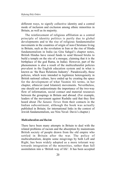different ways, to signify collective identity and a central mode of inclusion and exclusion among ethnic minorities in Britain, as well as its majority.

The reinforcement of religious affiliation as a central principle of identity politics is partly due to global developments and to the rise of religious fundamentalist movements in the countries of origin of non-Christians living in Britain, such as the revolution in Iran or the rise of Hindu fundamentalism in India (as Gita Sahgal's chapter notes, British Hindus have raised funds to send blessed bricks to build a temple on the site of a mosque, claiming that it is the birthplace of the god Rama, in India). However, part of the phenomenon is also a result of the multiculturalist policies prevalent in the English education system and in what is known as 'the Race Relations Industry'. Paradoxically, these policies, which were intended to legitimize heterogeneity in British national culture, have ended up by creating the space for the development of what Yasmin Ali terms, in her chapter, ethnicist (and Islamist) movements. Nevertheless, one should not underestimate the importance of the two-way flow of information, social contact and material resources between the groupings in Britain and abroad. (For example, leaders of the movement against Rushdie said that they first heard about *The Satanic Verses* from their contacts in the Indian subcontinent, although the book was actually published in Britain; for international links in the context of Jewish fundamentalism, see Nira Yuval- Davis's chapter.)

#### *Multiculturalism and Racism*

There have been many attempts in Britain to deal with the related problems of racism and the absorption by mainstream British society of people drawn from the old empire who settled in Britain after the war. The policy of multiculturalism, despite some misgivings by both Left and Right, has been widely adopted as a more tolerant way towards integration of the minorities, rather than full assimilation into a 'British way of life'. It has been accepted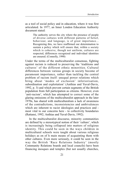as a tool of social policy and in education, where it was first articulated. In 1977, an Inner London Education Authority document stated:

> The authority serves the city where the presence of people of diverse cultures with different patterns of belief, behaviour, and language, is of great importance... Recognizing this, we have reaffirmed our determination to sustain a policy which will ensure that, within a society which is cohesive, though not uniform, cultures are respected, differences recognized and individual identities are ensured. (Connolly, 1990)

Under the terms of the multiculturalist consensus, fighting against racism is reduced to preserving the 'traditions and cultures' of the different ethnic minorities. Cultural differences between various groups in society become of paramount importance, rather than tackling the central problem of racism itself: unequal power relations which bring about 'modes of exclusion' inferiorisation, subordination and exploitation' (Anthias and Yuval-Davis, 1992, p. 3) and which prevent certain segments of the British population from full participation as citizens. However, even 'anti-racism', which has attempted to correct some of the glaring omissions of the multiculturalist approach in the later 1970s, has shared with multiculturalism a lack of awareness of the contradictions, inconsistencies and ambivalences which are inherent to racist ideologies and practices and most vital to our concerns here - to collectivity boundaries (Rattansi, 1992; Anthias and Yuval-Davis, 1992).

In the multiculturalist discourse, minority communities are defined by a stereotypical notion of their 'culture', which is increasingly being collapsed into matters of religious identity. This could be seen in the ways children in multicultural schools were taught about various religious holidays as on of h main means of acquainting them with other cultures. Even more seriously, it could be seen in the way the British 'Race Relations Industry' (mostly Community Relations boards and local councils) have been financing mosques and temples (but not usually churches,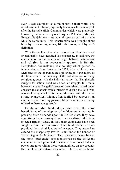even Black churches) as a major part o their work. The racialization of religion, especially Islam, reached a new peak after the Rushdie affair. Communities which were previously known by national or regional origin - Pakistani, Mirpuri, Bengali, Punjabi, etc. - are now all seen as part of a single Muslim community. This construction was brought about both by external agencies, like the press, and by selfdefinition.

With the decline of secular nationalism, identities based on nationality have acquired less resonance. In addition, the contradiction in the country of origin between nationalism and religion is not necessarily apparent in Britain. Bangladesh, for instance, is a country which gained its independence from Pakistan in 1971, after a bloody war. Memories of the liberation are still strong in Bangladesh, as the bitterness of the memory of the collaboration of many religious groups with the Pakistani army; the Bangladeshi struggle for nation- hood was a secular struggle. In Britain, however, young Bengalis' sense of themselves, honed under constant racist attack which intensified during the Gulf War, is one of being attacked for being Muslims. With the rise of strong evangelical Islam, often fuelled by converts, an available and more aggressive Muslim identity is being offered to these young people.

Fundamentalist leaderships have been the main beneficiaries of the adoption of multiculturalist norms. In pressing their demands upon the British state, they have sometimes been portrayed as 'medievalists' who have rejected British values. In fact, their campaigns have been fought within the framework of multiculturalism - it has provided their chief ideological weapon. They argued to extend the blasphemy law to Islam under the banner of 'Equal Rights for Muslims'. They presented themselves as the most 'authentic' representatives of the different communities and prevented 'outsiders' from taking sides in power struggles within those communities, on the grounds that such intervention was racist. On the other hand,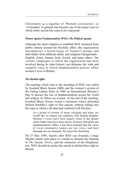Christianity as a signifier of 'Western civilization', or 'civilization' in general, has become one of the major ways in which white racism has come to be expressed.

#### *Women Against Fundamentalism (WAF): The Political Agenda*

Although the direct impulse to establish WAF stemmed from public debate around the Rushdie affair, the organization encompasses a broad range of women's groups and individuals from different ethnic and religious backgrounds - English, Asian, Iranian, Irish, Jewish, and many others. The various campaigns in which the organization has been involved during its short history can delineate the wide and complex ways in which fundamentalist politics affect women's lives in Britain.

#### *The Rushdie affair*

The meeting which lead to the founding of WAF was called by Southall Black Sisters (SBS) and the women's section of the Ealing Labour Party in 1989 on International Women's Day to discuss the rise of fundamentalism across the world and analyse its effects on women. At the end of the meeting, Southall Black Sisters issued a statement which defended Salman Rushdie's right to free speech, without falling into the traps to which a divided and confused Left fell prey:

> As a group of women of many religions and none, we would like to express our solidarity with Salman Rushdie. Women's voices have been largely silent in the debate where battle lines have been drawn- between liberalism and fundamentalism. Often, it has been assumed that the views of vocal community leaders are our views, and their demands are our demands. We reject this absolutely.

On 27 May 1989, shortly after WAF was founded, a huge Muslim march took place in London to demand the banning of *The Satanic Verses*, and the extension of the blasphemy law. WAF decided to picket the march to defend their right to dissent.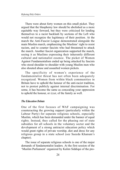There were about forty women on this small picket. They argued that the blasphemy law should be abolished as a more equitable way forward, but they were criticized for lending themselves to a racist backlash by sections of the Left who would not recognize the legitimacy of their position. At the march the Anti-Fascist League demonstrated alongside the main Muslim march, emphasizing the Muslims' right to resist racism, and to counter fascists who had threatened to attack the march. Another fascist organization supported the march, seeing it as Muslims expressing their inherently different cultural and nationalist essence. The picket of Women Against Fundamentalism ended up being attacked by fascists who stood shoulder to shoulder with young Muslim men who also shouted abuse and assaulted women pickets.

The specificity of women's experience of the fundamentalist threat has not often been adequately recognized. Women from within black communities in Britain have to uphold the honour of the anti-racist tradition, not to protest publicly against internal discrimination. For some, it has become the same as concealing your oppression to uphold the honour, or *izzat*, of the family as well.

#### *The Education Debate*

One of the first focuses of WAF campaigning was counteracting the growing support (particularly within the Labour Party) for separate religious schools, especially Muslim, which has been demanded under the banner of equal rights. Instead, they called for the phasing out of state subsidies for all schools in the voluntary sector and the development of a strong antiracist education policy which would grant rights of private worship, diet and dress for any religious group in a state school (see Saeeda Khanum's chapter).

The issue of separate religious schools is one of the major demands of fundamentalist leaders. At the first session of the 'Muslim Parliament' organized by Kalim Siddiqui of the pro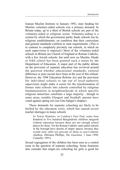Iranian Muslim Institute in January 1992, state funding for Muslim voluntary-aided schools was a primary demand. In Britain today, up to a third of British schools are part of the voluntary-aided or religious sector. Voluntary-aiding is a system by which the government partly funds schools run by religious establishments, on condition that their curriculum and general standards conform to state requirements. (This is in contrast to completely privately run schools, in which no such supervision is imposed.) Most of the voluntary-aided schools in Britain are Church of England or Roman Catholic, with a few Jewish schools, but until now no Muslim, Hindu or Sikh school has been granted such a status by the Department of Education. A major part of the public debate on the provision of separate education has revolved around the question whether educational standards, cultural difference or pure racism have been at the root of this refusal. However, the 1988 Education Reform Act and the provision for individual schools to opt out of local-authority supervision might make it easier for the transformation of former state schools into schools controlled by religious fundamentalists in neighbourhoods in which specific religious minorities constitute a large majority - though in some areas, notably Glasgow and Southall, parents have voted against opting out (see Gita Sahgal's chapter).

These demands for separate schooling are likely to be fuelled by the education crisis, which has caused severe teacher shortages in many schools:

> In Tower Hamlets, in London's East End, some four hundred to five hundred Bangladeshi children languish without education because there are not enough school places for them. Yet the Roman Catholic state-aided schools in the borough have dozens of empty spaces, because they would only offer ten percent of them to non-Catholic children, (Melanie Phillips, *The Guardian,* 1 June 1990, Connolly, 1991).

Sexual segregation of the children has been seen as a central issue in the question of separate schooling. Some feminists also consider that single-sex schooling for girls is good for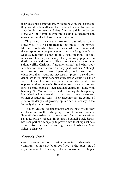their academic achievement. Without boys in the classroom they would be less affected by traditional sexual divisions of - academic interests, and free from sexual intimidation. However, this feminist thinking assumes a structure and curriculum similar to those of a mixed school.

This is not the case where religious education is concerned. It is no coincidence that most of the private Muslim schools which have been established in Britain, with the exception of a couple of seminaries, are for girls only, as Saeeda Khanum's chapter on a Muslim girls' school indicates. Their purpose is very clearly to bring up girls to be dutiful wives and mothers. They teach Creation theories in science (like Christian fundamentalists) and offer poor facilities for the achievement of any qualifications. Although most Asian parents would probably prefer single-sex education, they would not necessarily prefer to send their daughters to religious schools; even fewer would risk their sons' futures. However, few parents would dare publicly to oppose religious demands. By making separate education for girls a central plank of their national campaign (along with banning *The Satanic Verses* and extending the blasphemy law) Muslim fundamentalists have shown a keen awareness of their constituents' fears. Their discourse ties the control of girls to the dangers of growing up in a secular society in the 'morally degenerate West'.

Though Muslim fundamentalists are the most vocal, they are by no means the only group. Ultra-Orthodox Jews and Seventh-Day Adventists have asked for voluntary-aided status for private schools. In Southall, Southall Black Sisters has been part of a campaign to prevent two local high schools from opting out and becoming Sikh schools (see Gita Sahgal's chapter).

#### *'Community' Control*

Conflict over the control of women in fundamentalist communities has not been confined to the question of separate schools. It has spread also to women's refuges,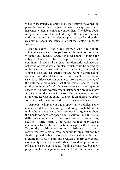which were initially established by the feminist movement to provide women with a private space away from their husbands' violent attempts to control them. The debate about refuges shows how the contradictory influences of feminist and multiculturalist policies adopted by local authorities (mainly in Labour- led councils) affect the rights of minority women.

In the early 1980s black women who had set up autonomous women's groups took up the issue of domestic violence and began to argue for local council funding for refuges. They were bitterly opposed by conservative community leaders who argued that domestic violence did not exist, or that it was a problem which could be solved by traditional mechanisms within the community. Some white feminists also felt that separate refuges were in contradiction to the central idea of the women's movement: the notion of sisterhood. Black women countered, from the perspective of the anti-racist movement, that there was a need for Asian (and sometimes Afro-Caribbean) women to have separate spaces to live with women who understood the pressures they felt, including dealing with racism. But the essential aim of all the refuges was the same - to provide an alternative space for women who have suffered from domestic violence.

Anxious to implement equal-opportunity policies, some councils did fund these refuges (although, as befitted the multiculturalist approach, they were open to arguments about the needs for separate space due to cultural and linguistic differences, much more than to arguments concerning racism). While initially the Asian refuges provoked a community backlash, the situation changed with the years. Today the problem of domestic violence is so well recognized that a claim from community organizations for funds to provide advice or other services dealing with it is a significant factor. This has created a sharp turnabout. Community leaders who had earlier opposed the provision of refuges are now applying for funding themselves, but their purpose is to reintegrate women back into the family. The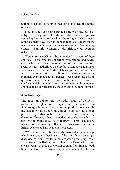notion of 'cultural difference' has turned the idea of a refuge on its head.

New refuges are being funded solely on the basis of religious allegiance. Fundamentalist leaderships are venturing into areas from which the old guard shied away. Some councils have tried to impose religious leaders on the management committees of refuges as a form of 'community control'. Feminist women, by definition, were deemed outsiders.

Women from WAF have been involved in several of these conflicts. Those who are concerned with refuges and advice centres have also been involved in conflicts with various social services authorities who prefer to send teenage girls to families of the same 'cultural background', sometimes interpreted as an orthodox religious background, ignoring regional, even linguistic differences - even when the girls in question have escaped from their homes as a result of conflicts which stemmed directly from their unwillingness to continue to bc constructed by these specific 'cultural' norms.

#### *Reproductive Rights*

The abortion debate and the wider issues of women's reproductive rights have always been at the heart of the feminist agenda, as well as that of the pro-life movement. In the last few years abortion clinics in Britain have been picketed by anti-abortionists, inspired and coached by Operation Rescue, a North American organization which is part of the evangelical 'Moral Right'. This is just one instance of the growing influence of this movement on the British scene (see Sara Maitland's chapter).

WAF women have been mainly involved in a campaign which relates to another branch of the pro-life movement (as discussed by Ann Rossiter in her chapter on the struggles of Irish women in Britain and Ireland). In Britain there has always been a tradition of women coming from Ireland- both South and North - to have an abortion, which is illegal in the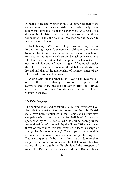Republic of Ireland. Women from WAF have been part of the support movement for these Irish women, which helps them before and after this traumatic experience. As a result of a decision by the Irish High Court, it has also become illegal for women in Ireland to give information and advice to women who seek abortion.

In February 1992, the Irish government imposed an injunction against a fourteen-year-old rape victim who travelled to Britain for an abortion, a decision which was reversed by the Supreme Court amid much embarrassment. The Irish state had attempted to impose Irish law outside its own jurisdiction and infringe the right of free travel outside the EC. The case has reopened the debate on abortion in Ireland and that of the relationship of member states of the EC to its directives and policies.

Along with other organisations, WAF has held pickets outside the Irish Embassy in London, to support Irish activists and draw out the fundamentalist ideological challenge to abortion information and the civil rights of women in the EC.

#### *The Rabia Campaign*

The contradictions and constraints on migrant women's lives from their countries of origin, as well as from the British state, have been highlighted in the 'Rabia Janjua must stay' campaign which was started by Southall Black Sisters and sponsored by WAF. Rabia, who has since been granted 'exceptional leave' to remain by the Home Office was under threat of removal to Pakistan, where she faced a charge of *zina* (unlawful sex or adultery). The charge carries a possible sentence of ten years' imprisonment and public flogging. Rabia escaped to Britain with her husband, who then subjected her to severe violence. She left him with her two young children but immediately faced the prospect of removal to Pakistan, as her husband, who is a British citizen,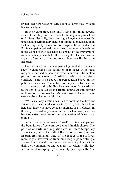brought her here not as his wife but on a tourist visa (without her knowledge).

In their campaign, SBS and WAF highlighted several issues. First, they drew attention to the degrading *zina* laws of Pakistan. Secondly, they campaigned against the generally unjust and discriminatory nature of immigration legislation in Britain, especially in relation to refugees. In particular, the Rabia campaign pointed out women's extreme vulnerability to the whims of their husbands as a result of the immigration rules, which stipulate that if the marriage breaks down within a year of entry to this country, wives are liable to be deported.

Last but not least, the campaign highlighted the genderspecific character of the definition of refugees. A political refugee is defined as someone who is suffering from state persecution as a result of political, ethnic or religious conflict. There is no space for persecution based on the politics of sexuality. This is true not only in British law but also in campaigning bodies like Amnesty International (although as a result of the Rabia campaign and similar mobilizations - discussed in Maryam Poya's chapter - there seems to be a change on this front).

WAF as an organization has tried to combine the different yet related concerns of women in Britain, both those born here and those who have come as migrants or as refugees. In this way it is virtually unique in British feminism, and has been sensitized to some of the complexities of 'sisterhood politics'.

As we have seen, in many of WAF's political campaigns, the boundaries of concern go beyond British shores. The politics of exile and migration are not mere temporary visitors - they affect the stuff of British politics itself, and are in turn transformed. One of the issues that surfaces repeatedly is how women from minority groups can struggle against fundamentalist and other reactionary politics within their own communities and countries of origin, while they face racist stereotyping by the majority (see especially Ann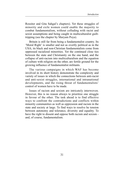Rossiter and Gita Sahgal's chapters). Yet these struggles of minority and exile women could enable the majority to combat fundamentalism, without colluding with racist and sexist assumptions and being caught in multiculturalist guilttripping (see the chapter by Maryam Poya).

Britain is still far from being a fundamentalist country. Its 'Moral Right' is smaller and not as overtly political as in the USA; its black and non-Christian fundamentalists come from oppressed racialized minorities. Yet the continued close ties between the state and Christianity on the one hand, and the collapse of anti-racism into multiculturalism and the equation of culture with religion on the other, are fertile ground for the growing influence of fundamentalist militants.

The various campaigns in which WAF has become involved in its short history demonstrate the complexity and variety of issues in which the connections between anti-racist and anti-sexist struggles, international and intranational developments, and the rising threat of fundamentalists' control of women have to be made.

Issues of racism and sexism are intricately interwoven. However, this is no reason always to prioritize one struggle in favour of the other. The task ahead is to find effective ways to confront the contradictions and conflicts within minority communities as well as oppression and racism in the state and society at large. To find ways to resolve he tension between autonomy and tolerance, diversity and equality. To have the right to dissent and oppose both racism and sexism and, of course, fundamentalism.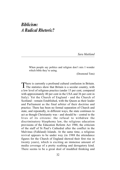## *Biblicism: A Radical Rhetoric?*

*Sara Maitland*

When people say politics and religion don't mix I wonder which bible they're using.

(Desmond Tutu)

There is currently a profound cultural confusion in Britain.<br>The statistics show that Britain is a secular country, with a low level of religious practice (under 15 per cent, compared with approximately 40 per cent in the USA and 36 per cent in Italy). Yet the Church of England - and the Church of Scotland - remain Established, with the Queen as their leader and Parliament as the final arbiter of their doctrine and practice. There has been no formal separation of Church and state, and repeatedly, in different ways, the state continues to act as though Christianity was - and should be - central to the lives of its citizens: the refusal to withdraw the discriminatory blasphemy law, the religious education provisions of the Education Reform Act 1988, the criticism of the staff of St Paul's Cathedral after the conflict in the Malvinas (Falkland) Islands. At the same time, a religious revival appears to be under way (in 1988 the attendance figures for the Church of England showed their first rise in twenty years), which is exciting an immense amount of media coverage of a pretty scathing and derogatory kind. There seems to be a great deal of muddled thinking and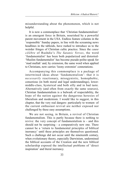misunderstanding about the phenomenon, which is not helpful.

It is now a commonplace that 'Christian fundamentalism' is an emergent force in Britain, nourished by a powerful parent movement in the USA. Endless feature columns in the 'responsible' Sunday papers, in line with the screaming news headlines in the tabloids, have rushed to introduce us to the weirder fringes of Christian cultic practice. Since the *cause célèbre* of Rushdie's *The Satanic Verses*, the word 'fundamentalist' has been both popularized and distorted- 'Muslim fundamentalist' has become pseudo-polite-speak for 'mad mullah' and, by extension, the same word when applied to Christians, now carries 'loony extremist' connotations.

Accompanying this commonplace is a package of intertwined ideas about 'fundamentalism': that it is *necessarily* reactionary, misogynistic, homophobic, censorious (in both moral and legal understandings), lowermiddle-class, hysterical and both silly and in bad taste. Alternatively (and often from exactly the same sources), Christian fundamentalism is a bulwark of respectability, the hope of the nation against the dangerous heresies of liberalism and modernism. I would like to suggest, in this chapter, that the very real dangers- particularly to women- of the current enthusiast revival are neither exposed nor challenged by these easy assumptions.

We are not seeing, in Britain, a revival of Christian fundamentalism. This is partly because there is nothing to revive: the very concept of fundamentalism is - and this should not be surprising - a comparatively new one. There cannot be a 'return to fundamental principles of biblical inerrancy' until these principles are themselves questioned. Such a challenge did not occur until the nineteenth century, when evolutionary theory, especially Darwinism, undermined the biblical accounts of the Creation and the new biblical scholarship exposed the intellectual problems of 'direct inspiration' and literal inerrancy.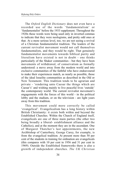The *Oxford English Dictionary* does not even have a recorded use of the words 'fundamentalism' or 'fundamentalist' before the 1933 supplement. Throughout the 1920s these words were being used only in inverted commas to indicate that they were neologisms, and pretty odd ones at that. At a more serious level, too, we are not seeing a revival of a Christian fundamentalist tradition. The leaders of the current revivalist movement would not call themselves fundamentalists, and they would be right. That genuinely fundamentalist movements towards biblical purity and literalism have existed is not in doubt - one thinks particularly of the Shaker communities - but they have been movements of withdrawal, of conservatism as formally understood: a move away from the modern world and into exclusive communities of the faithful who have endeavoured to make their experiences match, as nearly as possible, those of the ideal Israelite communities as described in the Old or New Testament. This tradition tends to be agrarian and private - 'rendering unto Caesar the things which are Caesar's' and wishing mainly to live peaceful lives 'outside' the contemporary world. The current revivalist movement's engagements with the forces of this world - in the political lobby and the stadium, or on the television - are light years away from this tradition.

This movement could more correctly be called 'evangelical'. Evangelicalism has a long history within British Christianity: it exists both within and beyond the Established Churches. Within the Church of England itself, evangelicals are one of three main parties (the other two being broadly a liberal- establishment alliance and the Catholics), and at the moment they are in the ascendant. One of Margaret Thatcher's last appointments, the new Archbishop of Canterbury, George Carey, for example, is from the evangelical tradition. At present more than 50 per cent of the students in training for ordination are evangelicals (this compares with 10 per cent in 1956 and 31 per cent in 1969). Outside the Established frameworks there is also a growth of independent churches. *The UK Christian*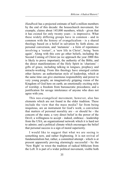*Handbook* has a projected estimate of half a million members by the end of this decade: the housechurch movement, for example, claims about 145,000 members, which - given that it has existed for only twenty years - is impressive. What these widely differing groups have in common - and in common with the history of evangelicalism - is a shared theology based on a belief in salvation by faith alone, on personal conversion, and 'metanoia' - a form of repentance involving a 'restart', a 'new life in Christ', being 'born again'. Along with this core go other beliefs, including the Second Coming of Christ (as we approach the year 2000 this is likely to prove important), the authority of the Bible, and the direct manifestations of the Holy Spirit in 'charisms' gifts of grace, including talking in tongues, prophecy and miracle-working. From this theology have emerged certain other factors: an authoritarian style of leadership, which at the same time can give enormous responsibility and power to very young people; an imaginatively gripping vision of the Kingdom of God here on earth; an emotionally exciting style of worship; a freedom from bureaucratic procedures; and a justification for savage intolerance of anyone who does not agree with you.

This neo-evangelical movement, however, also has elements which are not found in the older tradition. These include the view that the mass media7 far from being iniquitous, are an instrument for God's work; a conviction that matters of personal morality are - or should be - the concern of the state; a very direct belief in the power of the Devil; a willingness to accept - indeed, embrace - leadership from the USA; an organizational network which it is hard not to admire; and a political climate which encourages the belief that personal success is a sign of moral superiority.

I would like to suggest that what we are seeing is something new, and rather frightening. It is not revival of fundamentalism but, rather, a committed attempt - which is at present apparently proving alarmingly successful - by the 'New Right' to wrest the tradition of radical biblicism from the Left. It is part of a wider political movement, visible both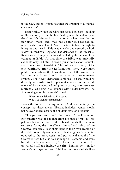in the USA and in Britain, towards the creation of a 'radical conservatism'.

Historically, within the Christian West, biblicism - holding up the authority of the biblical text against the authority of the Church's hierarchical structures - has provided an important moral and imaginative impetus for radical movements. It is a claim to 'own' the text, to have the right to interpret and use it. This was clearly understood by both 'sides' in medieval England. The demands of the Peasants' Revolt were closely tied into and fuelled by the demand for a vernacular Bible. At that time the Bible was officially available only in Latin. It was against both canon (church) and secular law to translate it. The political sensitivity of the text continued after the Reformation: there were strict political controls on the translation even of the Authorized Version under James I, and alternative versions remained criminal. The Revolt demanded a biblical text that would be directly accessible to the peasant classes, unmediated, unowned by the educated and priestly castes, who were seen (correctly) as being in allegiance with feudal powers. The famous slogan of the Peasants' Revolt:

> When Adam delved and Eve span, Who was then the gentleman?

shows the force of the argument. (And, incidentally, the concept that these ancient liberties included women should not be overlooked, despite the obvious division of labour.)

This pattern continued: the basis of the Protestant Reformation was the reclamation not just of biblical life patterns, but of far more of the biblical text itself. In a more extreme form, the Levellers, the radical wing of the Cromwellian army, used their right to their own reading of the Bible not merely to claim individual religious freedom (as opposed to the presbyterial and puritanical model of the Cromwellites) but also to challenge all systems and laws based on class or status. (The Levellers' demands for universal suffrage include the first English petition for women's suffrage on record.) Methodism presented itself as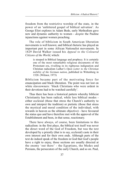freedom from the restrictive worship of the state, in the power of an 'unfettered gospel of biblical salvation'. As George Eliot explores in Adam Bede, early Methodism gave new and dynamic authority to women - *despite* the Pauline injunctions against women preaching.

The role of biblicism in South American liberation movements is well known; and biblical rhetoric has played an important part in some African Nationalist movements. In 1829 David Walker issued his *Appeal to the Coloured Citizens of the World*, which:

> is steeped in Biblical language and prophecy. It is certainly one of the most remarkable religious documents of the Protestant era, rivalling in its righteous indignation and Christian radicalism Luther's *Open Letter to the Christian nobility of the German nation*, published in Wittenberg in 1520. (Wilmor, 1973)

Biblicism became part of the motivating force for emancipation and black liberation. The point was not lost on white slaveowners: 'black Christians who were ardent in their devotions had to be watched carefully'.

Thus there has been a historical pattern whereby biblicist Christianity has been radical, while less biblical modes either ecclesial (those that stress the Church's authority to own and interpret the tradition) or pietistic (those that stress the mystical and moral condition of the individual, with rewards in heaven as the ultimate objective) - have favoured the status quo and have therefore met with the approval of the Establishment and been, in that sense, reactionary.

There have always, of course, been limitations to this radicalism: in the first place, the biblical text itself was never the direct word of the God of Freedom, but was the text developed by a priestly (that is to say, ecclesial) caste in their own interest and for their own ends. Although parts of the text do indeed speak of the freedom in God that God's people have a right to enjoy, those sections are usually directed at the enemy 'out there' - the Egyptians, the Medes and Persians, the persecutors of the early Church, and so on. Paul,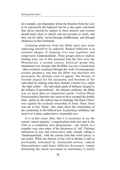for example, can rhapsodize about the freedom from the Law to be enjoyed by the baptized: but he is also quite convinced that slaves should be subject to their masters and women should keep silent in church and not presume to teach, and they can be safely 'saved through childbearing' and through obedience to their husbands.

Claiming authority from the Bible must also mean subjecting oneself to its authority. Radical biblicism is in constant danger of slipping over into legalistic and conservative fundamentalism. Three groups come to mind as finding ways out of this potential trap the first were the Monetarists, a second century heretical group who maintained very strongly that the Bible was not a closed book - that revelation continued through the work of contemporary ecstatic prophecy, and that the Bible was therefore not necessarily the ultimate court of appeal. The Society of Friends argued for the autonomy and freedom of the individual by making what their founder, Charles Fox, called 'the light within' - the individual spark of holiness integral to the fullness of personhood - the ultimate authority: the Bible was no more than an (important) guide. Certain Black Pentecostalist Churches also seem to have escaped the double bind - partly by the radical step of claiming 'the black Christ' over against the ecclesial ownership of Jesus. Since Jesus was not in fact 'black', this claim alters the relationship of the community to the biblical text. It prioritizes solidarity and need over a static, authoritative, immutable text.

It is in this sense, then, that it is necessary to see the current 'moral majority' evangelicalism both here and in the USA as a completely new phenomenon - one which, in a complex way, uses many of the discourses of 'old' Christian radicalism to new and conservative ends. Simply calling it 'fundamentalism', with the current load that word carries, is not useful. While the rhetoric of the Left in Britain is still so profoundly informed by nineteenth-century radical Nonconformist (and hence biblicist) discourses, simply dismissing the whole movement as reactionary is nearly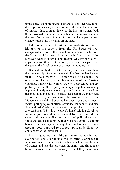impossible. It is more useful, perhaps, to consider why it has developed now - and, in the context of this chapter, what sort of impact it has, or might have, on the lives of women, both those involved first hand, as members of the movement, and the rest of us whose autonomy is directly challenged by neoevangelicalism and its claims on the state.

I do not want here to attempt an analysis, or even a history, of the growth from the US South of neoevangelicalism, nor of the radical conservatism which forms the larger social context in which it is flourishing. I do, however, want to suggest some reasons why this ideology is apparently so attractive to women, and where its particular dangers to the development of women's autonomy lie.

It is extremely difficult to find any hard statistics about the membership of neo-evangelical churches - either here or in the USA. However, it is impossible to escape the observation that here, as in other segments of the Christian churches, numerically women are well represented and are probably even in the majority; although the public leadership is predominantly male. More importantly, the social platform (as opposed to the purely 'spiritual' aspects) of the movement is dominated by issues which the Women's Liberation Movement has claimed over the last twenty years as women's issues: pornography, abortion, sexuality, the family, and also 'law and order' which - as Beatrix Campbell makes clear in *Iron Ladies* (1988) - is a 'women's issue' relating closely to feminist questions about safety and freedom. Indeed, the superficially strange alliances, and shared political demands for legislative censorship, that we are currently seeing between moral- majority evangelicals and radical feminist groups, both opposed to pornography, underlines the complexity of the relationship.

I am suggesting that although many women in neoevangelical sects see themselves as bitterly opposed to feminism, which is contrary to biblical teachings on the role of women and has also criticized the family and (in popular belief) advocated sexual anarchy, in fact they have been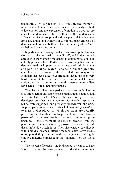profoundly influenced by it. Moreover, the women's movement and neo- evangelicalism share certain styles: both value emotion and the expression of emotion in ways that are alien to the dominant culture. Both stress the solidarity and affirmation of the group; and a direct physical involvement. Both use drama and symbolism to express their criticism of dominant culture; and both take the restructuring of the 'self' as their ethical starting point.

In particular, neo-evangelicalism has taken up the feminist slogan that 'the personal is the political', and in that sense it agrees with the women's movement that nothing falls into an entirely private sphere. Furthermore, neo-evangelicalism has demonstrated an impressive corporate, anti-individualistic and public stance, which is so far from the pietistic churchiness or passivity in the face of the status quo that feminism has been used to confronting that it has been very hard to contest. In certain areas the commitment to direct action and the corporate unity within neo-evangelicalism have actually forced feminist retreats.

The history of Rescue is perhaps a good example. Rescue is a direct-action anti-abortionist organization. Founded and well established in the USA, in the last three years it has developed branches in this country, not merely inspired by but actively supported (and probably funded) from the USA. Its principal activity - indeed, its whole *modus operandi* - is to mass-picket places in which abortions are actually performed and endeavour to prevent both the clinic's personnel and women seeking abortions from entering the premises. Rescue members use tactics gleaned from the peace movement - no violence, passive resistance to arrest, the sit-in/lie-down techniques. They also engage very directly with individual women, offering them both alternative means of support if they continue with the pregnancy and highly emotive material emphasizing the 'humanity' of the foetal child.

The success of Rescue is hotly disputed: its claims to have 'saved lives and to have persuaded Individual have been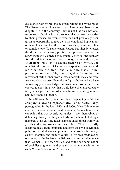questioned both by pro-choice organizations and by the press. The distress caused, however, is not: Rescue members do not dispute it. On the contrary, they insist that an emotional response to abortion is a proper one, that women persuaded by their presence are women who had not previously been given an opportunity to face up to the emotional implications of their choice, and that their choice was not, therefore, a free or complete one. To some extent Rescue has already wrested the direct, street-action, politicized approach to abortion away from the women's movement, which is increasingly forced to defend abortion from a bourgeois individualist, or 'civil rights' position: to use the rhetoric of 'privacy', to repudiate the politics of feeling and experience, and to work more within the traditionally middle-class liberal parliamentary and lobby tradition, thus distancing the movement still further from a mass constituency and from working-class women. Feminist and pro-choice writers have increasingly acknowledged ambivalence around specific choices to abort in a way that would have been unacceptable ten years ago; the tone of much feminist writing is now apologetic and exploratory.

In a different form, the same thing is happening within the campaigns around representation and, particularly, pornography. In the late 1960s and 1970s Mary Whitehouse and the National Viewers' and Listeners' Association - in a campaign that was overtly puritanical - saw themselves as defending already existing standards, as the humble but loyal members of an existing Establishment under threat from wild youth and dangerous commies. The NVLA explicitly distanced itself from feminism, and from the style of feminist politics- indeed, it saw and presented feminism as the enemy: as anti- morality and 'family values'. (This was made easier, of course, by the far less establishment and respectable image that 'Women's Lib.' then carried, and by the odd combination of socialist alignment and sexual libertarianism within the early Women's Liberation Movement.)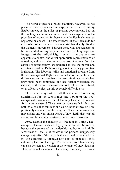The newer evangelical-based coalitions, however, do not present themselves as the supporters of an existing Establishment, as the allies of present governments, but, on the contrary, as *the* radical movement for change, and as the providers of protection for those whom the Establishment has neglected or abused. The effectiveness of their demands for censorship of sexually explicit material has deeply divided the women's movement- between those who are reluctant to be associated in any way with either the language and imagery of the radical Right, or with the use of state apparatus to control and direct appropriate representations of sexuality; and those who, in order to protect women from the assault of pornography, are prepared to use the power and effectiveness of the Right to bring about necessary preventive legislation. The lobbying skills and emotional pressure from the neo-evangelical Right have forced into the public arena differences and antagonisms between feminists which had previously been contained; and has further weakened the capacity of the women's movement to develop a united front, or an effective voice, on this extremely difficult issue.

The reader may note in all this a kind of sneaking admiration for the techniques and power of the neoevangelical movements - or, at the very least, a real respect for a worthy enemy! There may be some truth in this, but both as a socialist feminist and as a Christian myself I am profoundly convinced of the dangers of these neo-evangelical movements and very much aware of how deftly they exploit and utilize the socially constructed inferiority of women.

*First*, despite the rhetoric of 'freedom in Christ', neoevangelical movements are highly authoritarian. Moreover, because the source of the leadership' authority is initially 'charismatic' - that is, it resides in the personal (supposedly God-given) gifts of the individual leader and is not conferred by the community through any sort of process - it is extremely hard to challenge. The freedom from bureaucracy can also be seen as a version of the tyranny of individualism. This individual charismatic leadership can easily be turned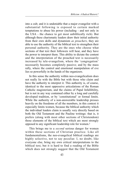into a cult; and it is undeniable that a major evangelist with a substantial following is exposed to certain marked temptations to abuse his power (including - and not only in the USA - the chance to get most unbiblically rich). But although these charismatic leaders draw their initial authority from their own skills and dynamism *as preachers*, they are able to use the authority of the biblical text to strengthen their personal authority. They are the ones who choose what sections of that text their followers will hear, and they have the power to interpret them. This ability to dictate the content and the interpretation of the preached text is necessarily increased by tele-evangelism, where the 'congregation' necessarily becomes completely passive; and by the mass rally, where the control and emotional manipulation of eve lies so powerfully in the hands of the organizers.

In this sense the authority within neo-evangelicalism does not really lie with the Bible but with those who claim and have the authority to interpret it. This authority is, of course, identical to the most oppressive articulations of the Roman Catholic magisterium, and the claims of Papal Infallibility, but is not in any way contained either by a long and carefully developed tradition, or by 'constitutional' or formal limits. While the authority of a non-answerable leadership presses heavily on the freedoms of all the members, in this context it especially limits women, because the biblical authority which the individual leaders claim is usually very directly based on both the Old Testament and the Pauline writings: that is, it prefers (along with most other sections of Christendom) those elements of the biblical text which are most strongly opposed to any significant leadership role for women.1

This brings me to a *second* serious danger for women within these sections of Christian practice. Like all fundamentalisms, the neo-evangelical biblical readings are highly selective, not to say peculiar. I, no doubt, like everyone else, bring my own critical interpretations to the biblical text, but it is hard to find a reading of the Bible which does not strongly suggest that the Old Testament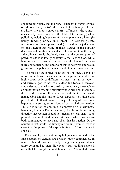condones polygamy and the New Testament is highly critical of - if not actually 'anti-' - the concept of the family. Taken as a whole, the most serious moral offences - those most consistently condemned - in the biblical texts are (a) ritual pollution, including breaches of the complex dietary laws; (b) usury (lending money on interest); (c) allowing state institutions too much power; and (d) standing in judgement on one's neighbour. None of these figures in the popular discourses of neo-fundamentalism. Or - to put it another way - the biblical text is absolutely clear that the consumption of prawn cocktails is totally contrary to the Law of God, while homosexuality is barely mentioned and the few references to it are contradictory and uncertain: this is not what one would glean from the public pronouncement of neo-evangelicalism.

The bulk of the biblical texts are not, in fact, a series of moral injunctions; they constitute a large and complex but highly artful body of different writings - narratives, poetry, and curious genres not easily decoded today. However, ambivalence, sophistication, artistry are not very amenable to an authoritarian teaching ministry whose principal medium is the extended sermon. It is easier to break the text into small manageable chunks, and to focus especially on those that provide direct ethical directives. A great many of these, as it happens, are strong expressions of patriarchal domination. Thus it is much easier, in the context of a charismatic harangue, to claim Pauline authority for the self-confirming directive that women should not preach, or lead than it is to present the complicated delicate stories in which women are both commanded to teach and obey that instruction. Or the narratives that, while not directly mentioning women, make it clear that the power of the spirit is free to fall on anyone it chooses.

For example, the Creation mythologies represented in the first chapters of Genesis are actually rather complicated. In none of them do women exactly emerge shining with divine glory compared to men. However, a full reading makes it clear that the simplifiable statement that Adam shall have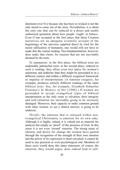dominion over Eve because she has been so wicked is not the only moral to come out of the story. Nevertheless, it is about the only one that can be reduced to a direct and usable authorized quotation about how people 'ought' to behave. Even if one accepted in the first place that these Creation narratives are an adequate scientific account of the beginnings of the universe supplied direct by God for the moral edification of humanity, one would still not have to make this the central reading. Neo-fundamentalism, however, does make that claim, for reasons that are not inevitably dictated by the texts.

To summarize: in the first place, the biblical texts are undeniably patriarchal texts; in the second place, reduced to such a reading, they allow even less space for women's autonomy and authority than they might be persuaded to in a different context and within a different exegetical framework or impulse of interpretation. (A feminist exegesis, for example, produces entirely different readings of the same biblical texts. See, for example, Elizabeth Schustler Fiorenza's *In Memory of Her* [1986].) If women are persuaded to accept evangelical types of biblical interpretation as the only route to salvation, their integrity and self-valuation are inevitably going to be seriously damaged. Moreover, their capacity to make common ground with other women, to see a shared interest, is going to be undercut.

*Thirdly*, the emotion that is released within neoevangelical Christianity is emotion for its own sake. Although it is highly valued, it is valued not as material for analysis but simply as 'proof' of the presence of God. In this sense it is not even 'owned' emotion. The strong sense of identity and desire for change the women have gained through the recognition of the strength of their own emotion and the power of its expression is short-circuited; it cannot be used to any practical or even psychological end. Members of these sects would deny this latter statement, of course; the emotion, they would argue, does indeed lead to self-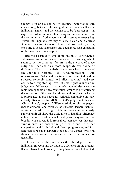recognition and a desire for change (repentance and conversion); but since the recognition is of one's self as an individual 'sinner' and the change is to be 'born again' - an experience which is both infantilizing and separates one from the community of other women - this seems unreassuring. Within the linguistic imagery of a male God and a correct feminine response, ideas of letting God take control, giving one's life to Jesus, submission and obedience, such validation of the emotions seems suspect.

But most seriously, this combination of dependence, submission to authority and transcendent certainty, which seem to be the principal factors in the success of these religions, leads to an almost desperate avoidance of difference. This is particularly dangerous when so much of the agenda is personal. Neo-fundamentalism's twin obsessions with Satan and Sex (neither of them, it should be stressed, remotely central to biblical teaching) lead very easily to a frightening level of self-righteousness and judgement. Difference is too quickly labelled deviance: the rabid homophobia of neo-evangelical groups is a frightening demonstration of this; and the 'divine authority' with which it is propagated allows space for seriously aggressive anti-gay activity. Responses to AIDS as God's judgement, Jews as 'Christ-killers', people of different ethnic origins as pagans (hence demonic) and feminists as unnatural (where 'natural' is given the added weight of being *also* simultaneously supernatural) all show the difficulties in handling difference either of choice or of personal identity with any tolerance or breadth whatsoever. It is from these perspectives that neofundamentalism enters the political arena, in direct competition with both Left and liberal progressives; and it is here that it becomes dangerous not just to women who find themselves involved in such cults, but to women more generally.

The radical Right challenges the liberal position of individual freedom and the right to difference on the grounds that our lives do not properly belong to ourselves, but to God;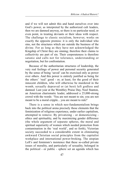and if we will not admit this and hand ourselves over into God's power, as interpreted by the authorized cult leaders, then we are damned anyway, so there is no particular need, or even point, in treating deviants or their ideas with respect. The challenge to classic socialism, however, works on exactly the opposite premiss: it is only the individual who sins, not the structures which are outside the business of the divine. For as long as they have not acknowledged the Kingship of Christ they are sinning; therefore their claims to collectivity are part of sin. Their corporateness is therefore satanic and calls not for tolerance, understanding or negotiation, but for confrontation.

Because of the authoritarian structures of leadership, the very real feelings of power and personal security generated by the sense of being 'saved' can be exercised only as power over others. And this power is entirely justified as being for the others' 'real' good - or, at least, for the good of their innocent children, who will otherwise be murdered in the womb, sexually depraved or (at best) left godless and damned. Last year at the Wembley Praise Day, Noel Stanton, an American charismatic leader, addressed a 25,000-strong crowd with the words: 'You are not meant to sin; you are not meant to be a moral cripple... you are meant to rule!'

There is a sense in which neo-fundamentalism brings back into the political arena precisely those elements that the feminization of religious experience, under earlier capitalism, attempted to remove. By privatizing - or domesticizing ethics and spirituality, and by maximizing gender difference (the whole argument of separate spheres, the moral and spiritual superiority of women which needed protection from contamination in the 'real world', and so forth), Victorian society succeeded to a considerable extent in eliminating awkward Christian social principles from the capitalist workplace and international power-broking. The utopian Left's and feminism's insistence that these so-called private issues of morality, and particularly of sexuality, belonged in the political - or public - sphere set an agenda which has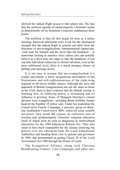allowed the radical Right access to that sphere too. The fact that the political agenda of moral-majority Christians seems so determinedly set by feminism's concerns emphasizes these points.

The problem is that all this might be seen as a rather amusing American aberration were it not for the ideological strength that the radical Right in general can draw from the discourse of neo-evangelicalism: entrepreneurial capitalism-'each man for himself and the devil take the hindmost' - is somewhat lacking in emotive force unless you can actually believe in a devil only too eager to take the hindmost; if you can link individual endeavour to eternal salvation, even at the most subliminal level, there is a much stronger chance of putting your message across.

It is too easy to assume that neo-evangelicalism is a cranky movement, a fairly insignificant articulation of the frustrations and self-righteousnesses of the right-wing segment of the lower middle classes. Although the style and approach of British evangelicalism are not the same as those in the USA, there is dear evidence that the British version is learning fast, its lobbying power is increasing and its influence is growing. Some of Margaret Thatcher's closest advisers were evangelicals - including Brian Griffiths, former head of the Number 10 policy unit. Under her leadership the Conservative Family Campaign, a pressure group of thirtyone backbench Conservative MPs, achieved some notable successes: they wrote the clauses on collective acts of worship and 'predominantly Christian' religious education (both of which must be seen as dangerous to multicultural education) for the 1988 Education Reform Act. They also claim to have been responsible for the clauses removing the powers over sex education from the Local Educational Authorities and handing them over to parents and governors in 1986; and instrumental in getting Clause 28 of the Local Government Act 1988 through the House of Lords.

The Evangelical Alliance, along with Christian Broadcasting Council, Care Campaigns and other neo-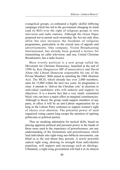evangelical groups, co-ordinated a highly skilful lobbying campaign which has led to the government changing its mind (and its Bill) over the right of religious groups to own television and radio stations. Although the Green Paper proposed not to permit such ownership, the Act not only does allow but also increases the freedoms of religious programmes, particularly in the crucial area of appeals and advertisements. One company, Vision Broadcasting International, has already been granted a licence for transmitting on cable television; and one, United Christian Broadcasters, has a radio licence.

More overtly political is a new group called the Movement for Christian Democracy, launched at the end of 1990 by Ken Hargreaves MP (Conservative) and David Alton (the Liberal Democrat responsible for one of the Private Members' Bills aimed at curtailing the 1968 Abortion Act). The MCD, which already has over 2,000 members, aims for 15,000 within the next two years. Its programme is clear: it intends to 'deliver the Christian vote' at elections to individual candidates who will endorse and support its objectives. It is a known fact that a very small, committed block vote can have a major effect in marginal constituencies. Although in theory the group could support members of any party, in effect it will be an anti-Labour organization for as long as the Labour Party continues to support women's right of choice over abortion. The potential power of such organized voting cannot long escape the attention of aspiring politicians or political parties.

Thus no sneaking admiration for tactical skills, based on placing apparent political and personal power in the hands of those more used to the experience of powerlessness; nor any understanding of the frustrations and powerlessness which lead individuals into right-wing neo-biblicist movements, can blind us to the real threat they present. A newly powerful radical right wing, drawing its strength from individualist populism, will support and encourage such an ideology. Ultimately, a right-wing government will find it in its interest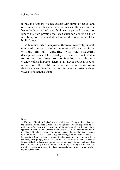to buy the support of such groups with titbits of sexual and other repressions, because these are not its ultimate concern. None the less the Left, and feminism in particular, must not ignore the high prestige that such cults can confer on their members, nor the potential and actual rhetorical force of the biblical texts.

A feminism which empowers (however relatively) liberal, educated bourgeois women, economically and socially, without similarly engaging with the structural disempowerments of less privileged women, will not be able to contest the threat to our freedoms which neoevangelicalism imposes. There is an urgent political need to understand the hold that such movements exercise rhetorically and literally, and to think more creatively about ways of challenging them.

#### Note

<sup>1.</sup> Within the Church of England it is interesting to see the new alliance between the traditionally polarized Catholic and evangelical parties in opposition to the ordination of women to the priesthood. While one group has a fundamentalist approach to scripture, the other has a similar approach to the historic tradition of the Church. Both have a more authoritarian understanding of Christian leadership than the liberals. It is also interesting that although the independent black-led Pentecostalist Churches have many superficial points of style in common with the neo-evangelical groups, one of the conspicuous differences is their openness to female leadership; this springs, in part, from their very different - and much less static- understanding of the Bible and its authority. Nothing in this chapter is meant to be applied directly to black Pentecostalism, which is a completely separate phenomenon.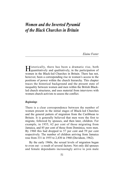# *Women and the Inverted Pyramid of the Black Churches in Britain*

*Elaine Foster*

Historically, there has been a dramatic rise, both<br>quantitatively and qualitatively, in the participation of women in the Black-led Churches in Britain. There has not, however, been a corresponding rise in women's access to the positions of power within the church hierarchy. This chapter traces the historical background and the present state of inequality between women and men within the British Blackled church structures, and uses material from interviews with women church activists to assess the conflict.

#### *Beginnings*

There is a clear correspondence between the number of women present in the initial stages of Black-led Churches and the general pattern of migration from the Caribbean to Britain. It is generally believed that men were the first to migrate, followed by spouses, and then later, children. For example, in 1955, 62 per cent of those migrating from Jamaica, and 85 per cent of those from Dominica, were men. By 1960 this had dropped to 57 per cent and 59 per cent respectively. The number of children arriving from Jamaica rose from 331 in 1955 to 2,430 in 1960 (Davidson, 1962).

By the early 1960s, the sexual levels of migration began to even out - a result of several factors. Not only did spouses and female dependants increasingly arrive to join male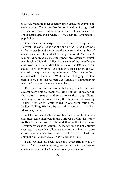relatives, but more independent women came, for example, to study nursing. There was also the combination of a high birth rate amongst West Indian women, most of whom were of childbearing age, and a relatively low death rate amongst this population.

Church membership mirrored these developments. Between the early 1960s and the end of the 1970s there was at first a steady and then a rapid increase in the number of converts and members added to many Black-led Churches. A number of sources discuss the gender breakdown of church membership. Malcolm Calley, in his study of the male/female composition of Black-led Churches in the 1960s (1965), stated: 'It is only since 1961 that they [the churches] have started to acquire the preponderance of female members characteristic of them in the West Indies.' Photographs of that period show both that women were gradually outnumbering men, and that they were active members.

Finally, in my interviews with the women themselves, several were able to recall the large number of women in their church groups and to point to their significant involvement in the prayer band, the choir and the growing Ladies' Auxiliaries - aptly called, in one organization, the Ladies' Willing Workers Band, and in another the Ladies' Missionary Band.

All the women I interviewed had been church attenders and often active members in the Caribbean before they came to Britain. One woman claimed that in the Caribbean, 'Everybody went to church.' Although this is not entirely accurate, it is true that religious activities, whether they were church- or sect-related, were part and parcel of the communities' *modus vivendi* and *modus operandi.*

Many women had been taught that Great Britain was the locus of all Christian activity, so the desire to continue to attend church in such a Christian country was natural.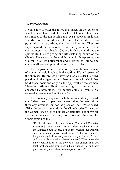# *The Inverted Pyramid*

I would like to offer the following, based on the extent to which women have made the Black-led Churches their own, as a model of the relationship that exists between male and female church members. The model consists of two pyramids: one is upright, the other is inverted. They are superimposed on one another. The first pyramid is inverted and represents the 'female' Church. In this pyramid lies the spirituality, the life-giving and life-sustaining nature of the Church. The second is the upright pyramid. It represents the Church in all its patriarchal and hierarchical glory, and contains all leadership, juridical and priestly roles.

The first pyramid is inverted to represent the vast number of women actively involved in the spiritual life and upkeep of the churches. Regardless of how the men consider their own positions in the organizations, there is a sense in which they hold those positions only on the approval of the women. There is a silent collusion regarding this, one which is accepted by both sides. This mutual collusion results in a sense of agreement and avoids conflict.

There are many ways in which the women, if they wished, could defy, 'usurp', paralyse or neutralize the men within these organizations, 'but for the grace of God!'. When asked: 'What do you as women do in the Church today?', many of the women listed a large number of activities, but above all, as one woman said, 'Oh my Lord! We run the Church.' Others explained this:

> 'I'm local director for my church [Youth and Christian Education]. I'm assistant District Ladies' President, I'm on the District Youth Board, I'm in the catering department, sing in the choir, prayer band leader... Take, for example, the prayer band - how many men would you find in it? Two, and maybe about twelve, sixteen women.' 'They make the major contribution to the upkeep of the church, if it OK [sic] for them to be prominent in their finance [sic] and their presence, why can't they make major decisions?'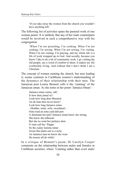'If you take away the women from the church you wouldn't have anything left.'

The following list of activities spans the pastoral work of one woman pastor. It is unlikely that any of her male counterparts would be involved in such a comprehensive way with his congregation:

> 'When I'm not preaching, I'm cooking. When I'm not cooking, I'm sewing. When I'm not sewing, I'm visiting. When I'm not visiting, I'm praying, and my whole life is a life of work wrapped up in God. And socially, because you know I like to do a bit of community work. I go visiting the old people, say a word of comfort to them. It makes my life worthwhile living. And without that I don't think I am a Christian.'

The concept of women running the church, but men leading it, seems common in Caribbean women's understanding of the dynamics of their relationship with their men. The Jamaican poet Louise Bennett calls it the 'cunning' of the Jamaican oman. As she notes in her poem 'Jamaica Oman':

> Jamaica oman cunny, sah! Is how dem jinnal so? Look how long dem liberated An de man dem never know! Look how long Jamaica oman - Modder, sister, wife, sweetheart - Outa road an eena yard deh pon A dominate her part! Jamaica oman know she strong, She know she tallawah But she no want her pickney-dem Fi start call her 'Puppa' So the cunny Jamma oman Gwan like pants suit is a style, An Jamaica man no know she wear De trousiz all de while!

In a critique of Bennett's poem, Dr Carolyn Cooper comments on the relationship between males and females in Caribbean societies, where 'Cunning rather than overt male/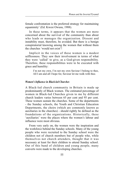female confrontation is the preferred strategy for maintaining equanimity' (Ed. Kwesi Owusu, 1988).

In these terms, it appears that the women are more concerned about the survival of the community than about who leads or manages the organization. Dissent and instability must, therefore, be avoided. But there is a benign conspiratorial knowing among the women that without them the churches 'would not exist'!

Implicit in the voices of these women is a modest selflessness. They saw their involvement in terms of what they were 'called' to give, as a God-given responsibility. Therefore, these responsibilities were to be executed with grace and humility:

> I'm not my own, I'm not my own Saviour I belong to thee, All I am and all I hope for, Saviour let me walk with thee.

#### *Women's Influence in Black-led Churches*

A Black-led church community in Britain is made up predominantly of Black women. The estimated percentage of women in Black-led Churches given to me by different church leaders varies between 65 per cent and 95 per cent. These women sustain the churches. Some of the departments - the Sunday schools, the Youth and Christian Education Departments, the choirs (which are commonly known as auxiliaries in the churches) - should rightly be defined as the foundations of the organizations. Historically, these 'auxiliaries' were the places where the women's labour and influence were most obvious.

From very early on, the women were the inspiration and the workforce behind the Sunday schools. Many of the young people who were recruited to the Sunday school were the children not of church members but of people who, while themselves not church attenders, thought that it was necessary at least for their children to attend Sunday school. Out of this band of children and young people, many converts were made to the developing churches.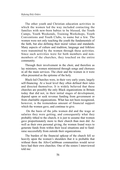The other youth and Christian education activities in which the women led the way included contacting the families with new-born babies to be blessed, the Youth Camps, Youth Weekends, Training Workshops, Youth Conventions and Youth Clubs, to name but a few. The women were not only teaching the youth the fundamentals of the faith, but also defining their moral values and standards. Many aspects of culture and tradition, language and folklore were transmitted by the women through these activities. Since such activities were for both members and nonmembers of the churches, they touched on the entire community.

Through their involvement in the choir, and therefore as lay ministers, women ministered through songs and choruses in all the main services. The choir and the women in it were often presented as the epitome of the holy.

Black-led Churches were, in their very early years, largely self-financing. At a local level they often defined their rules and directed themselves. It is widely believed that these churches are possibly the only Black organizations in Britain today that did not, in their initial stages of development, depend upon or seek revenue funding from government or from charitable organizations. What has not been recognized, however, is the tremendous amount of financial support which the women gave, and continue to give.

On the basis of the jobs women did and the wage or salaries they were getting, and consequently what they probably tithed to the church, it is just to assume that women gave proportionately more to their church than men did. As well as their own personal giving, the women found ways to generate funds from within their local situations and to fundraise successfully from outside their organizations.

The burden of the financial upkeep of the church fell so heavily upon the women's shoulders that it is probable that without them the Afro-Caribbean communities would never have had their own churches. One of the sisters I interviewed told me: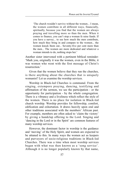'The church wouldn't survive without the women... I mean, the women contribute in all different ways, financially, spiritually, because you find that the women are always praying and travelling more so than the men. When it comes to finance, you can't stop a woman fe raise funds. If you have a survey... to see how much the men contribute, how much they bring in and compare to the women... the women knock them out... Seventy-five per cent more than the men... The women are more dedicated and whatever a woman intends to do, nothing stops her.'

Another sister intervened with a pertinent biblical reminder: 'Mark you, originally it was the women, even in the Bible, it was women who went with the first message of Christ's resurrection.'

Given that the women believe that they run the churches, is there anything about the churches that is uniquely womanist? Let us examine the worship services.

Worship in Black-led Churches is communal. From the singing, extempore praying, dancing, testifying and affirmation of the sermon, we see the participation - or the opportunity for participation - by the whole congregation. There is a vibrancy and a liveliness which reflect the style of the women. There is no place for isolation in Black-led church worship. Worship provides for fellowship, comfort, edification and exhortation. It draws heavily upon oral and other traditions associated with the members' African past. For example, members are often asked to 'claim the victory' by giving a handclap offering to the Lord. Singing and 'dancing in the Lord or in the Spirit' are common features of many worship services.

However, the dominant factor in worship is the guidance and 'moving' of the Holy Spirit, and women are expected to be attuned to this. In many ways the women act as keepers and purveyors of socio-religious traditions in Black-led Churches. There was a time when most worship services began with what was then known as a 'song service'. Although it is no longer popularly known by that name,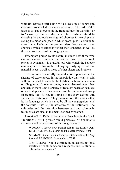worship services still begin with a session of songs and choruses, usually led by a team of women. The task of this team is to 'get everyone in the right attitude for worship', or to 'warm up' the worshippers. Their duties extend to choosing the appropriate songs and choruses for worship, and setting the mood and pace in which worship will continue to take place. Perhaps the women also choose songs and choruses which specifically reflect their concerns, as well as the perceived needs of the congregation.

Extempore prayer, by its nature, includes both those who can and cannot command the written form. Because such prayer is dynamic, it is a useful tool with which the believer can respond to his or her changing daily spiritual and material needs, s well as those of other sisters and brothers.

Testimonies essentially depend upon openness and a sharing of experiences, in the knowledge that what is said will not be used to ridicule the testifier, or become a source of idle gossip. No one testimony is ever deemed better than another, so there is no hierarchy of testators based on sex, age or leadership status. Since women are the predominant group of people testifying, to some extent they define and standardize testimonies. They provide both the idiom - that is, the language which is shared by all the congregation - and the formula - that is, the structure of the testimony. The subtleties and the interplay between text and subtext in testimonies are also, in the main, defined by women.

Leontine T. C. Kelly, in her article 'Preaching in the Black Tradition' (1981), gives a vivid portrayal of a woman's testimony and the responses of the congregation:

> WOMAN: I know how Daniel felt in the Lion's Den! RESPONSE: (Men, children and the other women): Yes!

> WOMAN: I know how the Hebrew children felt in the fiery furnace! RESPONSE: (crescendos): YES!

> (The 'I knows' would continue in an ascending tonal excitement with companion response until a climatic affirmation was spoken.)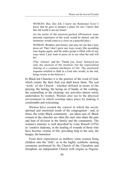WOMAN: But, like Job, I know my Redeemer lives! I know that he goes to prepare a place for me! I know that this old world is not my home!

(In the midst of the emotion-packed affirmation some personal experience of the week would be shared, and the testimony would come to a close on a peaceful plea.)

WOMAN: Brothers and Sisters, just pray for me that I may press on! That I don't grow any ways weary [the ascending tone begins again, and the entire group is lifted with it] any ways tired. I just want to press on to see what the end will be!

(The 'Amines' and the 'Thank you, Jesus' betrayed not only the emotion of the moment, but the experiential sharing of a common harshness of life. The emotional response testified to faith in a God who would, in the end, bring victory to the believer.)

In Black-led Churches it is the practice of the word of God, which counts. By their fruit you shall know them. The real 'work' of the Church - whether defined in terms of the praying, the fasting, the laying on of hands, or the cooking, the counselling or the cleaning- are activities almost solely undertaken by women. Women also see to the physical environment in which worship takes place by making it comfortable and welcoming.

Women have created the context in which the social, spiritual and emotional needs of the congregation - and, at times, the wider Black community - are taken care of. Black women in the churches are often the ones who share the pain and hurt of division in the family and the community. The women's ministry is well described by Letty Russell (1974) as 'curative diakonia, in the healing of wounds of those who have become victims of life; providing help to the sick, the hungry, the homeless'.

From their experiences as mothers, some women bring children into the 'fold', as in the highly symbolic naming ceremony performed by the Church of the Cherubim and Seraphim, an independent Church with origins in Nigeria.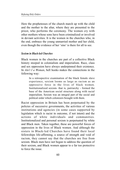Here the prophetesses of the church march up with the child and the mother to the altar, where they are presented to the priest, who performs the ceremony. The women cry with other mothers whose sons have been criminalized or involved in deviant activities. It is the women in the churches who, in the end, embrace the young unmarried mother and her child, even though the evidence of her 'sins' is there for all to see.

## *Sexism in Black-led Churches*

Black women in the churches are part of a collective Black history steeped in colonialism and imperialism. Race, class and sex oppression have always underpinned their existence. In *Ain't I a Woman*, bell hooks makes the connections in the following way:

> In a retrospective examination of the black female slave experience, sexism looms as large as racism as an oppressive force in the lives of black women. Institutionalized sexism- that is, patriarchy - formed the base of the American social structure along with racial imperialism. Sexism was an integral part of the social and political order which colonizers brought with them.

Racist oppression in Britain has been perpetuated by the policies of successive governments, the activities of various institutions and agencies (in some cases supported by legislation which is racist in outcome, if not intent) and the actions of white individuals and communities. Institutionalized and personal sexism is perpetuated by white and Black men. Taken together, these are powerful forces of oppression in the lives of Black women. And although the sisters in Black-led Churches have found their local fellowships life-affirming, a source of strength and void of racism, they cannot say that the churches are free from sexism. Black men have not begun to address the question of their sexism, and Black women appear to e far too protective to force the issue.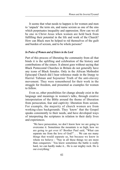It seems that what needs to happen is for women and men to 'unpack' the term sin, and name sexism as one of the sins which perpetuates inequality and oppression. How can we all be one in Christ Jesus when women are held back from fulfilling their potential in the life and work of the Church? How can Black men be helped to rid themselves of the guilt and burden of sexism, and to be whole persons?

#### *In Praise of Women and of Sisters in the Lord*

Part of this process of liberating the community from all that binds it is the uplifting and celebration of the history and contributions of the sisters. It almost goes without saying that Black Pentecostal Churches in Britain do not generally have any icons of Black females. Only in the African Methodist Episcopal Church did I hear reference made in the liturgy to Harriet Tubman and Sojourner Truth of the anti-slavery movement. They were remembered for their work in the struggle for freedom, and presented as examples for women to follow.

Even so, other possibilities for change already exist in the language and meanings in women's talks, through creative interpretation of the Bible around the theme of liberation from persecution, fear and captivity: liberation from sexism. For example, the majority of church women are from working-class backgrounds. They 'know' that the Gospel speaks consistently to their needs, and have developed ways of interpreting the scriptures in relation to their daily lives and experiences.

> 'We have persecution, we don't know how we are going to overcome it. Sometimes the mountain is so high, how we are going to get over it? Brother Paul said, "What can separate me from the love of God?". . . We can see many things that would separate us, but because we know in whom we believe - "Nay in all these things we are more than conquerors.' You know sometimes the battle is really hard, we can hardly make it... He is our mighty rock. He is our everything.'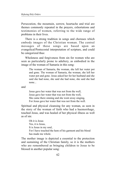Persecution, the mountain, sorrow, heartache and trial are themes commonly repeated in the prayers, exhortations and testimonies of women, referring to the wide range of problems in their lives.

There is a strong tradition in songs and choruses which embody images of the Christian woman. The central messages of these songs are based upon an evangelical/Pentecostal interpretation of scripture, and could be categorized thus:

Wholeness and forgiveness from sin for women who are seen as particularly prone to adultery, as embodied in the image of the woman of Samaria in this song:

> The woman of Samaria, the woman, she left her water pot and gone. The woman of Samaria, the woman, she left her water pot and gone. Jesus asked her for her husband and she said she had none, she said she had none, she said she had none...

and

Jesus gave her water that was not from the well, Jesus gave her water that was not from the well, She came there sinning and she went away singing, For Jesus gave her water that was not from the well.

Spiritual and physical cleansing for any woman, as seen in the story of the woman of faith who had a haemorrhage, touched Jesus, and was healed of her physical illness as well as of sin:

> Oh it is Jesus Yes, it is Jesus, It is Jesus in my soul, For I have touched the hem of his garment and his blood has made me whole.

The mother image is depicted a essential to the protection and sustaining of the Christian family, so it is the mothers who are remembered as bringing children to Jesus to be blessed in another popular song: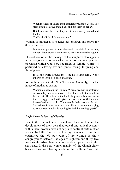When mothers of Salem their children brought to Jesus, The stern disciples drove them back and bid them to depart,

But Jesus saw them ere they went, and sweetly smiled and kindly

'Suffer the little children unto me.'

Woman as mother also teaches her children and prays for their protection:

> My mother prayed for me, she taught me right from wrong, Of her I have sweet memories and now from me she's gone.

This subversion of the message of the scriptures also appears in the songs and choruses which seem to celebrate qualities of Christ which would be regarded as female. Christ is portrayed as a loving saviour, gentle, caring, forgiving and full of grace:

> In all the world around me I see his loving care... None other is so loving so good and kind...

Io Smith, a pastor in the New Testament Assembly, uses the image of mother as pastor:

> Women do succour the Church. When a woman is pastoring an assembly she is as close to the flock as to the child on her breast. They have a tender feeling towards someone in their struggle, and will give out to them as if they are breast-feeding a child. They watch their growth closely. Sometimes I have only to sit and listen to someone crying to know exactly what is coming behind that feeling. (1989)

#### *Single Women in Black-led Churches*

Despite their intimate involvement with the churches and the development of their own theological and ethical systems within them, women have not begun to confront certain other issues. In 1988 four of the leading Black-led Churches estimated that 60 per cent of the women in their congregations between the ages of eighteen and thirty-five were single. Also, there is a noticeable drop-out rate in this age range. In the past, women mainly left the Church either because they were having a relationship with an 'unsaved'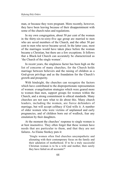man, or because they were pregnant. More recently, however, they have been leaving because of their disappointment with some of the church rules and regulations.

In my own congregation, about 50 per cent of the women in the thirty-six-to-sixty-five age group are married to men who are saved members of the Church, and the other 50 per cent to men who never became saved. In the latter case, most of the marriages would have taken place before the woman became a Christian, but there are a few exceptions. It follows that a Black-led Church can accurately be characterized as 'the Church of the single women'.

In recent years, the singleness factor has been high on the list of concerns of many churches, for the Church holds marriage between believers and the raising of children as a God-given privilege and as the foundation for the Church's growth and prosperity.

With hindsight, the churches can recognize the factors which have contributed to the disproportionate representation of women: evangelisation strategies which were geared more to women than men, support groups for women within the Church, and a strong commitment to ethical standards. Many churches are not sure what to do about this. Many church leaders, including the women, are fierce defenders of marriage, but will accept celibacy if God wills it. A number of older women who were victims of unplanned and early pregnancies, and of children born out of wedlock, fear any emulation by their daughters.

At the moment the churches' response to single women is at best insensitive. They often forget that these women have needs that are particular to them, and that they are not failures. As Elaine Storkey puts it:

> 'Single women often find churches unsympathetic and alienating with their contemporary focus on the family and their adulation of motherhood. If to be a truly successful Christian woman is to be a wife and mother, then surely they have failed on all accounts?'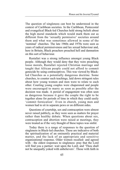The question of singleness can best be understood in the context of Caribbean societies. In the Caribbean, Pentecostal and evangelical Black-led Churches held strong beliefs about the high moral standards which would mark them out as different from the 'sexually permissive' societies around them and what was sometimes allowed in some of the 'nominal' churches. The late 1960s and 1970s were seen as years of radical permissiveness and lax sexual behaviour and, here in Britain, Black preachers preached hell and damnation on this sort of behaviour.

Rastafari was a strong influence amongst young Black people. Although they would deny that they were preaching loose morals, Rastafari rejected Christian marriage and taught that African people could not afford to commit genocide by using contraceptives. This was viewed by Blackled Churches as a potentially dangerous doctrine. Some churches, to counter such teachings, laid down stringent rules about how young women and men were to relate to each other. Courting young couples were chaperoned and people were encouraged to marry as soon as possible after the decision was made. A period of engagement was often seen as dangerous because it gave the couple the right to be together alone for periods of time in which they could easily 'commit fornication'. Even in church, young men and women had to sit in separate pews or on different sides.

Questions of courtship, sex and contraception were almost never raised publicly, as they were seen as matters for prayer rather than healthy debate. When questions about sex, contraception and abortion were raised at meetings, they were treated as if the very thought of these topics was sinful.

Today there is a range of responses to the question of singleness in Black-led churches. These are indicative of both the spiritualization of an eminently practical and material matter, and the lack of an appropriate and sensitive organizational response. Older women recalled- and agreed with - the oldest responses to singleness: pray that the Lord will find you a partner: wait upon the Lord; and 'Thou shall not be unequally yoked with unbelievers'. Those with faith in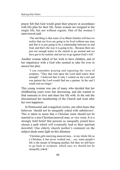prayer felt that God would grant their prayers in accordance with His plan for their life. Some women are resigned to the single life, but not without regrets. One of the women I interviewed said:

> 'The sad thing is that some of us Black females will have to realize that our lives are going to be lived without any men and that it is just going to be a relationship between us and God, and that's the way it is going to be... Because there are just not enough males in the church to go around and we have got to be realistic and not try to go against God's will.'

Another woman talked of her wish to have children, and of her impatience with a God who seemed to take for ever to answer her plea:

> 'I can remember praying and repeating the verse of scripture: "They that wait upon the Lord shall renew their strength". I believed that if only I waited on the Lord and was patient the Lord would find me a partner. In the end I could wait no longer.'

This young woman was one of many who decided that her childbearing years were fast decreasing, and she wanted to find someone to love and share her life with. In the end she discontinued her membership of the Church and went after her own happiness.

In Pentecostal and evangelical circles, one often hears that believers 'should not be unequally yoked with unbelievers'. This is taken to mean that a Christian sister should not be married to a non-Christian/unsaved man, or vice versa. It is a strongly held belief that persons so unequally joined have chosen a path which will eventually lead to their spiritual downfall. One elderly church mother's comment on the subject sheds some light on this dilemma:

> 'Christian girls marrying unsaved men... in my whole life as a Christian, it has never worked out,... yes, some people's life is the means of bringing another, but then we still have to go back to scripture, which says we should not be unequally yoked.'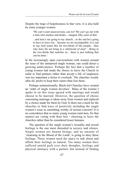Despite the tinge of hopelessness in that view, it is also held by some younger women:

> 'We can't court unsaved men, can we? We can't go out with a man who smokes and drinks... imagine fifty years of that

> ...and here's me going to my church... in the end he's going to have to leave me... because we are incompatible. It is sad to say God wants this for two-thirds of His people... then why does He not bring in a whirlwind of men? ...Bring in the two-thirds that matches us... there is just nothing that can be done.'

In the increasingly open conversations with women around the issue of the unmarried single woman, one could detect a growing ambivalence. Perhaps the fact that a number of young women had made the choice to leave the Church in order to find partners rather than accept a life of singleness was too important a factor to overlook. The churches would, after all, prefer to keep their sisters than lose them.

Perhaps unintentionally, Black-led Churches have created an 'order of single women devotees'. Many of the women I spoke to on this issue agreed with marriage and would choose to be married. However, the question of choice concerning marriage is taken away from women and replaced by a choice made for them by God. Is there not a need for the churches to find ways of positively including the single women's issue as something worthy of serious concern? It is no coincidence that so many young women (and men, for that matter) are voting with their feet - choosing to leave the churches rather than be considered lesser humans.

The question of the single woman's sexuality and sexual feelings is the one most shrouded in secrecy and silence. Single women are human beings, and no amount of 'cleansing in the Blood of the Lamb' is going to deny those feelings. These women need the space to talk about and affirm their feelings as natural. Too many women have suffered untold guilt over their thoughts, feelings and physical intimacy with a partner, but instead of finding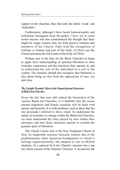support in the churches, they find only the labels 'weak' and 'backslider'.

Furthermore, although I have heard homosexuality and lesbianism harangued from the pulpit, I have yet to come across anyone who has countenanced the thought that there might be single women who are both passive lesbians and members of the Church. Only with the recognition of lesbians as human and part of the body of Christ can the Church proclaim the full extent of the body of Christ.

Perhaps now is the time for the Black Churches to begin to apply their understanding of spiritual liberation to their everyday experiences and the structures they operate in, and to understand the role of the individual as a tool in the system. The churches should also recognise that liberation is also about being set free from the oppressions of race, sex and class.

# *The Upright Pyramid: Man in the Organizational Structures of Black-led Churches*

Given the fact that men still control the hierarchies of the various Black-led Churches, it is doubtful that the issues around singleness and female sexuality will be dealt with openly and honestly. It is with problems such as these that the two pyramids I referred to above clash. To understand the nature of resistance to change within the Black-led Churches, we must understand the roles played by men within their structures and how those structures operate to exclude the genuine spirit of liberation.

The Church I know best is the New Testament Church of God. Its leadership structure basically reflects that of the predominantly white American headquarters to which it belongs organizationally, but adapted to suit its British situation. At a national level the Church's structure has a top tier which consists of the Nationa1 Overseer. A second tier, the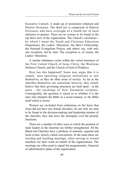Executive Council, is made up of prominent ordained and District Overseers. The third tier is comprised of District Overseers who have oversight of a fourth tier of local ministers or pastors. There are no women to be found in the top three tiers of the organization. The Church's auxiliaries by which I mean the Youth and Christian Education Department, the Ladies' Ministries, the Men's Fellowship, the National Evangelism Project, and others- are, with only one exception, led by men. The exception is, of course, the Ladies' Ministries.

A similar imbalance exists within the varied structures of the First United Church of Jesus Christ, the Wesleyan Holiness Church, and the Church of God of Prophecy.

How has this happened? Some may argue that it is simply` men operating religious institutions to suit themselves, as they do other areas of society. As far as the churches themselves are concerned, however, they clearly believe that their governing structures are built upon - in the main - the teachings of New Testament scripture. Consequently, the question is raised as to whether it is the men who interpret the Bible in a sexist manner, or the Bible itself which is sexist.

Women are excluded from ordination on the basis that Jesus did not have any female disciples. So not only are men to be found in the decision-making and leadership stratum of the churches, they also have the monopoly over the priestly functions.

There are a number of other ways in which the position of male leaders in the churches are further strengthened. All the Black-led Churches have a plethora of national, regional and local events, loosely called conventions. In the main these are worship and teaching meetings, often serving to reward members for their work on behalf of the organizations. The meetings are often used to signal the programmatic, financial or administrative plans of the organization.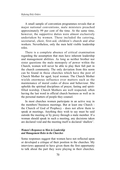A small sample of convention programmes reveals that at major national conventions, male ministers preached approximately 99 per cent of the time. At the same time, however, the supportive duties were almost exclusively undertaken by women. These included the catering, secretarial, choir, first-aid, children's church and altar workers. Nevertheless, only the men held visible leadership roles.

There is a complete absence of critical examination regarding the assumption that men have inherent leadership and management abilities. As long as neither brother nor sister questions the male monopoly of power within the Church, women will never be able to play their full part in the church community. The only deviation from this norm can be found in those churches which have the post of Church Mother for aged, loyal women. The Church Mother wields enormous influence over matters such as the maintenance of moral codes of dress and behaviour. She upholds the spiritual disciplines of prayer, fasting and spiritfilled worship. Church Mothers are well respected, often having the last word in official church business as well as in the personal matters of people they counsel.

In most churches women participate in an active way in the members'/business meetings. But at least one Church the Church of God of Prophecy - does not allow them to speak at meetings. Anything they wish to say must be said outside the meeting or by proxy through a male member. If a woman should speak in such a meeting, any decisions taken are declared void and the meeting itself is declared 'shallow'.

### *Women's Responses to Men in Leadership and Management Roles in the Churches*

Some responses suggest that women have not reflected upon or developed a critique of their position in the churches. My interviews appeared to have given them the first opportunity to talk about the part they were playing in their churches.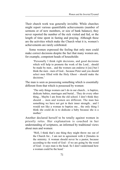Their church work was generally invisible. While churches might report various quantifiable achievements (number of sermons or of new members, or size of bank balance), they never reported the number of the sick visited and fed, or the length of time spent in fasting and praying. Although these are the activities which make the Church what it is, women's achievements are rarely celebrated.

Some women expressed the feeling that only men could make correct decisions despite the fact that many women are, for example, competent heads of households:

> 'Personally I think right decisions, and good decisions which will help to promote the work of the Lord... should be made by men... and the women can endorse it [sic] but I think the men - men of God... because Peter said you should select men filled with the Holy Ghost - should make the decisions.'

The man is seen as possessing something which is essentially different from that which is possessed by women:

> 'The only things women can't do in our church... is baptize, dedicate babies, marriages and burial... They do every other thing... Maybe I am from the old school. I don't think they should ... men and women are different. The man has something we have not got in their inner strength... and I would not like a woman to baptize me... the only thing I think she could do is to dedicate a baby because she is a mother.'

Another declared herself to be totally against women in priestly roles. Her explanation is couched in her understanding of scriptures, an informed by traditional views about men and women:

> 'Well, I think that's one thing they might throw me out of the Church for... I am not in agreement with it [females in the ministry. A woman should never be a pastor, because according to the word of God - if we are going by the word of God - it says man is the head. So I don't understand how a woman could be the head.'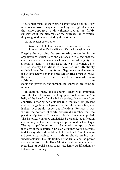To reiterate: many of the women I interviewed not only saw men as exclusively capable of making the right decisions, they also appeared to view themselves as justifiably subservient in the hierarchy of the churches- all of which, they suggested, was verified by the scriptures.

As the popular chorus attests:

Give me that old-time religion... It's good enough for me. It was good for Paul and Silas... It's good enough for me.

Despite the worrying features relating to gender in the organizational structure of the churches, it is a fact that the churches have given many Black men self-worth, dignity and a positive identity, in contrast to the ways in which white British society has alienated, devalued and effectively excluded them from many forms of legitimate involvement in the wider society. Given the pressure on Black men to 'prove their worth', it is difficult to see how those who have achieved some status and power in, and through the churches, are going to

relinquish it.

In addition, many of our church leaders who emigrated from the Caribbean were not equipped to function in 'the belly of the beast' of white British society. Many came from countries suffering neo-colonial rule, mainly from peasant and working-class backgrounds within those societies, and lacked 'acceptable' paper qualifications. Perhaps it was within the context of white historical churches that the position of potential Black church leaders became amplified. The historical churches emphaisized academic qualification and training as the route through to priesthood or the clergy. The episcopal hegemony and speculative approach to theology of the historical Christian Churches were sure ways to deter any who did not fit the bill. Black-led Churches were a better alternative, with their emphasis on biblical fundamentalism, the infallibility of the Bible, and the power and leading role of the Holy Ghost in and through believers regardless of social class, status, academic qualifications or Bible school training.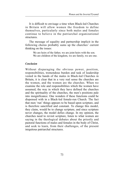It is difficult to envisage a time when Black-led Churches in Britain will allow women the freedom to define themselves, particularly since both males and females continue to believe in the patriarchal organizational structures.

The message of equality and partnership implicit in the following chorus probably sums up the churches' current thinking on the issues:

> We are heirs of the father, we are joint heirs with the son. We are children of the kingdom, we are family, we are one.

# *Conclusion*

Without disparaging the obvious power, position, responsibilities, tremendous burden and task of leadership vested in the hands of the males in Black-led Churches in Britain, it is clear that in a very real sense the churches are the women, and the women are the churches. When we examine the role and responsibilities which the women have assumed, the way in which they have defined the churches and the spirituality of the churches, the men's positions pale into insignificance. One wonders if these functions could be dispensed with in a Black-led female-run Church. The fact that men 'run' things appears to be based upon scripture, and is therefore sanctified and constant. To change this model, they claim, would be to change scripture, and since scripture never changes, the model defies change. In my opinion, the churches need to revisit scripture, listen to what women are saying in the theological debates about the priestly and pastoral functions of males and females in the body of Christ, and seek to learn, from their challenges, of the present iniquitous patriarchal structures.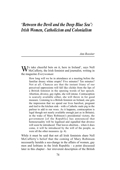# *'Between the Devil and the Deep Blue Sea': Irish Women, Catholicism and Colonialism*

*Ann Rossiter*

 $\sum_{i=1}^{n}$  *J*e take cheerful bets on it, here in Ireland', says Nell McCafferty, the Irish feminist and journalist, writing in the magazine *Everywoman*:

> How long will we be in attendance at a meeting before the familiar dreary whine erupts? Five minutes? Ten minutes? Not at all. Chances are that the instant litany of our perceived oppressions will fall like clichés from the lips of a British feminist in the opening words of her speech. Abortion, divorce, gay rights, she will intone. Contraception is scarcely available either, she will throw in for good measure. Listening to a British feminist on Ireland, one gets the impression that we spend our lives barefoot, pregnant and tied to the kitchen sink - with a Catholic male pig in the parlour to add to our woes. As it happens, contraception is legal though not nearly available enough just as in Britain); in the wake of Mary Robinson's presidential victory, the government [of the Republic] has announced that homosexuality will be legalised and signalled that divorce will soon be introduced. That leaves abortion... when it does come, it will be introduced by the will of the people, as were all the other measures. (p. 4).

While it must be said that not all Irish feminists share Nell McCafferty's belief that the coming of Mary Robinson necessarily heralds a sea-change in the affairs of women, gay men and lesbians in the Irish Republic - a point discussed later in this chapter - her irreverent description of the British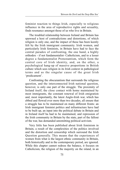feminist reaction to things Irish, especially to religious influence in the area of reproductive rights and sexuality, finds resonance amongst those of us who live in Britain.

The troubled relationship between Ireland and Britain has spawned a host of contradictions and distortions, of which religion is only one, and the impact of these has been keenly felt by the Irish immigrant community. Irish women, and particularly Irish feminists, in Britain have had to face the central paradox of confronting, the one hand, a highly orthodox - if not fundamentalist- Catholicism, and to a lesser degree a fundamentalist Protestantism, which form the central core of Irish identity, and, on the other, a psychological hang-up of massive proportions in British culture which sees religion in its Irish context in pathological terms and as the singular cause of the great Irish 'predicament'.

Confronting the obscurantism that surrounds the religious question, and the interconnected Irish national question, however, is only one part of the struggle. The proximity of Ireland itself, the close contact with home maintained by most immigrants, the constant renewal of Irish emigration and, most importantly, the latest Anglo-Irish war, which has ebbed and flowed over more than two decades, all ensure that a struggle has to be maintained on many different fronts: an Irish immigrant feminist politics and infrastructure have had to be built up, an input into the political debate in Britain and in Ireland itself ha had to be maintained, and repression of the Irish community in Britain by the state, part of the fallout of the war, has demanded unremitting political activism.

Very little has been published about Irish feminism in Britain, a result of the complexities of the politics involved and the distortion and censorship which surround the Irish Question generally. This means that the experiences of women from what is the largest ethnic community in Britain, both historically and in the contemporary period, are ignored. While this chapter cannot redress the balance, it focuses on Catholicism, the religion of the majority on the island, in an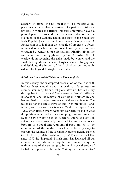attempt to dispel the notion that it is a metaphysical phenomenon rather than a construct of a particular historical process in which the British imperial enterprise played a pivotal part. To this end, there is a concentration on the evolution of the Catholic nation and state in the South (the Irish Republic) and its function in women's oppression. A further aim is to highlight the struggle of progressive forces in Ireland, of which feminism is one, to rectify the distortions wrought by centuries of colonialism. Finally, given the important role being played by the Catholic Church worldwide in reversing the gains made by women and the small, but significant number of rights achieved by gay men and lesbians, the import of the Irish situation inevitably extends far beyond its Anglo-Irish context.

# *British and Irish Feminist Solidarity: A Casualty of War*

In this society, the widespread association of the Irish with backwardness, stupidity and irrationality, in large measure seen as stemming from a religious atavism, has a history dating back to the twelfth-century colonial military intervention, and the renewal of conflict in Northern Ireland has resulted in a major resurgence of these sentiments. The rationale for the latest wave of anti-Irish prejudice - and, indeed, anti Irish racism - is not difficult to decipher. Since 1969, when British troops went into Northern Ireland in what the politicians termed a 'peacekeeping mission' aimed at keeping two warring Irish factions apart, the British authorities have consistently presented themselves as honest brokers in a local intercommunal problem. With the connivance of the media it has been relatively easy to obscure the realities of the sectarian Northern Ireland statelet (see L. Curtis, 1984a; Rolston, ed., 1991) and the fact that since 1970 the 'impartial' British army has launched all-out attacks on the nationalist population, thus ensuring the maintenance of the status quo. In her historical study of British perceptions of the Irish, *Nothing but the Same Old*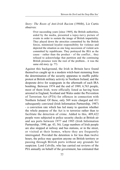*Story: The Roots of Anti-Irish Racism* (1984b), Liz Curtis observes:

> Over succeeding years [since 1969], the British authorities, aided by the media, presented a topsy-turvy picture of events in order to sustain the image of British impartiality. They played down the atrocities committed by the British forces, minimised loyalist responsibility for violence and depicted the situation as one long succession of violent acts committed by republicans. They portrayed the IRA as the cause - rather than the product - of the conflict... they refused to acknowledge that partition and the continuing British presence were the root of the problem... it was the same old story. (p. 77)

Against this background, the Irish in Britain have found themselves caught up in a modern witch-hunt stemming from the determination of the security apparatus to muffle public protest at British military activity in Northern Ireland, and the desperate drive for scapegoats in the aftermath of each IRA bombing. Between 1974 and the end of 1989, 6,763 people, most of them Irish, were officially listed as having been arrested in England, Scotland and Wales under the Prevention of Terrorism Act (PTA) for offences in connection with Northern Ireland. Of these, only 569 were charged and 411 subsequently convicted (Irish Information Partnership, 1987) - a conviction rate which has led many to question whether the whole purpose of the Act is to terrorize rather than to facilitate the detection of crime. Added to this, 409,422 people were subjected to police security checks at British air and sea ports between 1977 and 1985 (Irish Information Partnership, 1990, pp. 43, 56). Large numbers of Irish people are also stopped at railway and bus stations, or in the street, or visited at their homes, where they are frequently interrogated. Provided the detention is for less than twelve hours, the police may question anyone on British territory or passing through British ports without any grounds for suspicion. Lord Colville, who has carried out reviews of the PIA annually on behalf of the government, has estimated that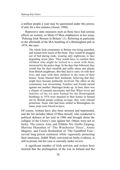a million people a year may be questioned under this power, if only for a few minutes (Jessel, 1990).

Repressive state measures such as these have had serious effects on women, as Maire O'Shea emphasizes in her essay, 'Policing Irish Women in Britain' (1). Referring in particular to the aftermath of the IRA bombing of a Birmingham pub in 1974, she says:

> The whole Irish community in Britain was being punished, and women bore much of the brunt. They would be dragged out of bed during raids, wearing only nightwear, to face degrading sexist jibes. They would have to comfort their children who might be locked in a room with them, terrorized by the police dogs. In the days that followed, they would fear for their menfolk and suffer abuse and attacks from British neighbours. But they had to carry on with their lives and cope with their children in the ruins of their homes. Some blamed their husbands, believing that they might have become politically involved. The effect on the community was devastating. Families and friends turned against one another. Marriages broke up. At best, there was a climate of constant uncertainty and fear. When wives and families of the six men framed for the Birmingham bombings in 1974 were attacked in their homes or burned out by British people seeking revenge, they were refused protection. Some who had been settled in Birmingham for many years were forced to leave.

Of course, women have also been arrested and imprisoned, and the list includes Maire O'Shea herself, who conducted a political defence at her trial in 1986 and brought about the collapse of the Crown's case against her. Others were not so lucky. The sisters Aine and Eibhlin Nic Giolla Easpaig, Martina Shanahan of 'The Winchester Three', Annie Maguire, and Carole Richardson of 'The Guildford Four', served long prison sentences while vigorously protesting their innocence. Judith Ward, convicted on faulty evidence, is still in prison, but her case is currently under review.

A significant number of Irish activists and writers have insisted that the prolongation of the war in Ireland and the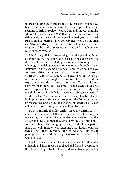intense policing and repression of the Irish in Britain have been facilitated by racist attitudes widely prevalent in all sections of British society- Right, Left and, indeed, feminist. Maire O'Shea argues (1989) that such attitudes have been deliberately inculcated during eight hundred years of British rule in Ireland, during which stereotypical views of the Irish as 'thick', dirty, lazy, wild, treacherous, violent, ungovernable, and possessing an irrational attachment to religion were fostered.

Liz Curtis (1984b), also arguing from this position, draws attention to the inclusion of the Irish in pseudo-scientific theories of race propounded by Victorian anthropologists and ethnologists which gained common currency through popular literature. In this scheme of things, 'races' were said to have inherited differences not only of physique but also of character, and were placed in a hierarchical scale of measurement where Anglo-Saxons were to be found at the top, black people at the bottom, and Celts and Jews somewhere in between. The object of the exercise was not only to prove English superiority but, inevitably, the unsuitability of the 'inferior' races for self-government. A study by the American writer L. Perry Curtis (1971) highlights the efforts made throughout the Victorian era to prove that the English and the Irish were separated by clearcut racial as well as religious and cultural barriers.

Physiognomical differentiation was central to this endeavour, and men of letters invested considerable energy in measuring the cranium, facial angles, thickness of lips, size of jaw and levels of pigmentation to provide a scientific basis for their claim. The 'bulging forward of the lower part of face', the 'chin more or less retreating', the 'large mouth and thick lips', they deduced, indicated a 'quickness in perception', but a 'deficiency in reasoning power' (L. P. Curtis, p. 18).

Liz Curtis and several others have attempted to show that although anti-Irish racism has ebbed and flowed according to the state of Anglo-Irish relations, it was always present in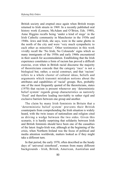British society and erupted once again when British troops returned to Irish streets in 1969. In a recently published oral history work (Lennon, McAdam and O'Brien, Eds. 1988), Anne Higgins recalls being 'under a kind of siege' in the Irish Catholic community in Manchester in the 1930s and 1940s. Jews and Irish, she says, were in the same ghetto in the north of the city and were 'very much sympathetic to each other as minorities'. Other testimonies in this work vividly recall the 'No Irish, No Coloureds' signs which so many immigrants of the 1950s and early 1960s encountered in their search for accommodation. Establishing that the Irish experience constitutes a form of racism has proved a difficult exercise, even when in British racial discourse the majority of theoreticians concede that the category 'race' is not a biological but, rather, a social construct, and that 'racism' refers to a whole cluster of cultural ideas, beliefs and arguments which transmit mistaken notions about the attributes and capabilities of 'racial' groups. Rex, probably one of the most frequently quoted of the theoreticians, states (1970) that racism is present whenever any 'deterministic belief system' regards group characteristics as narrowly 'fixed' and therefore leading inevitably to rather rigid and exclusive barriers between one group and another.

The claim by many Irish feminists in Britain that a 'deterministic belief system' prevents their British counterparts from comprehending the Irish situation is widely heard, with the twin issues of nationalism and religion cited as driving a wedge between the two sides. Given this scenario, it is hardly surprising that solidarity between Irish and British feminists should have been one of the casualties of the latest Anglo-Irish war, although at the beginning of the crisis, when Northern Ireland was the focus of political and media attention worldwide, matters looked as if they might take a different turn.

In that period, the early 1970, often described as the heady days of 'universal sisterhood', women from many different backgrounds - Irish, British, American, Australian and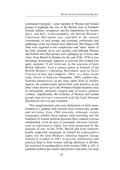continental European - came together in Women and Ireland groups to highlight the role of the British state in Northern Ireland, military occupation, and the implications for women there, and here. Understandably, the British Women's Liberation Movement was regarded as the natural constituency of such groups, and meetings, conferences and gatherings of the movement were addressed. But fatigue with what were regarded as the complexities and 'alien' nature of the Irish situation set in very quickly, and although Women and Ireland and other groups were springing up in towns and cities- from Bristol to Dundee, by the end of the 1970s it was becoming increasingly apparent to activists that Ireland was quite marginal, if not irrelevant, to the concerns of most British feminists. Even a cursory glance at histories of the British Women's Liberation Movement, such as *Sweet Freedom* (Coote and Campbell, 1982), or a more recent work, *Hyenas in Petticoats* (Neustatter, 1989), confirms this. Feminist perspectives on the state, apart from its welfare aspects, are conspicuously absent from such histories, as are other issues thrown up by the Northern Ireland situation, such as nationalism, unionism, religion and, of course, political violence. Significantly, the existence of Women and Ireland groups and activities concerned with the Irish National Question do not even get a mention.

This marginalization and even obliteration of Irish issues resulted in a gradual shift towards Irish women-only groups and activities from 1980 onwards, although certain campaigns, notably those against strip-searching and the treatment of women political prisoners have retained a mixed membership. Even an area of seemingly universal concern, such as reproductive rights, has been permeated by the tensions of war. In the 1970s, British and Irish feminists jointly supported campaigns in Ireland for contraceptive rights, but the Irish Women's Abortion Support Group, formed in London in 1981 to provide information and practical help to Irish women seeking abortions in Britain, has restricted its membership to Irish women (1988, p. 68). A separatist politics has clearly had positive outcomes, not least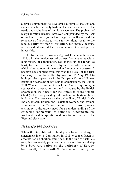a strong commitment to developing a feminist analysis and agenda which is not only Irish in character but relative to the needs and aspirations of immigrant women. The problem of marginalization remains, however, compounded by the lack of an Irish feminist journal or magazine in Britain and the reluctance of activists to write for, let alone speak, to the media, partly for fear of distortion, but mainly because serious and informed debate has, more often than not, proved impossible.

The formation of Women Against Fundamentalism in 1989, with the involvement of women from countries with a long history of colonization, has opened up one forum, at least, for the discussion of religion in a political context which takes account of historical and economic processes. A positive development from this was the picket of the Irish Embassy in London called by WAF on 15 May 1990 to highlight the appearance in the European Court of Human Rights at Strasbourg of two Dublin organizations, the Dublin Well Woman Centre and Open Line Counselling, to argue against their prosecution in the Irish courts by the British organization the Society for the Protection of the Unborn Child (SPUC) for providing information on abortion clinics in Britain. The presence on the picket line of British, Irish, Indian, Israeli, Iranian and Pakistani women, and women from some of the Catholic countries of Europe, was a testimony to the urgent need for an understanding of the gathering momentum of religious fundamentalism worldwide, and the specific conditions for its existence in the West and elsewhere.

#### *The Rise of an Irish Catholic State*

When the Republic of Ireland put a foetal civil rights amendment into its Constitution in 1983 to copper-fasten its absolute ban on abortion dating back to the time of Victoria's rule, this was widely perceived in Britain as a backward step by a backward nation on the periphery of Europe, traditionally at odds with Western social thinking and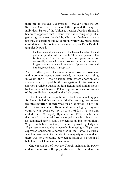therefore all too easily dismissed. However, since the US Supreme Court's decision in 1989 opened the way for individual States of the Union to restrict abortion rights, it becomes apparent that Ireland was the cutting edge of a gathering movement headed by Christian fundamentalists not only to curtail or outlaw abortion worldwide, but to grant civil status to the foetus, which involves, as Ruth Riddick graphically puts it:

> the legal idea of personhood of the foetus, the inhabiter and potential product of the womb. This new 'person', the foetus, qualifies for constitutional guarantees not necessarily extended to adult women and may constitute a litigant against women in matters of pre-natal care and birthing procedures. (1990, p. 12)

And if further proof of an international pro-life movement with a common agenda were needed, the recent legal ruling in Guam, the US Pacific island state where abortion was already banned, to prohibit the propagation of information on abortion available outside its jurisdiction, and similar moves by the Catholic Church in Poland, appear to be carbon copies of the prohibition imposed by the Irish courts.

The choice of the Republic of Ireland as a launching pad for foetal civil rights and a worldwide campaign to prevent the proliferation of information on abortion is not too difficult to understand. Its reputation as a highly religious country was borne out by a survey of Irish values and attitudes in 1984 Fogarty. Ryan and Lee, 1984) which found that only 1 per cent of those surveyed described themselves as 'convinced atheist' and 1 per cent as having 'no religion'; 95 per cent believed in God, 81 per cent prayed regularly and 82 per cent attended church weekly. Interestingly, 79 per cent expressed considerable confidence in the Catholic Church, which means that in the minds of the majority of respondents there was no dichotomy between religion as a system of belief and the Church as an institution.

One explanation of how the Church maintains its power and influence over the population is to be found in the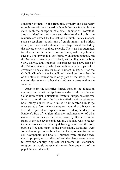education system. In the Republic, primary and secondary schools are privately owned, although they are funded by the state. With the exception of a small number of Protestant, Jewish, Muslim and non-denominational schools, the majority are owned by the Catholic Church. Policy matters, such as teachers' conditions of employment, and ethical issues, such as sex education, are to a large extent decided by the private owners of these schools. The state has attempted to intervene in the latter in recent times, with only limited success. The universities are formally undenominational, but the National University of Ireland, with colleges in Dublin, Cork, Galway and Limerick, experiences the heavy hand of the Catholic hierarchy, who have traditionally been part of its governing body since its establishment in 1908. That the Catholic Church in the Republic of Ireland performs the role of the state in education is only part of the story, for its control also extends to hospitals and many areas within the social services.

Apart from the affinities forged through the education system, the relationship between the Irish people and Catholicism which, uniquely in Western Europe, has survived in such strength until the late twentieth century, stretches back many centuries and must be understood in large measure as a form of resistance to imperialism. It was the British imperial enterprise which first opened up the Pandora's Box of religion, after the implementation of what came to be known as the Penal Laws by British colonial rulers in the late seventeenth century. The idea was to reduce Catholics to a servile caste by debarring them from the vote, public office and many of the professions. Catholics were forbidden to open schools or teach in them, to manufacture or sell newspapers and books. Churches were closed down, church property was confiscated and the clergy were ordered to leave the country. Anglicanism became the Established religion, but could never claim more than one-sixth of the population as adherents.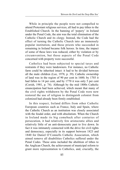While in principle the people were not compelled to attend Protestant religious services, all had to pay tithes to the Established Church. In the banning of 'popery' in Ireland under the Penal Code, the aim was the total elimination of the Catholic Church and its clergy. Instead, the Code had the effect of turning the Catholic Church into an immensely popular institution, and those priests who succeeded in remaining in Ireland became folk heroes. In time, the impact of some of these laws was reduced, either by violation or by circumvention, but those aspects of the Penal Code concerned with property were successful.

Catholics had been subjected to special taxes and restraints if they were landowners. For instance, no Catholic farm could be inherited intact: it had to be divided between all the male children (Lee, 1978, p. 39). Catholic ownership of land was in the region of 90 per cent in 1600; by 1703 it had fallen to 14 per cent, and by 1770 it was only 5 per cent (Corish, 1981, p. 74). Although by the mid 1800s Catholic emancipation had been achieved, which meant that many of the civil rights withdrawn by the Penal Code were now restored the use of religion to distinguish colonist from colonized had already been firmly established.

In this respect, Ireland differs from other Catholic European countries such as France, Italy and Spain, where the Catholic Church as an institution was closely associated with the feudal order, and with absolutism. When the Church in Ireland made its big comeback after centuries of persecution, it had relatively few aristocratic allies and relatively little of an anti-democratic past to live down. In fact it was intimately connected with the drive for civil rights and democracy, especially in its support between 1823 and 1840 for Daniel O'Connells Catholic Association, which aimed remove all disabilities Catholics suffered under the Penal Codes. These aims included the abolition of tithes to the Anglican Church, the achievement of municipal reform to grant more representation to Catholics, and, crucially, the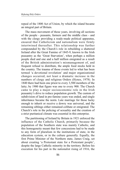repeal of the 1800 Act of Union, by which the island became an integral part of Britain.

The mass movement of those years, involving all sections of the people - peasants, farmers and the middle class - and with the clergy providing a ready-made political apparatus, ensured that Catholicism and nationalism were firmly intertwined thereafter. This relationship was further compounded by the Church's role in rebuilding a shattered Ireland after the Great Famine of 1845-9, known to the Irish peasantry as the 'Great Starvation', when perhaps a million people died and one and a half million emigrated as a result of the British administration's mismanagement of, and frequent refusal to distribute, the ample food stocks held in the country. The trauma of those events led to what has been termed 'a devotional revolution' and major organizational changes occurred, not least a dramatic increase in the numbers of clergy and religious Orders (Hynes, 1978). In 1840 there had been one priest to every 3,500 members of the laity; by 1900 that figure was one to every 900. The Church came to play a major socioeconomic role in the Irish peasantry's drive to reduce population growth. The custom of subdivision of land in pre-famine years was ended, and single inheritance became the norm. Late marriage for those lucky enough to inherit or receive a dowry was universal, and the remaining siblings either remained celibate or emigrated. The Church's role in the policing of sexuality and the creation of a strict puritanical climate was essential in this enterprise.

The partitioning of Ireland by Britain in 1921 enforced the influence of the Catholic Church, primarily because the population of the Southern state was mainly Catholic, and this homogeneity meant that few concessions had to be made to any form of pluralism in the institutions of state, in the education system, or in the culture generally. Equally, the first Prime Minister of the Northern state, James Craig, set about creating 'a Protestant state for a Protestant people', despite the large Catholic minority in the territory. Before his execution for his part in the nationalist rising of 1916, the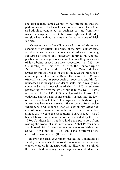socialist leader, James Connolly, had predicted that the partitioning of Ireland would lead to 'a carnival of reaction' as both sides conducted the business of state from their respective *laagers*. He was to be proved right, and to this day religion has retained its status as the cornerstone of Irish identity.

Almost as an act of rebellion or declaration of ideological separation from Britain, the rulers of the new Southern state set about constructing a Catholic social order and reversing centuries of British and Protestant domination. A moral purification campaign was set in motion, resulting in a series of laws being passed in quick succession: in 1923, the Censorship of Films Act; in 1929, the Censorship of Publications Act; and in 1935, the Criminal Law (Amendment) Act, which in effect outlawed the practice of contraception. The Public Dance Halls Act of 1935 was officially aimed at prosecuting those responsible for unlicensed and unsupervised dance halls, but in reality was concerned to curb 'occasions of sin'. In 1925, a test case petitioning for divorce was brought to the Dàil; it was unsuccessful. The 1861 Offences Against the Person Act, outlawing abortion and homosexuality, passed into the laws of the post-colonial state. Taken together, this body of legal imperatives hermetically sealed off the society from outside influences and ensured that an extremely orthodox Catholicism remained unassailed until recent times. For almost thirty years the Censorship Board issued lists of banned books every month - to the extent that by the mid 1950s Southern Irish readers had been prevented from reading the works of nine international Nobel Prizewinners and those of virtually every serious contemporary Irish writer as well. It was not until 1967 that a major reform of the censorship laws occurred (Brown, 1981).

In 1935 the Irish government passed the Conditions of Employment Act which imposed a maximum proportion of women workers in industry, with the discretion to prohibit them entirely if necessary. A marriage bar was introduced in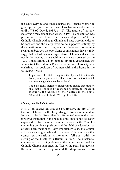the Civil Service and other occupations, forcing women to give up their jobs on marriage. This bar was not removed until 1973 (O'Dowd, 1987, p. 15). The nature of the new state was firmly established when, in 1937, a constitution was promulgated which accorded 'a special position' to the Catholic Church. Although Church and state were intended to be separate and the clergy were to be supported entirely by the donations of their congregation, there was no genuine separation between the two. Some commentators have rightly suggested that while a marriage between Church and state did not in fact occur, a state-within-a-state was created by the 1937 Constitution, which banned divorce, established the family (not the individual) as the basic unit of society, and enshrined the position of women within the home in the following Article:

> In particular the State recognises that by her life within the home, woman gives to the State a support without which the common good cannot be achieved.

> The State shall, therefore, endeavour to ensure that mothers shall not be obliged by economic necessity to engage in labour to the neglect of their duties in the home. (Constitution of Ireland, 1937, pp. 136,138)

#### *Challenges to the Catholic State*

It is often suggested that the progressive nature of the Catholic Church in the long struggle for an independent Ireland is clearly discernible, but its central role as the most powerful institution in the post-colonial state is not so easily explained. In fact there are several reasons for the Church's continuing dominant position, and the field of education has already been mentioned. Very importantly, also, the Church acted as a social glue when the coalition of class interests that comprised the nationalist movement fell apart with the signing of the Treaty with Britain in 1922. The substantial commercial and trading elements, the larger farmers and the Catholic Church supported the Treaty; the petty bourgeoisie, the small farmers, the poor and the dispossessed were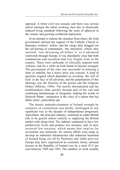opposed. A bitter civil war ensued, and there was serious unrest amongst the urban working class due to drastically reduced living standards following the years of upheaval in the country and growing worldwide depression.

In an attempt to redeem the situation from chaos, the Irish government enlisted the support of the Catholic Church to denounce workers' strikes, and the clergy duly dragged out the red herring of communism, 'the Antichrist', which, they insisted, 'was devouring all before it' as it advanced westwards through Europe. It was abundantly clear that both communism and socialism had very fragile roots in the country. There were outbreaks of clerically inspired mob violence, and for a while an Irish brand of fascism emerged. The government of the time was successful in restoring a form of stability, but a heavy price was exacted. A kind of quietism reigned which depended on invoking 'the will of God' in the face of all adversity, and the perpetuation of this ideology was the function of the priests and the religious Orders (Milotte, 1984). The merely discontented and the troublemakers alike quickly became part of the vast and continuing haemmorage of emigrants, making the words of Heinrich Mann, 'emigration is the voice of a nation that has fallen silent', particularly apt.

The drastic underdevelopment of Ireland wrought by centuries of colonialism was hardly challenged in any significant way as the decades of independence progressed. Agriculture, the principal industry, continued as under British rule to be geared almost entirely to supplying the British market with cheap food. The industry continued to have low productivity levels and produce low incomes, and, in turn, incurred low taxation, which meant that surp1us for investment was miniscule. No serious efforts were made to develop an industrial infrastructure (the industrial heartland of Ireland being cut off by Partition) and while post-war Europe may have experienced an economic boom, national income in the Republic of Ireland rose by a mere 81/2 per cent between 1949 and 1956. The numbers at work actually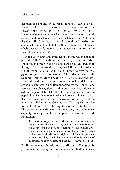declined and emigration averaged 40,000 a year, a serious annual exodus from a country where the population stood at fewer than three million (Daly, 1981, p. 163). Underdevelopment continued to retard the progress of civil society, and social relations remained fossilized. Naturally, the Catholic Church, as the only developed institution, continued to maintain its hold, although there was a famous, albeit unsuccessful, attempt to introduce state control in the field of health in the 1950s.

A radical mother-and-child health scheme which aimed to provide full free medical care before, during and after childbirth and free GP and hospital care for all children up to the age of sixteen was devised by Noel Browne, Minister of Health from 1949 to 1951. It also aimed to provide free gynaecological care for women. The 'Mother and Child Scheme' immediately became a *cause célèbre* and was attacked by the medical profession, who feared for their economic interests, a position endorsed by the Church, and very surprisingly so, given the dire poverty, malnutrition, and extremely poor state of health of very large sections of the population. The hierarchy's principal concern, however, was that the service was in direct opposition to the rights of the family established in the Constitution. 'The right to provide for the health of children belongs to parents, not to the State. The State has the right to intervene only in a subsidiary capacity, to supplement, not supplant', it was stated; and, furthermore:

> Education in regard to motherhood includes instruction in regard to sex relations, chastity and marriage. The State has no competence to give instruction in such matters. We regard with the greatest apprehension the proposal to give to local medical officers the right to tell Catholic girls and women how they should behave in regard to this sphere of conduct at once so delicate and sacred. (Browne, 196, p. 25)

Dr Browne was abandoned by all his colleagues in government, including Labour members and trade unionists,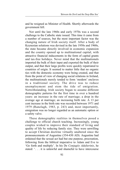and he resigned as Minister of Health. Shortly afterwards the government fell.

Not until the late 1960s and early 1970s was a second challenge to the Catholic state issued. This time it came from a number of sources, but the most important factor was the changing nature of Irish society itself. After a body of Keynesian solutions was devised in the late 1950s and 1960s, the state became directly involved in economic expansion and the country opened up to multinational capital, with attractive financial inducements in the form of capital grants and tax-free holidays. Never mind that the multinationals imported the bulk of their input and exported the bulk of their output, and that their large profits were quickly repatriated to countries of origin. It seemed to matter little that no organic ties with the domestic economy were being created, and that from the point of view of changing social relations in Ireland, the multinationals merely tended to form 'modern' enclaves in a traditional society. The drive was to reduce unemployment and stem the tide of emigration. Notwithstanding, Irish society began to assume different demographic patterns for the first time in over a hundred years: an increase in the rate of marriage; a drop in the average age at marriage; an increasing birth rate. A 13 per cent increase in the birth rate was recorded between 1971 and 1979 (Ranelagh, 1983, p. 243) and, most importantly, emigration was no longer regarded as an automatic option or a safety valve.

These demographic realities in themselves posed a challenge to official church teaching. Increasingly, young couples wished to improve their standard of living and quality of life by reducing family size. They were unwilling to accept Christian doctrine virtually unaltered since the pronouncements of Augustine (354-430 AD). Augustine had ordained that the sexual act had but one purpose, procreation, following from the biblical imperative to Adam and Eve to 'Go forth and multiply'. In his De *Conjugiis Adulterinis*, he stated: '. . . it is unlawful and shameful to have intercourse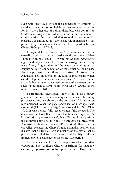even with one's own wife if the conception of children is avoided. Onan the Son of Judah did this and God slew him for it.' Any other use of coitus, therefore, was contrary to God's law. Augustine not only condemned any use of contraception, but insisted that to seek intercourse for pleasure was sinful, but if it took place within marriage it was protected by the sacrament and therefore a pardonable sin (Enger, 1966, pp. 117,145).

Throughout the centuries the Augustinian doctrine on sexuality and marriage remained virtually unaltered. When Thomas Aquinas (1224-74) wrote his *Summa Theologica* eight hundred years later, his views on marriage and sexuality were firmly Augustinian, and he was as unambiguous as Augustine in his condemnation of the sexual act being used for any purpose other than procreation. Aquinas, like Augustine, set limitations on the kind of relationship which can develop between a man and a woman: '. . . she is, after all, a defective man, conceived because of weakness in the seed, or because a damp south wind was b1Owing at the time...' (Enger, p. 141).

The traditional theological view of coitus as a purely genital act became less convincing as the nineteenth century progressed and a debate on the purpose of intercourse recommenced. When the papal encyclical on marriage, *Casti Connubii* (Christian Marriage), was issued by Pius XI in 1930, it was neither fully accepted nor fully rejected. The encyclical declared that love in Christian marriage held 'a kind of primacy of excellence', thus affording love a position it had never before held; in this it represented a break with Augustinian theory (Noonan, 1966, p. 495). However, the encyclical restated the Church's fundamentalist position and insisted that all true Christians must view the sexual act as primarily intended for procreation, and fertility could be limited only by abstinence or use of the 'safe period'.

This pronouncement differed sharply from the Protestant viewpoint. The Anglican Church in Britain, for instance, cautiously approved of contraception in 1930. However, it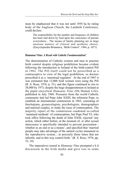must be emphasized that it was not until 1958 ha he ruling body of the Anglican Church, the Lambeth Conference, could declare:

> The responsibility for the number and frequency of children has been laid down by God upon the conscience of parents everywhere... The means of family planning are in large measure matters of clinical and aesthetic choice. (Encyclopaedia Britannica, 'Birth Control', 1984, p. 1071)

#### **Humanae Vitae:** *A Break with Catholic Fundamentalism?*

The determination of Catholic women and men to practise birth control despite religious prohibition became evident following the introduction to Ireland of the birth-control Pill in 1962. The Pill itself could not be prescribed as a contraceptive in view of the legal prohibition, so doctors prescribed it as a 'menstrual regulator'. At the end of 1967 it was estimated that 12,000 Irish women were using the Pill (R. S. Rose, 1976, p. 31), and this figure continued to rise to 38,000 by 1973, despite the huge disappointment in Ireland at the papal encyclical *Humanae Vitae* (On Human Life), published in July 1968. Pressures from the world Catholic community had led Pope John XXIII, the reformist Pope, to establish an international commission in 1963, consisting of theologians, gynaecologists, psychologists, demographers and married couples, to study the issue of contraception. The majority report of the commission condoned so-called 'unnatural methods' of contraception, but Pope Paul VI, who took office following the death of John XXIII, rejected 'any action, which either before, at the moment of, or after sexual intercourse is specifically intended to prevent procreation whether as an end or as a means', and specified that 'married people may take advantage of the natural cycles immanent in the reproductive system... at precisely those times that are infertile, and in this way control birth.' (R. S. Rose, 1976, pp. 33, 34)

The imperatives issued in *Humanae Vitae* prompted a h d discussion in the Irish media and gave rise to some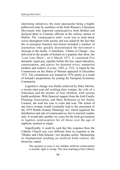interesting initiatives, the most spectacular being a highly publicized stunt by members of the Irish Women's Liberation Movement who imported contraceptives from Belfast and declared them to Customs officials at the railway station in Dublin. The 'contraceptive train' event was to send shock waves throughout Irish society and was aided by the fact that the re-emergent feminist movement included a number of journalists who quickly disseminated the movement's message to the media. A manifesto, 'Chains or Change', was delivered to the people of Ireland on a popular chat show, the 'Late Late Show', on 6 March 1971. It contained five demands: equal pay, equality before the law, equal education, contraception, and justice for deserted wives, unmarried mothers and widows (Levine, 1982, p. 155). A report by the Commission on the Status of Women appeared in December 1972. The commission was formed in 1970, partly as a result of Ireland's preparations for joining the European Economic Community.

Legislative change was finally achieved by Mary McGee, a twenty-nine-year-old working-class woman, the wife of a fisherman and the mother of four children, with serious health problems. With financial support from the Irish Family Planning Association, and Mary Robinson as her Senior Counsel, she took her case to court and won. The action of one brave woman would eventually lead to the enactment of the 1979 Health (Family Planning) Act, which legalized the distribution and sale of contraceptives, but to married couples only. It would take another six years for the Irish government to legalize contraception for all those over the age of eighteen, married or single.

Superficially, it could be said that this response from the Catholic Church was very different from its response to the 'Mother and Child Scheme' two decades earlier. Maintaining its fundamental teaching on artificial birth control, the hierarchy, stated:

> The question at issue is not whether artificial contraception is morally right or wrong. The clear teaching of the Catholic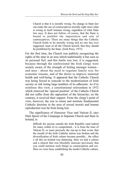Church is that it is morally wrong. No change in State law can make the use of contraceptives morally right since what is wrong in itself remains wrong, regardless of what State law says. It does not follow, of course, that the State is bound to prohibit the importation and sale of contraceptives. There are many things that the Catholic Church holds to be morally wrong and no one has ever suggested, least of all the Church herself, that they should be prohibited by the State. (Irish Press, 1973)

For the first time, the Church was publicly recognizing the rights of the state in an area which traditionally it has seen as its personal fief, and this battle was lost, it is suggested, because through the confessional the Irish clergy were acutely aware of the strength of feeling amongst women and men - about the need to regulate family size for economic reasons, and of the desire to improve maternal health and well-being. It appeared that the Catholic Church was being forced to concede to the modernization of Irish society or risk losing large numbers of its adherents. As if to reinforce this view, a constitutional referendum in 1972 which removed the 'special position' of the Catholic Church did not suffer from the opposition of the hierarchy; on the contrary, it received their support. From the clergy's point of view, however, the war to retain and institute fundamental Catholic doctrine in the area of sexual morals and human reproduction was far from being lost.

The significance of *Humanae Vitae* and Vatican II, says Dick Spicer of the Campaign to Separate Church and State in Ireland, is:

> difficult for anyone outside the Irish Republic (and indeed for many within it) to comprehend... it is from the time of Vatican II, or more precisely the run-up to that event, that the mould of the Irish Catholic nation was broken and the diversification of Irish culture became possible... the effect o all this on Ireland was shattering. Here we had a culture and a church that was blissfully unaware previously that you could mention such things as contraception and sex. Here we were busy establishing the model Catholic culture,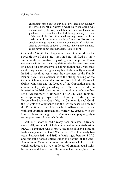enshrining canon law in our civil laws, and now suddenly the whole moral certainty o what we were doing was undermined by the very institution to which we looked for guidance. Here was the Church debating publicly its view of the world, the Pope it seemed veering towards a liberal position and our sainted society forced to discuss and consider things the very mention or thought of which was alien to our whole outlook ... Ireland, like Humpty Dumpty, could never be put together again. (Spicer, 1991)

Or could it? While the clergy were forced to concede on the sovereignty of the state, they had not shifted on their fundamentalist position regarding contraception. Those elements within the Irish population who believed we were on course for a progressive social revolution had a very rude awakening when the right-wing backlash actually occurred. In 1981, just three years after the enactment of the Family Planning Act, lay elements, with the strong backing of the Catholic Church, secured a promise from both the Taoiseach (Prime Minister) and the Leader of the Opposition that an amendment granting civil rights to the foetus would be inserted in the Irish Constitution. An umbrella body, the Pro-Life Amendment Campaign (PLAC), was formed, encompassing groups such as Family Solidarity, the Responsible Society, Opus Die, the Catholic Nurses' Guild, the Knights of Columbanus and the British-based Society for the Protection of the Unborn Child. Alliances were made with anti-abortion organizations worldwide, especially in the United States, and aggressive American campaigning-style techniques were adopted wholesale.

Although abortion had already been outlawed in Ireland since 1881, and much of Ireland claimed to be anti-abortion, PLAC's campaign was to prove the most divisive issue in Irish society since the Civil War in the 1920s. For nearly two years, between 1981 and 1983, a battle raged between PLAC and opposing forces united under the banner of the Anti-Amendment Campaign. A referendum was held in 1983 which produced a 2-1 vote in favour of granting equal rights to mother and foetus from the moment of conception. The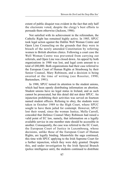extent of public disquiet was evident in the fact that only half the electorate voted, despite the clergy's best efforts to persuade them otherwise (Jackson, 1986).

Not satisfied with its achievement in the referendum, the Catholic Right has remained highly active. In 1985, SPUC took legal action against the Dublin Well Woman Centre and Open Line Counseling on the grounds that they were in breach of the newly amended Constitution by referring women to British abortion clinics. Following a court case the Well Woman Centre was prevented from carrying out referrals, and Open Line was closed down. An appeal by both organizations in 1988 was lost, and legal costs amount to a total of £80,000. Both organizations had their case referred to the European Court of Human Rights at Strasbourg by their Senior Counsel, Mary Robinson, and a decision is being awaited at the time of writing (see Rossiter, 1990; Burtenshaw, 1991).

In 1988, SPUC turned its attention to the student unions, which had been openly distributing information on abortion. Student unions have no legal status in Ireland, and as such cannot be prosecuted, but this detail did not deter SPUC. An injunction prohibiting their activities was served on fourteen named student officers. Refusing to obey, the students were taken in October 1989 to the High Court, where SPUC sought to have them jailed for contempt. However, SPUC lost their round, since the woman Justice, Mella Carroll, conceded that Defence Counsel Mary Robinson had raised a valid point of EC law, namely, that information on a legally available service in one member state should be accessible in another. Consequently, the case was referred to the EC Court, the European Court of Justice in Luxembourg, whose decisions, unlike those of the European Court of Human Rights, are legally binding. Meanwhile the saga continued, this time with SPUC applying to the Irish Supreme Court for a further injunction, which they were duly granted. Despite this, and under investigation by the Irish Special Branch (police intelligence unit), the students continued to distribute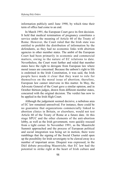information publicly until June 1990, by which time their term of office had come to an end.

In March 1991, the European Court gave its first decision. It held that medical termination of pregnancy constitutes a service under the meaning of Article 60 of the Treaty of Rome. However, the Court ruled that the Irish state was entitled to prohibit the distribution of information by the defendants, as they had no economic links with abortion agencies in other member states. The ambit of the European Court had been primarily in economic and commercial matters, owing to the nature of EC relations to date. Nevertheless, the Court went further and ruled that member states have the right to derogate from European law where moral issues are concerned. Because the unborn's right to life is enshrined in the Irish Constitution, it was said, the Irish people have made it clear that they want to rule for themselves on the moral issue of abortion; therefore, European law cannot intervene in this matter. In May, the Advocate General of the Court gave a similar opinion, and in October thirteen judges, drawn from different member states, concurred with the original decision. The verdict has now to be applied in the Irish High Court.

Although the judgement seemed decisive, a nebulous area of EC law remained unresolved. For instance, there could be no guarantee that organzations commercially linked to abortion clinics in Britain, or elsewhere, would not test Article 60 of the Treaty of Rome at a future date. At this stage SPUC and the other elements of the anti-abortion lobby, as well as the Irish government, were quickly rescued from a tight corner. In November 1991, as the Maastricht Summit approached and the process of European political and social integration was being set in motion, there were rumblings that the signing of the Social Charter could open up the possibility for Irish sovereignty to be clawed away in a number of important areas. Disquiet was expressed, in the Dàil debate preceding Maastricht, that EC law had the potential to strike right at the heart of Irish culture and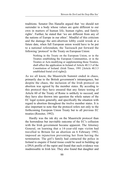traditions. Senator Des Hanafin argued that 'we should not surrender to a body whose values are quite different to our own in matters of human life, human rights, and family rights'. Further, he stated that 'we are different from any of the nations of Europe in our ethos'. Mindful of this criticism and the damage the anti-abortion lobby could wreak at a future date, when full European union would have to be put to a national referendum, the Taoiseach put forward the following 'protocol' to the Treaty on European Union:

> Nothing in the Treaty on the European Union, or in the Treaties establishing the European Communities, or in the Treaties or Acts modifying or supplementing those Treaties, shall affect the application in Ireland of Article 40.3.3 of the Constitution of Ireland. (Irish Times, 1991 [Article 40.3.3 established foetal civil rights]).

As we all know, the Maastricht Summit ended in chaos, primarily due to the British government's intransigence, but despite the chaos, the inclusion of the Irish protocol on abortion was agreed by the member states. By acceding to this protocol they have ensured that any future testing of Article 60 of the Treaty of Rome is unlikely to succeed, and they have also thrown into question the whole nature of the EC legal system generally, and specifically the situation with regard to abortion throughout the twelve member states. It is also important to note that the protocol refers not only to the forthcoming European Union Treaty but to all previous EC treaties (Rossiter, 1992).

Hardly was the ink dry on the Maastricht protocol than the horrendous but inevitable outcome of the EC's collusion with the Irish government became apparent. The Attorney General, on learning that a 14-year-old rape victim had travelled to Britain for an abortion on 6 February 1992, imposed an injunction preventing her from having the termination. The girl's family had contacted the police in Ireland to enquire if foetal tissue could be used in building up a DNA profile of the rapist and found that such evidence was inadmissable in Irish law. They also found that daughter and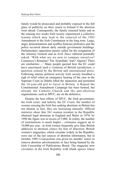family would be prosecuted and probably exposed to the full glare of publicity on their return to Ireland if the abortion went ahead. Consequently, the family returned home and in the ensuing two weeks Irish society experienced a collective trauma which may lead to the removal of the 1983 Amendment to the Irish Constitution in the long term. Large, angry demonstrations and scuffles between protesters and the police occurred almost daily outside government buildings. Parliamentary opposition parties called for the resignation of the Attorney General and an *Irish Times* editorial pointedly asked, 'With what are we now to compare ourselves? Ceausescu's Romania? The Ayatollahs' Iran? Algeria? There are similarities ...' Many people queried how the EC could have sanctioned such a violation of British jurisdiction, a question echoed by the British and international press. Following intense political activity Irish society breathed a sigh of relief when an emergency hearing of the case in the Supreme Court in Dublin lifted the injunction and permitted the 14-year-old girl to travel to Britain. A Repeal the Constitutional Amendment Campaign has been formed, but already the Catholic Church and the anti-abortion organisations, such as SPUC, are on the defensive.

Despite the best efforts of SPUC, the Irish government, the Irish court, and latterly the EC Court, the number of women crossing the Irish Sea seeking abortions in Britain has not abated; in fact, they are increasing annually. Official statistics show that 261 women resident in the Republic obtained legal abortions in England and Wales in 1970; by 1990 the figure was in excess of 5,000. In reality, the number of terminations is much higher - estimates suggest up to 10,000 per year - as Irish women frequently give false British addresses to abortion clinics for fear of detection. British women's magazines, which circulate widely in the Republic, were one of the last sources of abortion information, but in October 1989 *Cosmopolitan* was given six months' notice to remove abortion advertisements or face being banned by the Irish Censorship of Publications Board. The magazine now circulates in the Irish Republic with blank spaces where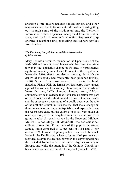abortion clinic advertisements should appear, and other magazines have had to follow suit. Information is still getting out through some of the student unions, the Women's Information Network operates underground from the Dublin area, and the Irish Women's Abortion Support Group operates a telephone line, counseling and support services from London.

# *The Election of Mary Robinson and the Modernization of Irish Society*

Mary Robinson, feminist, member of the Upper House of the Irish Dàil and constitutional lawyer who had been the prime mover in the legislative change in the area of reproductive rights and sexuality, was elected President of the Republic in November 1990, after a presidential campaign in which the depths of misogyny had frequently been plumbed (Finlay, 1990). Some of the most powerful forces in the land, including Fianna Fàil, the largest political party, were ranged against the winner. Can we say, therefore, in the words of Yeats, that yes, 'All's changed changed utterly'? Most commentators acknowledge that Robinson's election was part of the fallout over the abortion and divorce referenda results and the subsequent opening up of a public debate on the role of the Catholic Church in Irish society. That social change on these issues is occurring is indisputable, and especially since the recent rape case, but the extent of it is still very much an open question, as is the length of time the whole process is going to take. A recent survey by the Reverend Michael McGreil, a sociologist at Maynooth, the ecclesiastical college, shows that 82 per cent of the population attend Sunday Mass compared to 87 per cent in 1984 and 91 per cent in 1974. Formal religious practice is shown to be much lower in the Dublin area, where a figure of 64 per cent was recorded. Despite the decline, however, the survey underlines the fact that Ireland is still the most religious society in Europe, and while the strength of the Catholic Church has been dented somewhat, it is still triumphant (Pollack, 1991).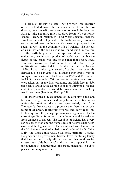Nell McCafferty's claim - with which this chapter opened - that it would be only a matter of time before divorce, homosexuality and even abortion would be legalized fails to take account, much as does Rostow's economic 'stages' theory in relation to Third World societies, that the structural underdevelopment of the Irish economy produces serious impediments in the way of a measured progress in the social as well as the economic life of Ireland. The serious crisis in which the Irish economy found itself in the mid 1980s, with large-scale unemployment and massive emigration, was in part a product of world recession, but the depth of the crisis was due to the fact that scarce local financial resources had been diverted into foreign multinationals attracted to Ireland in the late 1960s and 1970s. Local industry, starved of capital, was severely damaged, as 64 per cent of all available Irish grants went to foreign firms based in Ireland between 1979 and 1983 alone. In 1983, for example, £500 million in multinational profits were taken out of the Irish economy, and Irish foreign debt per head is about twice as high as that of Argentina, Mexico and Brazil, countries whose debt crises have been making world headlines (Jennings, 1985, p. 138).

In order to place the exigencies of the economy aside, and to extract his government and party from the political crisis which the presidential election represented, one of the Taoiseach's first acts was to promise the liberalization of a number of areas, including divorce and contraception. Following from this, a legal process was begun whereby the current age limit for access to condoms would be reduced from eighteen to sixteen. The Republic of Ireland has a very serious drugs problem, the highest rate of heterosexual AIDS cases and the highest rate of babies infected with the virus in the EC, but as a result of a clerical onslaught led by Dr Cahal Daly, the ultra-conservative Catholic primate, Charles Haughey and his government backed down, muttering loudly that they weren't 'really all that keen on this condoms for sixteen-year-olds business' and that the proposal for the introduction of contraceptive-dispensing machines in public places was being ruled out.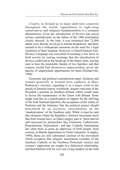Clearly, in Ireland as in many debt-torn countries throughout the world, capitulation to right-wing conservatives and religious fundamentalists is a common phenomenon. Even the introduction of divorce has posed serious contradictions, as the failure of the 1986 referendum clearly showed. At the time, it was estimated that 72,000 adults were directly involved in marital breakdown, and there seemed to be a widespread consensus on the need for a legal resolution of their situation. However, a Church-backed Anti-Divorce Campaign was successful in touching a raw nerve in Irish society by issuing warnings that the introduction of divorce could lead to the break-up of the family farm, leaving men to bear the intolerable burden of two families; and that women would find themselves impoverished, given the paucity of employment opportunities for them (Prenderville, 1988).

Economic and political contradictions apart, feminists and women generally in Ireland were euphoric at Mary Robinson's election, regarding it as a major event in the annals of feminist history worldwide, despite criticisms of the President s position on Northern Ireland, which would seem to favour the maintenance of the Union with Britain. Some might read this as a manifestation of support for the shelving of the Irish National Question, the acceptance of the reality of Partition and the inference that the political project should henceforth be an exclusive concentration on the 'modernization' of the Southern state. While it must be said that elements within the Republic's feminist movement insist that Irish women have, as Edna Longley puts it, 'been starved and repressed by patriarchies like Unionism, Catholicism, Protestantism, Nationalism', and that 'Catholic Nationalism has often been as great an oppressor of Irish people, Irish women, as British imperialism or Ulster Unionism' (Longley, 1990), there are still substantial sections of the movement which recognize that religion, nationalism (whether of the Southern Catholic or the Northern Protestant variety) and women's oppression are caught in a dialectical relationship, and that Partition will for ever cast a long shadow on the Irish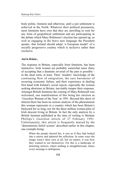body politic, feminist and otherwise, until a just settlement is achieved in the North. Whatever their political persuasion, most feminists have own that they are unwilling to wait for any form of geopolitical settlement and are participating in the debate which Mary Robinson's election has opened up, as well as engaging in the brave new language the President speaks- that Ireland should adopt 'a European model' of a socially progressive country which is inclusive rather than exclusive.

# *And in Britain...*

The response in Britain, especially from feminists, has been instructive. Irish women are probably somewhat more chary of accepting that a dramatic reversal of the past is possible in the short term, at least. Their 'insiders' knowledge of the continuing flow of emigration, the sure barometer of recurring economic failure, and their experience in dealing first hand with Ireland's social rejects, especially the women seeking abortions in Britain, inevitably temper their response. Amongst British feminists the coming of Mary Robinsull was welcomed, one manifestation of this being her election as '*Guardian* Woman of the Year' in 1991. Beyond this show of interest there has been no serious analysis of the phenomenon this woman represents in a country which has been Britain's backyard for so long, nor for the three million women-plus of Irish descent living in Britain. In fact the only analysis by a British feminist published at the time of writing is Melanie Phillips's *Guardian* article of 27 February 1991. Unfortunately, this article is frequently marred by the 'deterministic belief system' described earlier in this chapter, one example being:

> When the people elected her, it was as if they had looked into a mirror and admired the reflection. In some ways the image wasn't their own at all, but no matter; it was how they wanted to see themselves. For this is a landscape of distorting mirrors, where nothing is straightforward, where every message is ambiguous.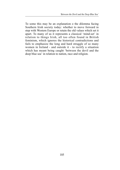To some this may be an explanation o the dilemma facing Southern Irish society today: whether to move forward in step with Western Europe or retain the old values which set it apart. To many of us it represents a classical 'mind-set' in relation to things Irish, all too often found in British feminism, which ignores the historical contradictions and fails to emphasize the long and hard struggle of so many women in Ireland - and outside it - to rectify a situation which has meant being caught 'between the devil and the deep blue sea' in relation to nation, race and religion.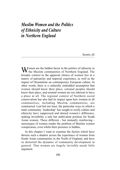# *Muslim Women and the Politics of Ethnicity and Culture in Northern England*

*Yasmin Ali*

 $M$  omen are the hidden factor in the politics of ethnicity in the Muslim communities of Northern England. The broader context to the apparent silence of women lies in a matrix of patriarchy and imperial experience, as well as the impact of Orientalism on contemporary European culture. In other words, there is a culturally embedded assumption that women should know their place, colonial peoples should know their place, and oriental women are too ethereal to have a place at all. The regional context of Northern social conservatism has also had its impact upon how women in all communities, including Muslim communities, are constructed. Last but not least, the particular ways in which a male community 'leadership' has sought to ossify culture and ethnicity have suppressed and denied women's difference, making invisibility a safe but ambivalent position for South Asian women. These different - but mutually reinforcing stereotypes of women render the problem of Muslim women conspicuous, even whilst their presence is hidden.

In this chapter I want to examine the factors which have thrown such a shadow across the experience of women from South Asian communities in the North of England, and have so distorted the dynamic of community development in general. That women are largely invisible needs little argument.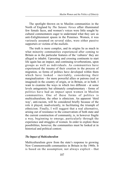The spotlight thrown on to Muslim communities in the North of England by *The Satanic Verses* affair illuminated few female faces, and women's voices were little sought by cultural commentators eager to understand what they saw as anti-Enlightenment spasm in the Pennines. Women, it was variously assumed on several sides, were either passive supporters or victims of the *mullahs.*

The truth is more complex, and its origins lie as much in what minority communities experienced after coming to Britain as in the particular features of the 'cultures' they are alleged to inhabit. Uprooting and crossing continents to start life again has an impact, and continuing reverberations, upon groups as well as individuals. As communities have experienced the trauma of their creation in the process of migration, so forms of politics have developed within them which have looked - inevitably, considering their marginalization - for more powerful allies or patrons (real or imagined) in the country of origin, or in Britain, or in both. I want to examine the ways in which two different - at some levels antagonistic but ultimately complementary - forms of politics have had an impact upon women in Muslim communities. One of these forms of politics is multiculturalism; the other is ethnicism. An apparent 'third way', anti-racism, will be considered briefly because of the role it played, inadvertently, in facilitating the triumph of ethnicism. Finally, I will suggest that a real alternative, arising out of resistance to the conservatism of both state and the current construction of community, is, in however fragile a way, beginning to emerge, particularly through the experience and struggles of women. In order to explore these possibilities, however, the communities must be looked at in historical and political context.

#### *The Impact of Multiculturalism*

Multiculturalism grew from the state's response to growing New Commonwealth communities in Britain in the 1960s. It is based on the assumption; not always explicit - that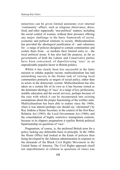minorities can be given limited autonomy over internal 'community' affairs, such as religious observance, dress, food, and other supposedly 'non-political' matters, including the social control of women, without their presence offering any major challenge to the basic framework of social, economic and political relations in society. Multiculturalism has provided the ideological justification of - and coherence for - a range of policies designed to contain communities and isolate them from - or mediate their limited entry to - the local political arena. It has also had the purpose, as far as governments of both the Labour and Conservative parties have been concerned, of depoliticizing 'race' as an unpredictable populist factor in British politics.

Whilst it has clearly been less successful in the latter mission to subdue popular racism, multiculturalism has had astonishing success in the former task of viewing local communities primarily as targets of social policy, rather than as actors in the democratic system. Multiculturalism has also taken on a certain life of its own as it has become rooted as the dominant ideology of 'race' in a range of key professions, notably education and the social services, perhaps because of the ease with which it can be incorporated into existing assumptions about the proper functioning of the welfare state. Multiculturalism has been able to endure since the 1960s, when it was named (perhaps one should say 'christened') by Roy Jenkins a Hume Secretary in the context of the first Race Relation Act (1965), the Local Government Act (1966), and the consolidation of highly restrictive immigration controls, because in its slippery pragmatism it typifies British political bipartisanship on questions of 'race'.

Pragmatism, of course, is, the preferred British term for a policy lacking any defensible basis in principle. In the 1960s the Home Office had looked at the kinds of policies then being developed by the Johnson administration in response to the demands of the Black Civil Rights Movement in the United States of America. The Civil Rights approach (itself not unproblematic in relation to questions of class) was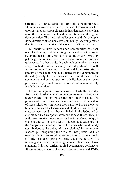rejected as unsuitable in British circumstances. Multiculturalism was preferred because it draws much less upon assumptions about citizenship in a democratic state than upon the experience of colonial administration in the age of decolonization. The multiculturalist state could, for example, liaise directly with an unelected community leadership rather than face the uncertainties of democratic coalition-building.

Multiculturalism's impact upon communities has been one of delimiting and delineating the extent of autonomy to be exercised by an elite self-selected or confirmed by patronage, in exchange for a more general social and political quiescence. In other words, through multiculturalism the state sought to find a means whereby the 'integration' of South Asian communities could be achieved by constructing a stratum of mediators who could represent the community to the state (usually the local state), and interpret the state to the community, without recourse to the ballot box or the slower processes of political socialization which accountability would have required.

From the beginning, women were not wholly excluded from the ranks of appointed community representatives; early membership lists of 'race relations' bodies reveal the presence of women's names. However, because of the pattern of mass migration - in which men came to Britain alone, to be joined much later by women and children - few workingclass women would have been in Britain in the 1960s and so eligible for such co-option, even had it been likely. Thus, as with many routine duties associated with *noblesse oblige*, it was not unusual for the wives of doctors and academics in the 'migrant aristocracy' to be the ones who made early contributions to the policy of 'race relations' by community leadership. Recognizing their role as 'interpreters' of their own working class to white authority, such women could collude in stereotyping working-class women, whilst retaining - the exception proving the rule - their own relative autonomy. It is now difficult to find documentary evidence to illustrate this process as it occurred in the 1960s and 1970s,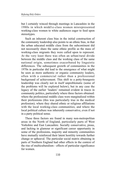but I certainly winced through meetings in Lancashire in the 1980s in which midd1e-class women misrepresented working-class women to white audiences eager to feed upon stereotypes.

Such an inherent class bias in the initial construction of the community leadership also points to an ethnic bias, in that the urban educated middle class from the subcontinent did not necessarily share the same ethnic profile as the mass of working-class migrants they were called upon to represent. At the very least there was often an urban/rural divide between the middle class and the working class of the same national origin, sometimes exacerbated by linguistic differences. The subsequent growth of communities in the 1970s in particular did lead to the emergence of what might be seen as more authentic or organic community leaders, often with a commercial rather than a professional background of achievement. This shift to a petty-bourgeois leadership was clearly not in itself unproblematic (some of the problems will be explored below), but in any case the legacy of the earlier 'leaders' remained evident in traces in community politics, particularly where three factors obtained: where the professional middle class were marginalized within their professions (this was particularly true in the medical profession); where they shared ethnic or religious affiliations with the local working-class communities; and where the local political culture was inherently conservative, even if not in a party political sense.

These three factors are found in many non-metropolitan areas in the North of England, particularly parts of West Yorkshire and East Lancashire. Socially conservative, pious, and lacking in glamour or significant career opportunity in some of the professions, majority and minority communities have mutually reinforced their latent hostility towards further change or upheaval. The particular social matrix obtaining in parts of Northern England had other effects in the context of the rise of multiculturalism - effects of particular significance for women.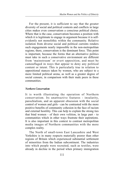For the present, it is sufficient to say that the greater diversity of social and political contests and conflicts in large cities makes even conservatism a conscious political choice. Where that is the case, conservatism becomes a position with which it is legitimate to engage in argument because it is selfevidently not monolithic within the community. Relative isolation from diverse social and political currents renders such engagements nearly impossible in the non-metropolitan regions; there, conservatism is the dominant force. This point is important, because the forms that an alternative politics must take in such a conservative environment are different from 'mainstream' or overt opposition, and must be camouflaged in ways that appear to deny any political content or intent. This is particularly true in relation to oppositional stances taken by women, who are subject to a more limited political arena, as well as a greater degree of social censure, in comparison with their male peers in these communities.

## *Northern Conservatism*

It is worth illustrating the operation of Northern conservatism. Its unattractive features - insularity, parochialism, and an apparent obsession with the social control of women and girls - can be contrasted with the more positive benefits of community cohesion in the face of racism and external hostility. This can help to explain the strong ties that bind women - of their own volition, in large part - to communities which in other ways frustrate their aspirations. It is also important in this context to contrast metropolitan media images of Northern communities with the more complex reality.

The North of small-town East Lancashire and West Yorkshire is in many respects materially poorer than other regions of Britain which experienced substantial settlement of minorities from the Indian subcontinent. The industries into which people were recruited, such as textiles, were already in decline in the period when primary immigration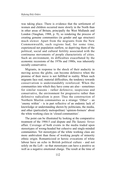was taking place. There is evidence that the settlement of women and children occurred more slowly in the North than in other areas of Britain, principally the West Midlands and London (Vaughan, 1988, p. 9), so rendering the process of creating genuine communities (in gender and age structure) much slower. Apart from the migrants from the New Commonwealth, such regions had, for some time, experienced net population outflow, so depriving them of the political, social and cultural fertility associated with the continuous movements of people characteristic of cities. Such an environment, its difficulties exacerbated by the economic recessions of the 1970s and 1980s, was inherently socially conservative.

Migrants, in response to the shock of their audacity in moving across the globe, can become defensive when the promise of their move is not fulfilled in reality. When such migrants face real, material difficulties, the tendency towards conservatism is understandably reinforced. When the communities into which they have come are also - sometimes for similar reasons - rather defensive, suspicious and conservative, the environment for progressive rather than defensive radicalism is poor. Thus the construction of Northern Muslim communities as a strange 'Other' - an 'enemy within' - is in part reflective of an endemic lack of knowledge or understanding shown by politicians, the media, and other (particularly metropolitan) 'opinion-formers' about the white working class in 'closed communities'.

The point can be illustrated by looking at the comparative treatment of the 1984-5 coal dispute and *The Satanic Verses* affair. Coverage of both events in the media traded upon stereotypes of wrong-headed but cohesive and single-minded communities. Yet stereotypes of the white working class are more ambivalent than those of working people of minority ethnic origin. Romanticized or heroic evocations of white labour have an echo in British political culture - and not solely on the Left - so that stereotypes can have a positive as well as a negative emotional charge. The result at the time of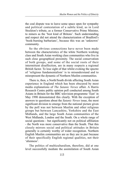the coal dispute was to leave some space open for sympathy and political contestation of a subtle kind, as in Lord Stockton's tribute, as a former Conservative Prime Minister, to miners as the 'best kind of Britons'. Such understanding and respect did not attend the characterization of Bradford's 'book-burning barbarians', because this was an 'unknown' community.

So the obvious connections have never been made between the characteristics of the white Northern working class and South Asian working class communities who live in such close geographical proximity. The social conservatism of both groups, and some of the social roots of their intermittent disaffection, are in many respects a regional British factor. To lose sight of that whilst evoking the spectre of 'religious fundamentalism' is to misunderstand and to misrepresent the dynamic of Northern Muslim communities.

There is, then, a North/South divide affecting South Asian experience in England which has been obscured by most media explanations of *The Satanic Verses* affair. A Harris Research Centre public opinion poll conducted among South Asians in Britain for the BBC television programme 'East' in May 1990 demonstrated this clearly. With the exception of answers to questions about the *Satanic Verses* issue, the most significant division to emerge from the national picture given by the poll was not between Muslim and other religious groups but between Lancashire, Yorkshire and the East Midlands, and the large South Asian communities of the West Midlands, London and the South. On a whole range of social questions - but significantly not on political affiliation - the North was more conservative than the South. That this closely mirrors social and political attitudes in Britain generally is certainly worthy of wider recognition. Northern English Muslim communities are as they are in part because of their specifically English regional qualities, not their 'alienness'.

The politics of multiculturalism, therefore, did at one level successfully mediate the assimilation of South Asian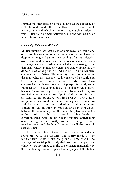communities into British political culture, as the existence of a North/South divide illustrates. However, the form it took was a parallel path which institutionalized marginalization - a very British form of marginalization, and one with particular implications for women.

### *Community: Cohesion or Division?*

Multiculturalism has cast New Commonwealth Muslim and other South Asian communities as ahistorical in character, despite the long and painful intertwining of all our histories over three hundred years and more. Where social divisions and antagonisms are readily acknowledged as existing in the dominant culture, particularly class and gender divisions, the dynamic of change is denied recognition in Muslim communities in Britain. The minority ethnic community, in the multiculturalist perspective, is constructed as static and two-dimensional, like an exquisite Indian miniature compared to the heroic conquest of perspective in dynamic European art. These communities, it is held, lack real politics, because there are no pressing social divisions to require negotiation and the exercise of political skills. In this view, all families are extended, children respect their elders, religious faith is total and unquestioning, and women are veiled creatures living in the shadows. Male community leaders are called upon by multiculturalism to mediate between this community and the authorities, like local elites under a colonial administration. Each side, leader or governor, trades with the other at the margins, anticipating occasional gains but mostly content to recognize their relative power and the boundaries of jurisdiction in each sealed system.

This is a caricature, of course, but it bears a remarkable resemblance to the assumptions really made by the multiculturalist state. 'Ethnic groups' (note that in the language of social policy only darker-skinned people have ethnicity) are presumed to aspire to permanent marginality by their continuing desire to speak the languages of the Indian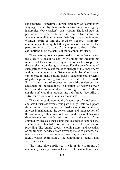subcontinent - sometimes known, strangely, as 'community languages' - and by their stubborn attachment to a rigidly hierarchical (but classless) social system. The local state, in particular, reflects ruefully from time to time upon the inherent contradiction between their 'equal opportunities for women' policies and the need to 'respect' minority community autonomy, but this glimmer of awareness of a problem rarely follows from a questioning of their assumptions about the nature of the 'community' itself.

These assumptions are permitted to survive because for the state it is easier to deal with something unchanging represented by authoritative figures who can be co-opted at the margins into existing structures. For the beneficiaries of such patronage the result can be to strengthen their hegemony within the community; the 'friends in high places' syndrome can operate in many cultural guises. Subcontinental systems of patronage and obligation have been able to fuse with British traditions of representation without democratic accountability because those in positions of relative power have found it convenient or rewarding, or both. 'Ethnic absolutism' was thus created and reinforced (see Gilroy, 1987, for a discussion of ethnic absolutism).

The new organic community leadership of shopkeepers and small-business owners was particularly likely to support the ethnicist position, as they had an objective material interest in maintaining the cohesiveness and introspection of the community. Their rise to lower-middle-class status was dependent upon the 'ethnic' and cultural needs of the community, because their shops and businesses supplied the services which white commerce had little interest in providing. The 'ethnic' grocers, clothing stores and specialist or multilingual services, from travel agencies to garages, did not merely serve the community, however; they also offered a highly visible expression of the community's identity and self-confidence.

The same also applies to the later development of community-based professional services, for example medical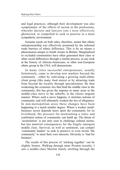and legal practices, although their development was also symptomatic of the effects of racism in the professions, whereby doctors and lawyers (etc.) were effectively ghettoized, or compelled to seek to practise in a more sympathetic environment.

Genuine needs on both sides, therefore, meant that ethnic entrepreneurship was effectively promoted by the informal trade barriers of ethnic difference. This is by no means a phenomenon unique to South Asians in Britain. Marginalized or excluded communities have often generated their class or other social differences through a similar process, as any look at the history of African-Americans, or other non-European ethnic group in the USA, will demonstrate.

In many cities successful entrepreneurs, usually fortuitously, came to develop new markets beyond the community - either by cultivating a growing multi-ethnic client group (like many food stores) or by attracting trade from beyond the locality through specialization. By thus weakening the economic ties that bind the middle class to the community, this has given the impetus in many areas to the middle-class move to the suburbs, in the classic migrant manner. Where such a move happens, it stretches notions of community, and will ultimately weaken the ties of allegiance. In non-metropolitan areas these changes have been happening to a much smaller degree. Where a weaker smallbusiness sector depends more upon the community for its livelihood, the pressure for maintaining a static and conformist notion of community can build up. The threat of 'assimilation' is not only seen to challenge cultural norms, but has material consequences for the fragile emergent middle class. Survival, as well as sentiment, can compel 'community leaders' to seek to preserve or even invent 'the community' to meet their own interests. Diversity is 'bad for business'.

The results of this process of 'sticking together' can be slightly bizarre. Walking through inner Preston recently, I saw a middle-class Muslim family strolling through the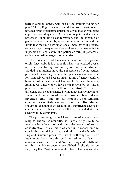narrow cobbled streets, with one of the children riding her pony! There, English suburban middle-class aspirations met terraced-street proletarian stoicism in a way that only migrant experience could synthesize! The serious point is that social processes - including class formation, and the dynamic of gender - when stunted by economic circumstances and the limits that racism places upon social mobility, will produce some strange consequences. One of these consequences is the imposition of a caricature of a particular form of patriarchal society upon still emergent communities.

This caricature is of the social structure of the region of origin. Inevitably, it is a poor fit when it is cloaked over a new and developing community in another continent. 'Settled' patriarchies have the appearance of being settled precisely because they include the spaces women have won for them-selves, and because many forms of gender conflict become institutionalized and familiar. In Pakistan, India and Bangladesh, rural women have clear responsibilities and a physical terrain which is theirs to control. Conflict or difference can be countenanced without necessarily having to shake the foundations of social existence. Inverted and invented 'traditionalism' as imposed upon Muslim communities in Britain is not relaxed or self-confident enough to encompass or sanction any significant degree of conflict, precisely because it is felt that it would shake the security of the community.

The picture being painted here is one of the reality of marginalization. Communities still sufficiently new to be insecure have been going through the process of social consolidation in a climate of economic recession and continuing racial hostility, particularly in the North of England. Outside pressures - whether through allure or insistence, from 'yuppie' self-centredness to feminist consciousness - have found Northern England a difficult terrain in which to become established. It should not be surprising that Muslim communities have also demonstrated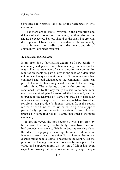resistance to political and cultural challenges in this environment.

That there are interests involved in the promotion and defence of static notions of community, or ethnic absolutism, should be expected. So, too, should be the small but growing development of fissures under the surface of the community as its inherent contradictions - the very dynamic of community - are made manifest.

#### *Women, Islam and Ethnicism*

Islam provides a fascinating example of how ethnicity, community and gender can collide in strange and unexpected ways. The maintenance of a static notion of community requires an ideology, particularly in the face of a dominant culture which may appear at times to offer more rewards than continued and total allegiance to the community. Islam can provide the intellectual strength and cohesion to that ideology - ethnicism. The existing order in the community is sanctioned both by the way things are said to be done in an ever more mythologized version of the homeland, and by reference to the teaching of Islam. This may be of particular importance for the experience of women, as Islam, like other religions, can provide 'evidence' drawn from the social mores of the time of its historical origin to support particularly oppressive social practices. Islamic law as practised in some (but not all) Islamic states makes the point eloquently.

Islam, however, did not become a world religion by barbarism. For many, particularly those from peasant backgrounds who came to Britain to become working-class, the idea of engaging with interpretations of Islam as an intellectual exercise was as unfamiliar an idea as theological dispute might be to a Catholic peasant in the Minho. But the process of defending community cohesion by an appeal to the value and superior moral distinction of Islam has been capable of evoking a different response from younger people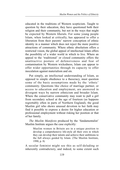educated in the traditions of Western scepticism. Taught to question by their education, they have questioned both their religion and their community, but not in the ways that might be expected by Western liberals. For some young people Islam, when looked at critically, has appeared to offer a liberation from their parents' narrow conception of ethnic identity in a manner which does not reject the more positive attractions of community. Where ethnic absolutism offers a restricted vision, the global appeal of intellectual Islam offers the possibility of a wider world in which to live. Where an appeal to the 'traditional' or closed community offers the unattractive posture of defensiveness and fear of contamination by Western wickedness, Islam can appear to offer wider opportunities through its capacity to offer inoculation against materialism and sin.

Put simply, an intellectual understanding of Islam, as opposed to simple obedience to a theocracy, must question some of the basic assumptions made by the 'ethnic' community. Questions like choice of marriage partner, or access to education and employment, are answered in divergent ways by narrow ethnicism and broader Islam. Where the conservative community may want to pull a girl from secondary school at the age of fourteen (as happens regrettably often in parts of Northern England), the good Muslim girl who shows unusual devotion to her faith may find it possible to express a desire for higher education or professional employment without risking her position or that of her family.

*The Muslim Manifesto* produced by the 'fundamentalist' Muslim Institute argues the case explicitly:

> Muslim women in Britain are in a unique position to develop a comprehensive life-style all their own in which they can develop their talents and achieve their ambitions to the full always guided by Islam. (The Muslim Institute, 1990, p. 8)

A secular feminist might see this as self-deluding or inherently contradictory, and indeed, to some extent such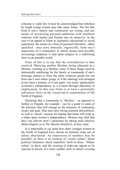criticism is valid; but it must be acknowledged that rebellion by bright young women may take many forms. The ties that bind to one's family and community are strong, and any means of reconciling personal ambitions with emollient relations with family and friends may be attractive. In the case of an appeal to Islam to legitimize educational or social aspirations, the means to a form of personal liberation - albeit qualified - may arise naturally, organically, from one's experience of a community in which strong (and possibly increasing) emphasis is laid upon religion as a stabilizing force in an unstable world.

None of this is to say that the contradiction is thus resolved. Marrying another Muslim, being educated as a Muslim, working as a Muslim: none of these things need be intrinsically stabilizing for the family or community if one's marriage partner is from the same religious group but not from one's own ethnic group, or if the marriage was arranged in too loose a manner, or if one gains 'too much' (particularly economic) independence as a woman through education or employment. In this way Islam is at least a potentially subversive force in the conservative communities of the North of England.

Declaring that a community is 'Muslim' - as opposed to Sylheti or Punjabi, for example - can be a guide to some of the fractures that will emerge as the dynamic of community creaks into gear. Men may have strong material and political, as well as 'moral', reasons for hoping that Islam will work as a brake upon women's independence. Women may find that they can subvert men's intentions by taking male rhetoric about religion, as in *The Muslim Manifesto*, at face value.

It is impossible to say quite how many younger women in the North of England have chosen an Islamist route out of ethnic absolutism. An impression of numbers may be possible, as there is an element of 'youth culture' about political Islamism which manifests itself in dress. 'Ethnic colour' in dress, and the wearing of make-up, appear to be rejected in favour of a more sombre style in which covering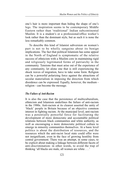one's hair is more important than hiding the shape of one's legs. The inspiration seems to be contemporary Middle Eastern rather than 'traditional' Indian subcontinental Muslim. It is a student's or a professional/office worker's look rather than the dominant style, but as such it is none the less remarkably common.

To describe this kind of Islamist subversion on women's part is not to be wholly sanguine about its benign implications. The fact that political Islamism has some appeal in the North of England is symptomatic of the relative success of ethnicism with a Muslim core in maintaining rigid and religiously legitimated forms of patriarchy in the community. Tensions that must arise out of the experience of any community, let alone one that is still experiencing the shock waves of migration, have to take some form. Religion can be a powerful polarizing force against the attractions of secular materialism in imposing the direction from which dissidence can be expressed. Equally, however, the medium religion - can become the message.

#### *The Failure of Anti-Racism*

It is also the case that the persistence of multiculturalism, ethnicism and Islamism underlines the failure of anti-racism in the 1980s. Anti-racism at its clearest asserted the unity of 'black' people in Britain because of an objective common interest in fighting racism. At the municipal level, anti-racism was a potentially powerful force for facilitating the development of more democratic and accountable political relations between black communities and white authority, as well as encouraging a more democratic political culture to emerge in minority communities themselves. At a basic level politics is about the distribution of resources, and the resources which the anti-racist local state could offer were not insignificant, even in the face of growing hostility from central government. There was an attempt, in some cases, to be explicit about making a linkage between different facets of anti-discrimination: in other words, to avoid the trap of thinking 'all blacks are male, all women are white . . .'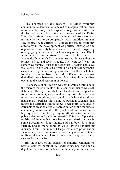The promise of anti-racism - to offer minority communities a democratic route out of marginalization - was, unfortunately, rarely made explicit enough to be resilient in the face of the hostile political circumstances of the 1980s. Too often anti-racism was not distinguished from - or was mistakenly held to be compatible with - multiculturalism. The proper recognition of a need for black minority autonomy in the development of political strategies and organization too easily became an excuse for not recognizing or engaging with sexism in black organizations. Black women were under strong pressure to be black (or 'authentically ethnic') first, women second, in accepting the primacy of the anti-racist struggle. The white Left was - in some ways rightly - pushed to recognize its racism and leave well alone. In this context of walking on political eggshells, exacerbated by the central government assault upon Labour local government from the mid 1980s on, anti-racism dwindled into a better-resourced form of multiculturalism operating the usual system of patronage.

The débâcle of anti-racism was not merely an interlude in the forward march of multiculturalism. Its influence was real, if limited. The style and rhetoric of anti-racism, stripped of its political content, was plundered by both the state and minority communities, and found a path into the cultural mainstream - perhaps illustrating its potential strengths, had national political circumstances been more favourable. Attempts at creating a visual representation of the multiracial community were central to the practice of anti-racism in its heyday - for example, by paying attention to municipal public-relations and publicity material. This use of 'positive' multiracial images has now become standard practice in some government departments, and has been developed further, and in more complex ways, by the advertising industry. From Community Charge leaflets to privatization share issues, there is now some visual recognition of Britain's multiracial character. This is, in a small way, a token of success for anti-racism.

But the legacy of anti-racism for minority communities, particularly for community leaderships, has not been a depoliticized veneer of inclusion in the image of the national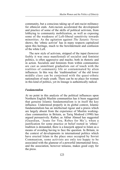community, but a conscious taking up of anti-racist militancy for ethnicist ends. Anti-racism accelerated the development and practice of some of the skills of political activism, from lobbying to community mobilization, as well as exposing some of the weakness of Left-liberal sensitivity towards minorities. As the agitation against *The Satanic Verses* shows, the 'ethnic activist' has in many respects capitalized upon this heritage, much to the bewilderment and confusion of the white Left.

The new style of activism, stripped of the input (however feebly it was once manifested) of socialist and feminist politics, is often aggressive and macho, both in rhetoric and in action. Socialists and feminists from within communities are cast as unmilitant gradualists out of touch with the realities of community life or contaminated by alien influences. In this way the 'traditionalism' of the old lower middle class can be conjoined with the quasi-ethnic nationalism of male youth. There can be no place for women in this kind of politics, yet its lineage is authentically radical.

#### *Fundamentalism*

At no point in this analysis of the political influences upon Northern English Muslim communities has it been suggested that genuine Islamic fundamentalism is in itself the key influence. Understood properly in its global context, Islamic fundamentalism has an intellectual rigour and a praxis which are largely absent from the experience of Muslim workingclass communities in Britain, as Tariq Modood (1990) has argued persuasively. Rather, as Akbar Ahmed has suggested (Guardian, 'Jeans for You, Robes for Me'), when a justification for some practice or belief rooted in 'ethnic' tradition is demanded, there is a kneejerk appeal to Islam as a means of avoiding having to face the question. In Britain, in the context of developments in international politics which have erected Islam in the place once occupied by Soviet Communism, some activists are only too happy to be associated with the glamour of a powerful international force, and the association, however tenuous, makes good copy for the press.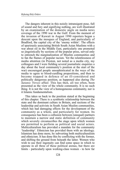The dangers inherent in this noisily intransigent pose, full of sound and fury and signifying nothing, are well illustrated by an examination of the domestic angle on media news coverage of the 1990 war in the Gulf. From the moment of the invasion of Kuwait in August 1990 reporters began a descent upon the mosques of England, and particularly of Bradford, the capital city of the 'enemy within'. The effects of spuriously associating British South Asian Muslims with a war about oil in the Middle East, particularly one promoted so jingoistically by sections of the popular press, served only to entrench the marginalization of Muslim communities and to fan the flames of popular racism. Yet the relentlessness of media attention (in Preston, not noted as a media city, my colleagues and I were fielding several journalistic enquiries a day about the local community's position at the start of the war) encouraged people unsophisticated in the ways of the media to agree to blood-curdling propositions, and then to become trapped in defence of an ill-considered and politically dangerous position, as happened also during *The Satanic Verses* affair. This has then, all too often, been presented as the view of the whole community. It is no such thing. It is not the view of a homogeneous community, nor is it Islamic fundamentalism.

This takes us back to the position stated at the beginning of this chapter. There is a symbiotic relationship between the state and the dominant culture in Britain, and sections of the leadership and activists in South Asian Muslim communities, which has had damaging effects for the development of the community as a whole, and particularly for women. Its consequence has been a collusion between (unequal) partners to maintain a narrow and static definition of community which severely circumscribes the stage upon which women are permitted to perform as political and social actors. Multiculturalism has provided a mandate for the community 'leadership'. Ethnicism has provided them with an ideology. Islamism has done more, by subverting both multiculturalism and ethnicism. It has done this by conflicting with the former, and shifting the ground from beneath the latter. Women who wish to use their ingenuity can find some space in which to operate in all three of these political arenas, but there are limits - particularly upon working-class women - to how far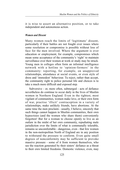it is wise to assert an alternative position, or to take independent and autonomous action.

## *Women and Dissent*

Many women reach the limits of 'legitimate' dissent, particularly if their battles are not fought over issues where some resolution or compromise is possible without loss of face for the men involved. Where the argument is over education or employment, for example, compromises which mean some acceptance of the community's 'right' to maintain surveillance over their women at work or study may be struck. Young men in colleges often form an informal intelligence network with a hotline to 'opinion-formers' in the community: reporting, for example, on unapproved relationships, attendance at social events, or even style of dress and 'immodest' behaviour. Tu reject, rather than accept, the community right to police personal life and choices is to take a much more difficult and exposed step.

Subversive - or, more often, submerged - acts of defiance nevertheless do continue to occur daily in the lives of Muslim women in Northern England. Even in the tightest, most vigilant of communities, women make love, or their own form of war, practise 'illicit' contraception in a variety of relationships, make unlikely friends, have abortions. At the same time the men proclaim - usually, I believe, sincerely that such things cannot happen in Muslim communities, their own hypocrisies (and the women who share them) conveniently forgotten! But for a woman to choose openly to live as an outlaw in the midst of her own community, repudiating male jurisdiction over the limits of what is communally tolerable, remains so uncomfortable - dangerous, even - that few women in the non-metropolitan North of England are in any position to withstand the pressure to conform. Even quite small degrees of nonconformity may be sufficient to provoke massive pressure - some of it from women themselves, who see the reaction generated by their sisters' defiance as a threat to their own limited freedoms. Domestic violence, even, may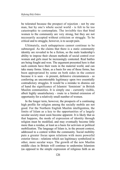be tolerated because the prospect of rejection - not by one man, but by one's whole social world - is felt to be too catastrophic to contemplate. The invisible ties that bind women to the community are very strong, but they are not necessarily accepted without criticism or struggle. To be critical and to struggle, however, is to accept pain.

Ultimately, such unhappiness cannot continue to be submerged. As the claims that there is a static community identity are revealed to be a fiction, so the male leadership's ability to impose their chosen methods of social control over women and girls must be increasingly contested. Real battles are being fought and won. The argument presented here is that such contests have their roots in the material world, and can take many forms. Islam, as a basis for one of those forms, has been appropriated by some on both sides in the contest because it is seen - in present, defensive circumstances - as conferring an uncontestable legitimacy upon two essentially contradictory struggles. It would be a mistake to dismiss out of hand the significance of Islamist 'feminism' in British Muslim communities. It is simply one - currently visible, albeit highly unsatisfactory - route to a limited extension of opportunity for a relatively small number of women.

In the longer term, however, the prospects of a continuing high profile for religion among the socially mobile are not good. For the Northern English Muslim intelligentsia, the limits of Islam as a key to the opportunities of a largely secular society must soon become apparent. It is likely that as that happens, the mode of expression of identity through religion must be modified, and may eventually become little more than a residue, at least as a basis for activism or political mobilization. The language of Islam is, in the present context, addressed to a contest within the community. Social mobility puts a greater focus upon relations with more powerful exterior forces - relations which see legitimacy symbolized in other, more secular ways. The growth of the new Muslim middle class in Britain will continue to undermine Islamism (as opposed to the simple expression of religious faith as an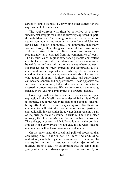aspect of ethnic identity) by providing other outlets for the expression of class interests.

The real contest will then be revealed as a more fundamental struggle than the one currently expressed, in part, through Islamism. The coming contest will be a battle not against community - as, necessarily, some forms of Islamism have been - but for community. The community that many women, through their struggles to control their own bodies and determine their own lives, want to create will recognizably have emerged from the communities of today. The insecurities of migrant experience generate ambivalent effects. The reverse side of insularity and defensiveness could be solidarity and warmth in circumstances where women's experiences can be freely expressed and legitimated. Social and moral censure against a wife who rejects her husband could in other circumstances, become intolerable of a husband who abuses his family. Rigidity can relax, and surveillance can become concern and supportiveness. These opposites are intrinsic to community, but need a balance in order to be asserted in proper measure. Women are currently the missing balance in the Muslim communities of Northern England.

How long it will take for women's experience to find open expression in the Muslim communities of Britain is difficult to estimate. The forces which resulted in the epithet 'Muslim' being attached to in some ways disparate South Asian communities will retain their resilience as long as a particular and politically intense antipathy towards Islam remains a part of majority political discourse in Britain. There is a clear message, therefore: anti-Muslim 'racism' is bad for women. The unhappy prospect which follows is that in the political climate of the early 1990s it is not easy to see when Muslim communities will feel less insecure and vulnerable.

On the other hand, the social and political processes that can bring about change can be identified and, once understood, should be regarded as an imperative for action. To act requires, in the first instance, an active rejection of the multiculturalist state. The assumption that the same small group of men can always speak for the community in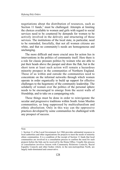negotiations about the distribution of resources, such as Section 11 funds, $\frac{1}{1}$  must be challenged. Attempts at limiting the choices available to women and girls with regard to social services need to be countered by demands for women to be actively involved in the delivery and structuring of those services. The institutions of the local state, in particular, need to be reminded, forcefully, that not all women citizens are white, and that no community's needs are homogeneous and unchanging.

The more difficult and more crucial area for action lies in interventions in the politics of community itself. Here there is a role for classic pressure politics by women who are able to put their heads above the parapet and draw the flak, but in the short term at least such action will remain a hazardous minority prospect in the communities of Northern England. Those of us within and outside the communities need to concentrate on the informal networks through which women operate in order organically to build up support for effective challenges to the hegemony of the community leadership. The solidarity of women over the politics of the personal sphere needs to be encouraged to emerge from the secret walls of friendship, and to take on a campaigning role.

These things must be done in order to reinvigorate the secular and progressive traditions within South Asian Muslim communities, so long suppressed by multiculturalism and ethnic absolutism. Only in this way can the oppressive practices developed by some communities be challenged with any prospect of success.

Note

<sup>1.</sup> Section 11 of the Local Government Act 1966 provides substantial resources to local authorities and other organizations for projects to meet the needs of minority ethnic communities. It is a condition of the receipt of Section 11 funds that local communities are involved in a consultation process to confirm the need for such projects before the bids can be received by the Home Office. Usually this process of consultation involves liaison with Community Relations Councils, Racial Equality Councils and other bodies which, in the non-metropolitan North, are largely male-dominated and conservative.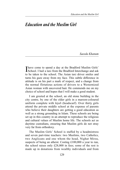# *Education and the Muslim Girl*

*Saeeda Khanum*

I have come to spend a day at the Bradford Muslim Girls'<br>School. I hail a taxi from the Bradford Interchange and ask Thave come to spend a day at the Bradford Muslim Girls' to be taken to the school. The Asian taxi driver smiles and turns his gaze away from my face. This subtle difference in attitude is on his part a mark of respect, and a change from the normal flirtatious actions of drivers to a Westernized Asian woman with uncovered hair. He commends me on my choice of school and hopes that I will make a good student.

I am greeted at the school, an old stone building in the city centre, by one of the older girls in a maroon-coloured uniform complete with *hijab* (headscarf). Over thirty girls attend the private middle school at the expense of parents who believe their daughters are getting a good education as well as a strong grounding in Islam. These schools are being set up in this country in an attempt to reproduce the religious and cultural values of Muslim home life. The schools act as daytime custodians, ensuring that Muslim girls do not stray very far from orthodoxy.

The Muslim Girls' School is staffed by a headmistress and seven part-time teachers: two Muslims, two Catholics, two Anglicans and one whom the head, Nighat Mirza, suspects of being an atheist. Costing £100,000 a year to run, the school raises only £28,000 in fees; some of the rest is made up in donations from wealthy individuals and from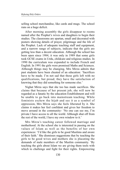selling school merchandise, like cards and mugs. The school runs on a huge deficit.

After morning assembly the girls disappear to rooms named after the Prophet's wives and daughters to begin their studies. The classrooms are spartan, small and decorated with posters showing details of prayer, pilgrimage and the life of the Prophet. Lack of adequate teaching staff and equipment, and a narrow range of subjects, indicate that the girls are getting less than a decent education. Although the school has been open since 1984, it was only in 1989 that some girls took GCSE exams in Urdu, childcare and religious studies. In 1990 the curriculum was expanded to include French and English. In 1991 the girls were promised Maths and Sciences. Although things may be changing, Mrs Mirza admits that past students have been cheated of an education: 'Sacrifices have to be made. I'm not sad that those girls left with no qualifications, but proud; they have the satisfaction of knowing that they did something for someone else.'

Nighat Mirza says that she too has made sacrifices. She claims that because of her present job, she will now be regarded as a fanatic by the education Establishment and will be unable to go back into mainstream teaching. While feminists eschew the hijab and see it as a symbol of oppression, Mrs Mirza says she feels liberated by it. She claims it makes her feel confident and gives her freedom to move around in the community- 'No one can see me, I'm private I have access to all the world. Although shut off from the rest of the world, I have my own window to it.'

Mrs Mirza's teaching career followed marriage and motherhood. At the school she is interested in passing on the values of Islam as well as the benefits of her own experiences: 'I'd like the girls to be good Muslims and aware of their faith.' She dismisses suggestions that by teaching the girls to be good wives and mothers she is placating the demands of male members of the Muslim community. 'By teaching the girls about Islam we are giving them tools with which to challenge and fight for their rights. Empowering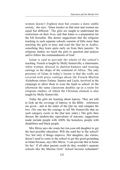women doesn't frighten men but creates a more stable society,' she says. 'Islam teaches us that men and women are equal but different.' The girls are taught to understand the restrictions on their lives, and that Islam is a preparation for the life hereafter. She denies suggestions that the religious teaching in such separate schools consists of little more than teaching the girls to pray and read the Qur'an in Arabic, something they learn quite early on from their parents: 'In religious studies we teach the girls to question and analyse and to follow the commandments of God.'

Islam is said to pervade the whole of the school's teaching. French is taught by Molly Somerville, a charismatic white woman, dressed in shalwar-kameez and wearing earrings in the shape of the continent of Africa. The only presence of Islam in today's lesson is that the walls are covered with press cuttings about the French Muslim Alchaboun sisters Fatima, Samira and Layla, involved in the campaign to allow them to wear the hijab to school. In the afternoon the same classroom doubles up as a room for religious studies, of which the Christian element is also taught by Molly Somerville.

Today the girls are learning about leprosy. They are told to look up the coverage of leprosy in the Bible - references are given - and in the index of the Qur'an, and compare the two. (No one has the courage to tell Ms Somerville that no such category exists in the Qur'anic index.) The girls then discuss the modern-day equivalents of outcasts; suggestions made include people with AIDS, the homeless, people with disabilities and black people.

Mrs Mirza says she wants her ten-year-old daughter to get the best possible education. Will she send her to the school? Yes, but only if things improve. Her daughter, she claims, doesn't need to come to the school to get the good grounding in Islam because, says Mrs Mirza, 'I can provide that at home for her.' If all other parents could do that, wouldn't separate schools like the Muslim Girls' School become redundant?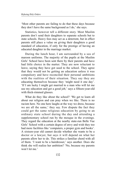'Most other parents are failing to do that these days because they don't have the same background as I do,' she says.

Statistics, however tell a different story. Most Muslim parents don't send their daughters to separate schools but to state schools. Heavy fees may act as a deterrent, but in effect parents still place a value on giving their daughters a good standard of education, if only for the prestige of having an educated daughter in the marriage market.

During the lunch hour, I am surrounded by a sea of maroon uniforms. The majority of the pupils at the Muslim Girls' School have been sent there by their parents and have had little choice in the matter. They are now reluctant to leave, saying they have got used to the school. They agree that they would not be getting an education unless it was compulsory and have reconciled their personal ambitions with the realities of their situation. They say they are educating themselves because they 'might need it one day'. 'If I am lucky I might get married to a man who will let me use my education and get a good job,' says a fifteen-year-old with thick-rimmed glasses.

What do they like about the school? 'We get to learn all about our religion and can pray when we like. There is no racism here. No one here laughs at the way we dress, because we are all the same,' they say. Few dispute the fact they could get the same religious education by going to an ordinary state school during the day and attending a supplementary school run by the mosque in the evenings. They regard the education at the nearby state-run Belle Vue Girls' School with a certain degree of envy and wish they too had more facilities like 'computers, a proper gym and books'. A sixteen-year old cannot decide whether she wants to be a doctor or a lawyer, but says it will depend on what her parents allow her to do. This strikes a familiar chord with all of them. 'I want to be a hairdresser,' says another. Does she think she will realize her ambition? 'No, because my parents won't let me.'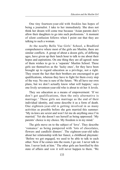One tiny fourteen-year-old with freckles has hopes of being a journalist. I take to her immediately. She does not think her dream will come true because 'Asian parents don't allow their daughters to go into such professions.' A moment of silent confusion follows when I point out that they are talking to such a woman.

At the nearby Belle Vue Girls' School, a Bradford comprehensive where most of the girls are Muslim, there are similar conflicts. A group of about a dozen girls, of differing ages, have given up their lunch hour to talk to me about their hopes and aspirations. On one thing they are all agreed: none of them wishes to go to a 'separate' Muslim School. These girls see themselves as the 'lucky ones', for they have been brought up to regard education as a privilege, not a right. They resent the fact that their brothers are encouraged to get qualifications, whereas they have to fight for them every step of the way. No one is sure of the future. 'We all have our own plans, but we don't actually know what will happen,' says one lively seventeen-year-old who is about to sit her A levels.

They see education as a means of empowerment: 'If we don't get qualifications, then the only alternative is marriage.' These girls see marriage as the end of their individual identity, and some describe it as a form of death. One eighteen-year-old is getting involved in as many activities as possible before she gets married this summer: 'My in-laws are sexist and won't let me do anything once I'm married.' Yet she doesn't see herself as being oppressed: 'My parents' choice is my choice. My freedom is in my mind.'

The girls move on to the subject of 'love'. They describe 'romance' as being pampered with 'lots of chocolates, flowers and candlelit dinners'. The eighteen-year-old talks about her relationship with her fiancé, a childhood playmate: 'Before we got engaged, we used to be able to talk to each other. Now if he comes into the room, I go out. I never talk to him. I never look at him.' The other girls are horrified by this state of affairs and vow it will never happen to them. 'We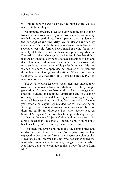will make sure we get to know the man before we get married to him,' they say.

Community pressure plays an overwhelming role in their lives, and 'mistakes' made by other women in the community result in more restrictions. 'Asian parents don't understand the concept of individuality; we're always judged by someone else's standards, never our own,' says Farrah, a seventeen-year-old former heavy-metal fan who found her identity at thirteen when she became a practising Muslim. Dressed in a hijab, she says Islam has taught her her rights, that she no longer allows people to take advantage of her, and that religion is the dominant force in her life: 'It answers all my questions, makes sense and is perfectly logical.' Muslim women, she adds, are oppressed not because of religion but through a lack of religious education: 'Women have to be educated to use religion as a tool and not leave the interpretation up to men.'

For Asian women teachers, social pressures impose their own particular restrictions and difficulties. The younger generation of women teachers work hard to challenge their students' cultural and religious upbringing and to use their own experiences as a model and a guide. Saira, aged twentynine had been teaching in a Bradford state school for one year when a colleague reprimanded her for challenging an Asian girl pupil who said arranged marriages work because there are hardly any divorces. The white teacher accused Saira of 'arrogance' and told her to stop confusing the girl and learn to be more 'objective' about cultural concerns. 'As a black teacher in the school...' began Saira. 'You're not *a* black teacher, you're a teacher,' came the response.

This incident, says Saira, highlights the complexities and contradictions of her position: 'As a professional I'm expected to detach myself from the concerns of Asian pupils. However, as an informed insider who has experienced the intolerable pressures the community brings to bear on girls, I feel I have a duty to encourage pupils to hope for more from life.'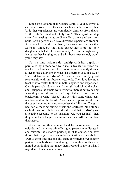Some girls assume that because Saira is young, drives a car, wears Western clothes and teaches a subject other than Urdu, her experiences are completely different from theirs. To them she's distant and totally 'free'. 'This is just one step away from seeing me as an Uncle Tom, a mere token,' says Saira. Asian parents also have different expectations from an Asian teacher. On the one hand, they welcome the fact that Saira is Asian, but they also expect her to police their daughters on behalf of the community. 'Tell me straight away if you see her hanging around with boys after school, won't you?' they say.

Saira's ambivalent relationship with her pupils is paralleled by a story told by Asha, a twenty-four-year-old teacher in a Leeds state school. A stone was recently thrown at her in the classroom in what she describes as a display of 'tabloid fundamentalism'. 'I have an extremely good relationship with my fourteen-year-olds. They love having a teacher who relates to them in both language and experience. On this particular day, a new Asian girl had joined the class and I suppose the others were trying to impress her by seeing what they could do to rile me,' says Asha. 'I turned to the blackboard to write "biased" and felt this stone whizz pass my head and hit the board.' Asha's calm response resulted in the culprit coming forward to confess the full story. The girls had had a meeting during break and collected nine stones each, the size of pebbles, and decided and that if 'Miss' gave a negative response to the question 'Are you fasting?' then they would discharge their missiles at her. All but one lost their nerve.

Asha and another teacher tried to make sense of the episode, and there was talk of bringing parents in to discuss it and reiterate the school's philosophy of tolerance. She now thinks that the girls have an ambivalent attitude towards her: 'Part of them finds me and all I stand for enticing, yet another part of them finds me threatening. It was this conflict and inbred conditioning that made them respond to me in what I regard as a fundamentalist way.'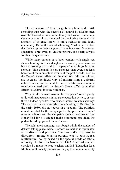The education of Muslim girls has less to do with schooling than with the exercise of control by Muslim men over the lives of women in the family and wider community. Generally, control is maintained by monitoring the level and amount of interaction with male relatives and local community. But in the area of schooling, Muslim parents feel that their grip on their daughters' lives is weaker. Single-sex education is preferred by Muslim parents, and nearly always for their daughters only.

While many parents have been content with single-sex state schooling for their daughters, in recent years there has been a growing demand for 'separate' schooling- Muslim schools. This demand is now stronger than ever, not least because of the momentous events of the past decade, such as the *Satanic Verses* affair and the Gulf War. Muslim schools are seen as the ideal way of maintaining a cultural cohesiveness, but demand for such institutions remained relatively muted until the *Satanic Verses* affair catapulted British 'Muslims' into the headlines.

Why did the demand arise in the first place? Was it purely to do with inadequacies in the state education system, or was there a hidden agenda? If so, whose interest was this serving? The demand for separate Muslim schooling in Bradford in the early 1980s did not occur in a vacuum. The political climate created by the campaign for the provision of *halal* meat in schools and the campaign against headmaster Ray Honeyford for his alleged racist comments provided the perfect breeding-ground for such ideas.

The halal meat campaign was fought within the context of debates taking place inside Bradford council as it formulated its multicultural policies. The council's response to discontent among Muslim parents was to construct a multicultural policy based on the special needs of ethnic minority children. In November 1982 Bradford council circulated a memo to head-teachers entitled 'Education for a Multicultural Society-provisions for pupils of ethnic minority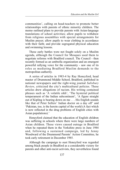communities', calling on head-teachers to promote better relationships with parents of ethnic minority children. The memo outlined plans to provide parents with Asian-language translations of school activities; allow pupils to withdraw from religious assemblies with special arrangements for Muslim prayer; allow pupils to wear clothing in accordance with their faith; and provide segregated physical education and swimming lessons.

These early battles were not fought solely on a Muslim agenda, although the Council for Mosques used them to negotiate reforms with Bradford council. The Council - then recently formed as an umbrella organization and an emergent powerful rallying voice for the community - saw one of its roles as mediating Bradford Muslim demands to the metropolitan authority.

A series of articles in 1983-4 by Ray Honeyford, head master of Drummond Middle School, Bradford, published in national newspapers and the right-wing journal *Salisbury Review*, criticized the city's multicultural policies. These articles drew allegations of racism. His writing contained phrases such as 'A volatile sikh', 'The hysterial political temperament of the Indian subcontinent', 'A figure straight out of Kipling is bearing down on me . . . His English sounds like that of Peter Sellers' Indian doctor on a day off' and 'Pakistan, too, is the heroin capital of the world (A fact which is now reflected in the drug problems of English cities with Asian populations).'

Honeyford claimed that the education of English children was suffering in schools where there were large numbers of Asian children. These views caused outrage in Bradford when he repeated them in the Yorkshire press in June 1984 and, following a sustained campaign, led by Jenny Woodward of the Drummond Parents' Action Committee, he took early retirement in December 1985.

Although the campaign to oust Honeyford was regarded among black people in Bradford as a considerable victory for parents and other anti-racist activists, they nevertheless found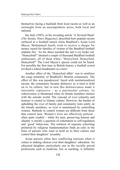themselves facing a backlash from local racists as well as an onslaught from an unsympathetic press, both local and national.

Ian Jack (1985), in his revealing article 'A Severed Head' (*The Sunday Times Magazine*), described how popular racism surfaced at a football match when Bradford's Asian Lord Mayor, Mohammed Ajeeb, went to receive a cheque for money raised for families of victims of the Bradford football stadium fire: 'As his shoes touched the turf a cry broke out. "Honeyford!" shouted a couple of thousand Bradford football enthusiasts, all of them white, "Honeyford, Honeyford, Honeyford!" The Lord Mayor's speech could not be heard. For possibly the first time in British history a football crowd invoked a school headmaster as a hero.'

Another effect of the 'Honeyford affair' was to reinforce the siege mentality of Bradford's Muslim community. The effect of this was paradoxical: faced with institutionalized racism, the community became defensive as it tried to hold on to its culture, but in turn this defensiveness made it internally repressive - as a patriarchal culture, its cohesiveness is threatened when its female members interact with the outside world. The concept of *izzat* (chastity and honour) is central to Islamic culture. However, the burden of upholding the *izzat* of family and community rests solely on the female members, so *izzat* is maintained by controlling women. Methods to control women are different from those that control men. Women's lives are effectively policed often quite crudely - while for men, preserving honour and chastity is mostly a question of exhortation to self-regulation and 'good' behaviour. The solution of separate schooling preferred by religious fundamentalists finds an echo in the fears of parents who want to hold on to their culture and control their daughters' sexuality.

Asian parents often face conflicting tensions when it comes to making choices over their daughters' education. An educated daughter, particularly one in the socially prized professions such as medicine, law or teaching, is infinitely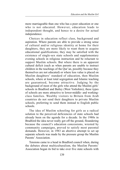more marriageable than one who has a poor education or one who is not educated. However, education leads to independent thought, and hence to a desire for actual independence.

Choices in education reflect class, background and aspiration. Where parents are able to provide a strong sense of cultural and/or religious identity at home for their daughters, they are more likely to want them to acquire educational qualifications; they may be satisfied with the existence of single-sex state schools and supplementary evening schools in religious instruction and be reluctant to support Muslim schools. But where there is an apparent cultural deficit (such as when parents are unable to instruct children in the teachings of the Qur'an, possibly because they themselves are not educated) or where less value is placed on Muslim daughters' standard of education, then Muslim schools, where at least total segregation and Islamic teaching are guaranteed, become attractive. Judging by the background of most of the girls who attend the Muslim girls' schools in Bradford and Batley (West Yorkshire), these types of schools are more attractive to lower-middle- and workingclass families. Wealthy visitors to Britain from Arab countries do not send their daughters to private Muslim schools, preferring to send them instead to English public schools.

The idea of Muslim schooling for girls as a radical solution to the perceived deficiencies of state schools had already been on the agenda for a decade. In the 1980s in Bradford the idea never really got off the ground, floundering because the council's education concessions, wrested by community campaigns, proved to satisfy most parental demands. However, in 1983 an abortive attempt to set up separate schools was made by the pressure group the Muslim Parents' Association.

Tensions came to a head in Bradford council when, during the debates about multiculturalism, the Muslim Parents' Association began its bid to take over five state schools with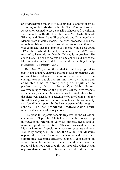an overwhelming majority of Muslim pupils and run them as voluntary-aided Muslim schools. The Muslim Parents' Association wanted to set up Muslim schools at five existing state schools in Bradford: at the Belle Vue Girls' School, Whetley and Green Lane First schools and Drummond and Manningham middle schools. The MPA proposed to run the schools on Islamic lines but would not bar other children. It was estimated that this ambitious scheme would cost about £12 million. Abdullah Patel, a member of the MPA, was reported to have said confidently, 'Money is no problem.' He added that all he had to do was lift a telephone and any of the Muslim states in the Middle East would be willing to help (*Guardian*, 19 February 1983).

Bradford City council decided to put the proposal to public consultation, claiming that most Muslim parents were opposed to it. At one of the schools earmarked for the change, teachers took matters into their own hands and conducted a ballot among the girls. Pupils at the predominantly Muslim Belle Vue Girls' School overwhelmingly rejected the proposal. All the fifty teachers at Belle Vue, including Muslims, vowed to find other jobs if the plans went ahead. Polls taken later by the Commission for Racial Equality within Bradford schools and the community also found little support for the idea of separate Muslim girls' schools. The then prominent Bradford Asian Youth movement also voiced its objections.

The plans for separate schools (rejected by the education committee in September 1983) forced Bradford to speed up its educational reforms to cater for minority needs and so maintain good race relations. This in turn weakened the Muslim Parents' Association's case for separate schools. Ironically enough, at the time, the Council for Mosques opposed the demand for separate schooling and opted for a compromise, accepting Bradford council's concessions on school dress. In public the Council for Mosques said the proposal had not been thought out properly. Other Asian organizations said the idea smacked of 'educational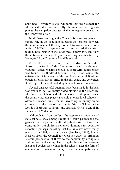apartheid'. Privately it was rumoured that the Council for Mosques decided that 'tactically' the time was not right to pursue the campaign because of the atmosphere created by the Honeyford affair.

In all these campaigns the Council for Mosques played a central role in the negotiations, using the tensions between the community and the city council to wrest concessions which fulfilled its agenda too. It supported the state's multicultural banner in the *halal* meat controversy, and flew the anti-racism banner to join in ousting headmaster Ray Honeyford from Drummond Middle school.

After the failed attempt by the Muslim Parents' Association to 'buy' the five schools and run them as voluntary-aided Muslim schools, a short-term compromise was found. The Bradford Muslim Girls' School came into existence in 1984 when the Muslim Association of Bradford bought a former DHSS office in the city centre and converted it into a private school funded by fees and private donations.

Several unsuccessful attempts have been made in the past few years to get voluntary-aided status for the Bradford Muslim Girls' School and other schools like it up and down the country. Surplus places available at other local schools is often the reason given for not awarding voluntary-aided status - as in the case of the Islamia Primary School in the London Borough of Brent and Zakaria Girls' School in Batley, West Yorkshire.

Although far from perfect, the apparent acceptance of state schools today among Bradford Muslim parents and the gains in the city's multicultural policies since 1984 have come under attack from renewed demands for separate schooling, perhaps indicating that the issue was never really resolved. In 1984, in an interview (Ian Jack, 1985), Liaqat Hussein from the Council for Mosques gave the orthodox Islamic perspective of threat to the community's religious and cultural well-being. The struggle, he said, is between Islam and godlessness, which in the schools takes the form of coeducation, Darwinian theory, female emancipation and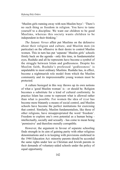'Muslim girls running away with non-Muslim boys': 'There's no such thing as freedom in religion. You have to tame yourself to a discipline. We want our children to be good Muslims, whereas this society wants children to be independent in their thinking.'

*The Satanic Verses* affair put Muslims on the defensive about their religion and culture, and Muslim men (in particular) on the offensive in their desire to control Muslim women. This in turn has put 'separate' Muslim girls' schools firmly back on the agenda - only this time, in fundamentalist eyes, Rushdie and all he represents have become a symbol of the struggle between Islam and godlessness. Despite his Muslim faith, Rushdie's professed 'godlessness' is unpalatable to most ordinary Muslims. Rushdie has, in effect, become a nightmarish role model from which the Muslim community and its impressionable young women must be protected.

A culture besieged in this way throws up its own notions of what a 'good Muslim woman' is - or should be. Religion becomes a substitute for a kind of cultural conformity. In practice Islam has come to represent what is allowed rather than what is possible. For women the idea of *izzat* has become more blatantly a means of social control, and Muslim schools have become the perfect institutions for exercising that control. Similarly, Muslim fundamentalists, like those of other religions, have misappropriated the word 'freedom'. Freedom to explore one's own potential as a human being intellectually, socially and sexually - has come to mean being 'permissive' and therefore morally corruptible.

However, the argument in favour of separate schooling finds strength in its aim of gaining parity with other religious denominations and is in keeping with provisions enshrined in the 1944 Education Act: minority parents should be accorded the same rights under law as Christian and Jewish parents in their demands of voluntary-aided schools under the policy of equal opportunity.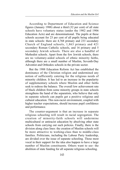According to Department of Education and Science figures (January 1988) about a third (32 per cent) of all state schools have voluntary status (under the 1902 and 1906 Education Acts) and are denominational. The pupils at these schools account for 23 per cent of all pupils being educated in state schools: there are 4,768 primary and 233 secondary Church of England schools, 1,863 primary and 421 secondary Roman Catholic schools, and 16 primary and 5 secondary Jewish schools. There are also a handful of Methodist schools. Apart from the few Jewish schools, there are no voluntary-aided schools of ethnic minority faiths, although there are a small number of Muslim, Seventh-Day Adventist and Orthodox schools in the private sector.

But the 1988 Education Reform Act has established the dominance of the Christian religion and undermined any notion of sufficiently catering for the religious needs of minority children. It has led to an increase in the popularity of supplementary schools where Muslim and other faiths seek to redress the balance. The overall low achievement rate of black children from some minority groups in state schools strengthens the hand of the separatists, who believe that only in separate schools can pupils get a positive religious and cultural education. This non-racist environment, coupled with higher teacher expectations, should increase pupil confidence and performance.

The counter-argument is that an increase in separate religious schooling will result in racial segregation. The creation of minority-faith schools will undermine multicultural or antiracist education by absolving other state schools from carrying out such policies. Finally, there is the division along class lines: the creation of Muslim schools will be more attractive to working-class than to middle-class families. Politicians, including the Labour Party leadership, are divided over the issue of separate schooling. Those most vocal in their support for the idea also happen to have a large number of Muslim constituents. Others want to see- the abolition of state funding for all separate religious schooling.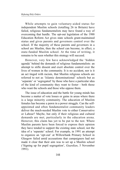While attempts to gain voluntary-aided status for independent Muslim schools (totalling 26 in Britain) have failed, religious fundamentalists may have found a way of overcoming that hurdle. The opt-out legislation of the 1988 Education Reform Act gives state schools grant-maintained status and gives parents and governors control over the school. If the majority of these parents and governors in a school are Muslim, then the school can become, in effect, a state-funded Muslim school. At the time of writing, it remains to be seen whether this strategy will succeed.

However, very few have acknowledged the 'hidden agenda' behind the demands of religious fundamentalists: an attempt to stifle dissent and exert absolute control over the lives of women in the community. It is no accident, nor is it an act tinged with racism, that Muslim religious schools are referred to not as 'Islamic denominational' schools but as 'separate' or 'segregated' by those who have a particular idea of the kind of community they want to foster - both those who want the schools and those who oppose them.

The issue of education and the battle for young minds has become a matter of vote losses or gains in areas where there is a large minority community. The education of Muslim females has become a pawn in a power struggle. Can the selfappointed and often fundamentalist community leaders deliver the much-needed Muslim vote to either Conservative or Labour? Maybe, but only if their religious and cultural demands are met, particularly in the education arena. However, this claim has yet to be put to the test. Where Muslim parents have been forced to express their opinion they have tended to support the existing state school, not the idea of a 'separate' school. For example, in 1991 an attempt to organize an 'opt-out' at Willowbank Primary School in Glasgow failed amid accusations that campaigners had not made it clear that their aim was to set up a Muslim school ('Signing up for pupil segregation', *Guardian*, 5 November 1991).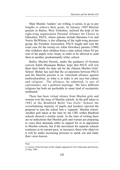Male Muslim 'leaders' are willing, it seems, to go to any lengths to achieve their goals. In January 1989 Muslim parents in Batley, West Yorkshire, enlisted the help of the right-wing organization Parental Alliance for Choice in Education. PACE, whose patrons include Baroness Cox and Norris McWhirter, is the offspring of the right-wing pressure group, the Freedom Association. PACE fought and won the court case for the twenty-six white Dewsbury parents (1988) who withdrew their children from a state school where 85 per cent of the pupils were Asian, in order to be allowed to send them to another, predominantly white, school.

Batley Muslim Parents, under the guidance of German convert Sahib Mustaqim Bleher, hope that PACE will win them their battle for state aid for the Zakaria Muslim Girls' School. Bleher has said that the co-operation between PACE and the Muslim parents is an 'interfaith alliance against multiculturalism, as what is at stake is not race but culture and religion'. The alliance, he admitted, is one of convenience, not a political marriage: 'We have different religions but both are preferable to some kind of secularistic mishmash.'

There has been virtual silence from Muslim girls and women over the issue of Muslim schools. In the poll taken in 1983 at the Bradford Belle Vue Girls' School the overwhelming majority of pupils and teachers rejected the proposal to turn the school into a 'separate' Muslim school. Another poll taken at the time by the CRE within Bradford schools showed a similar result. At the time of writing there are no indications that Muslim girls and women are preparing to voice their demands either in support for or in opposition to Muslim schools, but if the movement for separate schools continues at its current pace, or increases, those who object to it will be under increasing pressure to speak out and make their views known.

Note:

A version of the first part of this chapter appeared in New Statesman and Society, 25 May 1990.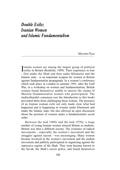# *Double Exile; Iranian Women and Islamic Fundamentalism*

*Maryam Poya*

Iranian women are among the largest group of political<br>lexiles in Britain (Rouhifar, 1989). Their experience in Iran Lexiles in Britain (Rouhifar, 1989). Their experience in Iran - first under the Shah and then under Khomeini and the Islamic state - is an important weapon for women in Britain against fundamentalist propaganda. In a women's conference which took place in London in summer 1991, after the Gulf War, in a workshop on women and fundamentalism, British women found themselves unable to answer the claims of Muslim fundamentalist women who participated. The multiculturalist consensus (see the Introduction to this book) prevented them from challenging these women. The presence of an Iranian woman exile not only made clear what had happened and is happening to women under Khomeini and under the Islamic state, but also allowed an open discussion about the position of women under a fundamentalist social order.

Between the mid 1960s and the mid 1970s, a large number of young Iranian women entered Britain as students. Britain was then a different society. The existence of radical movements - especially the women's movement and the struggles against racism - was encouraging. Many women became involved in the women's movement and the student movement and publicly participated in organizing against the repressive regime of the Shah. They soon became known to the Savak, the Shah's secret police, and found themselves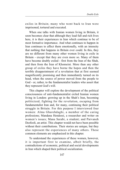exiles in Britain; many who went back to Iran were imprisoned, tortured and executed.

When one talks with Iranian women living in Britain, it soon becomes clear that although they lead full and rich lives here, it is their experiences in Iran which continue to be of most formative importance. And what continues to happen in Iran continues to affect them emotionally, with an intensity that nothing that happens in Britain ever could. In this, they are no different from many other women living in exile in Britain - except that they are even more so. Many of them have become doubly exiled - first from the Iran of the Shah, and then from the Iran of Khomeini. More than any other group of exiles they have borne the hopes and then the terrible disappointment of a revolution that at first seemed magnificently promising and then immediately turned on its head, when the source of power moved from the people to God - or, rather, to the fundamentalist leaders who assert that they represent God's will.

This chapter will explore the development of the political consciousness of anti-fundamentalist exiled Iranian women living in London: growing up in the Shah's Iran, becoming politicized, fighting for the revolution, escaping from fundamentalist Iran and, for many, continuing their political struggle in Britain. For this purpose I interviewed four women: Alma Gharehdaghi, a member of the caring professions; Mandana Hendessi, a researcher and writer on women's issues; Mana Sarabi, a student; and Parvaneh Dezfooli, an artist. This chapter would not have been possible without their contributions. Their stories are unique, but they also represent the experiences of many others. These common elements are emphasized in this chapter.

To understand the experiences of these women, however, it is important first to examine, albeit briefly, the contradictions of economic, political and social developments in Iran which shaped their political socialization.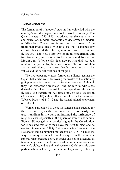## *Twentieth-century Iran*

The formation of a 'modern' state in Iran coincided with the country's rapid integration into the world economy. The Qajar dynasty (1785-1925) introduced secular courts, army and education. Modern economic activity created a modern middle class. The economic and political power of the traditional middle class, with its close link to Islamic law (sharia law) and the clergy, was undermined but not destroyed. The new state synthesized modernism and traditionalism, in response to the new social formation. Moghadam (1991) calls it a neo-patriarchal state, a modernized patriarchy; however modern the form of state and its institutions, it remained deeply rooted in patriarchal values and the social relations of religion.

The two opposing classes formed an alliance against the Qajar Shahs, who were destroying the wealth of the nation by giving economic concessions to foreign countries. Although they had different objectives - the modern middle class desired a fair chance against foreign capital and the clergy desired the return of religious power and tradition (Arahamian, 1982) - their alliance resulted in the victorious Tobacco Protest of 1891-2 and the Constitutional Movement of 1905-11.

Women participated in these movements and struggled for their liberation, as the coexistence of modernity and traditionalism in the state maintained the influence of religious laws, especially in the sphere of women and family. Women did not gain any political rights in the Constitution, for it declared that only men have the right to elect and be elected (Sanassarian, 1983). But women's involvement in the Nationalist and Communist movements of 1915-18 paved the way for many women to break away from the domestic sphere. Many became active in social and political activity as teachers, journalists, founders of women's schools and women's clubs, and as political speakers. Girls' schools were particularly attacked by the Islamic clergy as, by allowing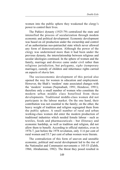women into the public sphere they weakened the clergy's power to control their lives.

The Pahlavi dynasty (1925-79) centralized the state and intensified the process of secularization through modem economic and political development. Economic development was based on oil production under the ownership and control of an authoritarian neo-patriarchal state which never allowed any form of democratization. Although the power of the clergy was undermined more than it had been under the previous dynasty, the interrelationship between religious and secular ideologies continued. In the sphere of women and the family, marriage and divorce came under civil rather than religious jurisdiction, but polygamy, *sighe* (temporary marriage), custody of children and inheritance rights carried on aspects of *sharia* law.

The socioeconomic development of this period also opened the way for women in education and employment. However, the Shah's 'modern' state associated changes with the 'modern' woman (Najmabadi, 1991; Hendessi, 1991); therefore only a small number of women who constitute the modern urban middle class benefited from these developments. Traditional middle-class women did not participate in the labour market. On the one hand, their contribution was not essential to the family; on the other, the heavy weight of tradition and religion segregated them from the public sphere. A small number of rural and urban working-class women did enter the modern production of traditional industries which needed female labour - such as textiles, foods and pharmaceuticals - but illiteracy and economic hardship, as well as tradition and religion, did not allow them to benefit. According to official statistics, even in 1976-7, just before the 1978 revolution, only 11.6 per cent of rural women and 53.7 per cent of urban women were literate.

The contradiction of this form of uneven and unstable economic, political and social development led to the rise of the Nationalist and Communist movements o 145-53 (Zabih, 1966; Abrahamian, 1982). The threat they posed resulted in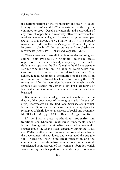the nationalization of the oil industry and the CIA coup. During the 1960s and 1970s, resistance to the regime continued to grow. Despite dictatorship and persecution of any form of opposition, a relatively effective movement of workers, students and guerrilla armed struggle developed (Poya, 1987a; Bayat, 1987). Finally, in 1977-8, a popular revolution overthrew the Shah's regime. Women played an important role in all the resistance and revolutionary movements (Azari, 1983; Tabari and Yeganeh, 1982).

These movements were divided into secular and religious camps. From 1965 to 1978 Khomeini led the religious opposition from exile in Najaf, a holy city in Iraq. In his declarations opposing the Shah's regime he did not separate Islam from nationalism, so secular Nationalist and Communist leaders were attracted to his views. They acknowledged Khomeini's domination of the opposition movement and followed his leadership during the 1978 revolution. After the revolution, however, Khomeini clearly opposed all secular movements. By 1981 all forms of Nationalist and Communist movements were defeated and banished.

Khomeini's doctrine of government was based on the theory of the 'governance of the religious jurist' [*wilayat alfagih*]. It advocated an ideal traditional Shi'i society, in which Islam is a religion and a state - an Islamic state applying the principles of sharia law to all aspects of social and economic life (Bakash, 1985, pp. 38-40; G. Rose, 1983, pp. 166-88).

If the Shah's state synthesized modernity and traditionalism, Khomeini synthesized fundamentalism of Islamic ideology with traditionalism. As exiled women in this chapter argue, the Shah's state, especially during the 1960s and 1970s, entitled women to some reforms which allowed the development of new ideas, and encouraged the struggle for .liberation. Despite political repression and the continuation of traditionalism women, to a limited extent, experienced some aspects of the women's liberation which was occurring in other parts of the world only. Khomeini's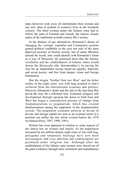state, however, took away all entitlements from women and any new ideas in relation to women's lives in the twentieth century. The ideal woman under the Islamic state had to follow the path of Fatimah and Zainab, the Islamic female saints of the traditional seventh-century Shi'i society.

In the absence of any alternatives, Khomeini's theory of changing the 'corrupt' capitalist and Communist systems gained political credibility in the eyes not only of the most deprived sections of Iranian society, but of many Muslims around the world, who could identify with Khomeini's Islam as a way of liberation. He promised them that the Islamic revolution and the establishment of Islamic states would favour the *Mustasafin* (the 'downtrodden'), by paving the way for an independent society based on equality, fraternity and social justice; and free from hunger, crime and foreign domination.

But the slogan 'Neither East nor West' and the bitter reality of the eight years' war with Iraq resulted in Iran's isolation from the international economy and politics. However, Khomeini's death and the end of the Iran-Iraq War paved the way for a reformed Iran. Economic progress and development through opening the doors to both East and West has begun a contradictory process of change from fundamentalism to pragmatism, which has created disillusionment among the supporters of the fundamentalist system. The pragmatist economic policies in favour of private and foreign capital are seen as an eventual return to a position not unlike the one which existed before the 1979 revolution (Poya, 1987, 1990, 1991).

Reform has even appeared in relation to some aspects of the sharia law on women and family. As the population increased by ten million despite eight years of war with Iraq, polygamy and temporary marriage have now been discouraged, and even abortion and contraception are permitted under religious law. Although after the establishment of the Islamic state women were forced out of the paid workforce through early retirement and redundancies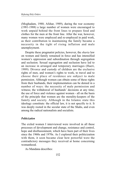(Moghadam, 1988; Afshar, 1989), during the war economy (1981-1988) a large number of women were encouraged to work unpaid behind the front lines to prepare food and clothes for the men at the front line. After the war, however, many women were employed and re-employed in paid work, as their contribution to maintaining the family became a necessity in the tight of rising inflation and male unemployment.

Despite these pragmatist policies, however, the *sharia* law on women and family remained in force and has intensified women's oppression and subordination through segregation and seclusion. Sexual segregation and seclusion have led to an increase in arranged and temporary marriages (Haeri, 1989). Divorce and custody of children are the exclusive rights of men, and women's rights to work, to travel and to choose their place of residence are subject to male permission. Although women can obtain some of these rights from their husbands, their implementation can be denied in a number of ways: the necessity of male permission and witness; the withdrawal of husbands' decisions at any time; the use of force and violence against women - all on the basis of the principle that women are the morality-keepers of the family and society. Although in the Islamic state this ideology constitute: the official law, it is not specific to it. It was deeply rooted in the secular state of the Shahs, and even among the radical nationalists and socialists.

## *Politicization*

The exiled women I interviewed were involved in all these processes of development and change, resistance and control, hope and disillusionment, which have been part of their lives since the 1960s and 1970s. As I explored their politicization with them, it soon became clear how powerful were the contradictory messages they received at home concerning womanhood.

As Mandana describes: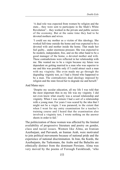'A dual role was expected from women by religion and the state... they were sent to participate in the Shah's White Revolution"... they worked in the private and public sectors of the economy. But at the same time they had to be devoted mothers and wives.

'I could see my mother as a victim of this ideology. She worked full-time outside the home and was expected to be a devoted wife and mother inside the home. That made her feel guilty... under enormous pressure. She was expected to be modern, independent, free, and on the other hand to be a good manager of the home, a devoted mother and wife. These contradictions were reflected in her relationship with me. She wanted me to be a virgin because my future was dependent on getting married to a man who was superior to me and this was possible only if I could attract such a man with my virginity. She even made me go through the degrading virginity test, as I had a friend who happened to be a man. The contradictory dual ideology imposed by religion and the state forced her to degrade me and herself.'

And Mana says:

'Despite my secular education, all my life I was told that the most important thin in my life was my virginity. I did not even know what exactly was a sexual relationship and virginity. When I was sixteen I had a sort of a relationship with a young man. For years I was scared by the idea that I might not be a virgin. I was paranoid, to the extent that when I went for my entry examination for a teacher's training course and I heard that the examination also involved a virginity test, I wrote nothing on the answer sheets in order to fail.'

The politicization of these women was affected by the limited availability of progressive literature and poetry on gender, class and racial issues. Women like Alma, an Iranian Azerbaijani, and Parvaneh, an Iranian Arab, were motivated to join political movements because of national pride and the experience of national discrimination. In Iran, the Kurds, the Azerbaijanis, the Turkomans, the Arabs and the Baluchis are ethnically distinct from the dominant Persians. Alma was very moved by the poems of Forough Farokhzadi, 'who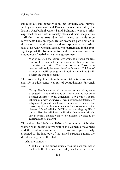spoke boldly and honestly about her sexuality and intimate feelings as a woman', and Parvaneh was influenced by the Iranian Azerbaijani writer Samd Behrangi, whose stories expressed the conflicts in society, class and racial inequalities - all the themes around which the radical resistance movements have emerged. Heroic women's participation in the national struggle also played an inspirational part. Alma tells of an Azari woman, Sarieh, who participated in the 1946 fight against the Iranian central state which overthrew an autonomous Azerbaijani national government:

> 'Sarieh resisted the central government's troops for five days on her own and did not surrender. Just before her execution she said, "You have not won. Those who betrayed will only be remembered with hatred. Children of Azerbaijan will revenge my blood and our blood will nourish the tree of freedom."'

The process of politicization, however, takes time to mature, and life in adolescence was full of contradictions. Parvaneh says:

> 'Many friends were in jail and under torture. Many were executed. I was anti-Shah, but there was no concrete political guidance for my generation. [For a while] I found religion as a way of survival. I was not fundamentalistically religious. I prayed, but I wore a miniskirt. I fasted, but broke my fast with a sandwich and a Coca-Cola in the cinema. I found religion fulfilling and securing my life. I did not like the religious implication that women should stay at home. I did not want to stay at home. I wanted to be educated and be an artist.'

Throughout the 1960s and 1970s a large number of Iranian women who became active within the women's movement and the student movement in Britain were particularly attracted to the ideology of the armed struggle against the dictatorial regime of the Shah.

Alma remembers:

'The belief in the armed struggle was the dominant belief on the Left. However, the Fedayeen had a particular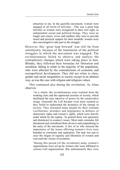attraction to me. In the guerrilla movement, women were engaged at all levels of activities... This was a great leap forward, as women were recognized in their own right, as independent social and political beings. They were no longer just sisters, wives and mothers who were to provide moral and practical support for their menfolk; women were also encouraged to take part in the struggle.'

However, this 'great leap forward' was still far from satisfactory, because of the limitations of the political struggles in which the movement was engaged. The revolutionaries failed to observe and analyse the contradictory changes which were taking place in Iran. Blindly, they followed their formulae for liberation and socialism, failing to relate to the majority of the population, who were affected by the contradictions of economic and sociopolitical development. They did not relate to class, gender and racial inequalities in society except in an abstract way, as was the case with religion and religious values.

This continued also during the revolution. As Alma observes:

> 'As a whole, the revolutionaries were isolated from the working class and the oppressed sections of society, which facilitated the easy takeover of power by the conservative clergy. Generally the Left became even more isolated as they failed to understand the dynamics of the change in society. They alienated many people by their constant vacillations, mistakes and negligence in defence of democratic rights and women's rights, which were heavily under attack by the regime. 'In general there was ignorance and disinterest in women's issues. Most male comrades felt threatened and considered them divisive and jeopardizing to the unity of the movement. A few of us who stressed the importance of the issues affecting women's lives were branded as extremists and separatists. The task was just to raise the slogan of equality and liberation of women and wait until the victory of socialism.

> 'During this period [of the revolution] many women's organizations were set up by women who were affiliated to various Left organizations. But unfortunately they were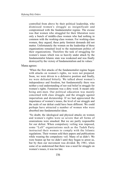controlled from above by their political leadership, who dismissed women's struggle as insignificant and compromised with the fundamentalist regime. The excuse was that women who struggled for their liberation were only a bunch of middle-class women who had nothing in common with the working-class women. For working-class women, they argued, these petty feminist demands did not matter. Unfortunately the women on the leadership of these organizations remained loyal to the mainstream politics of their organizations. Therefore the task of struggling for women's issues which was so heavily under attack by the fundamentalist Islamic state was weakened and was finally destroyed by the victory of fundamentalism and its values.'

Mana agrees:

'When the first attacks of the fundamentalist regime began with attacks on women's rights, we were not prepared. Soon, we were driven to a defensive position and finally, we were defeated bitterly. We talked about women's independence and freedom, but fundamentally there was neither a real understanding of nor real belief in struggle for women's rights. Feminism was a dirty word. It meant only being anti-men. Our political education was mainly concerned with class struggle, and the struggle against imperialism and dictatorship. If we had appreciated the importance of women's issues, the level of our struggle and the scale of our defeat could have been different. We could perhaps have attracted a number of women who were absorbed into fundamentalist ideas.

'No doubt, the ideological and physical attacks on women and women's rights were so severe that all forms of oranizations were smashed. But we are partly responsible for our defeat. When compulsory veiling was imposed, some "Left" organizations such as the Tudeh Party instructed their women to comply with the Islamic regulations. Their women sold their papers and publications while wearing the compulsory veil. Many of us didn't. We were beaten up but we didn't until they began to arrest us, but by then our movement was divided. By 1981, when some of us understood that there was a need for struggle on women's issues, it was too late.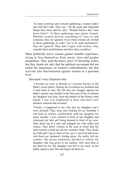'In many political and cultural gatherings, women didn't and still don't talk. They say, "All the good and important things have been said by men." Women believe that "men know better". In these gatherings men ignore women. Whether women discuss something of value or talk nonsense, they are ignored. Even when women are invited to these gatherings in order "not to be male-dominated", they are ignored. Men don't argue with women; they consider their contributions and their ideas worthless.'

Many politically active women gained valuable experience, trying to free themselves from racial, class and gender inequalities. They paid the heavy price of becoming exiles; but they found not only that the political movement did not tackle the importance of women's subordination, but that activists also discriminated against women at a personal level.

Parvaneh's story illustrates this:

'I became an exile in Britain as I became known to the Shah's secret police. During the revolution my husband and I went back to Iran. We felt that our struggle against the Shah's system was fruitful. In the first year of the revolution my daughter was born. Soon the attacks of the Islamic state began. I was very frightened as more and more were arrested, tortured and executed.

'Finally, it happened to me. One day my daughter and I were arrested. They were also looking for my husband. I was kept in solitary confinement with my daughter for many months. I was tortured in front of my daughter and witnessed my little girl being tortured in front of my eyes. They threw me in a sack and whipped me with cables and chains. They threw women in the sack in order that the male torturer would not see the woman's body. They broke my little girl's leg in front of my eyes. I survived and never told them my husband's hiding place. He safely left the country. The prison authorities decided to release my daughter. She was given to my mother, who soon died in her grief for me. My daughter was left to my sister, as her father started a new life and forgot all about us.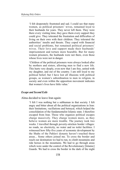'I felt desperately frustrated and sad. I could see that many women, as political prisoners' wives, remained loyal to their husbands for years. They never left them. They were there every visiting time, they gave them every support they could give. They tolerated the frustration and difficulties of living on their own with their children. They tolerated the authorities' insults and threats. They coped with financial and social problems, but remained political prisoners' wives. Their love and support made their husbands' imprisonment and torture more bearable. But for many women prisoners, the husbands were not there, even those whose lives were not in danger.

'Children of the political prisoners were always looked after by mothers and sisters, allowing men to find a new life. This hurts very deeply, even now that I am free, united with my daughter, and out of the country. I am still loyal to my political belief, but I have lost all illusions with political groups, as women's subordination to men in religion, in society and even within the opposition movement indicates that women's lives have little value.'

### *Escape and Second Exile*

Alma decided to leave Iran again:

'I felt I was nothing but a subhuman in that society. I felt angry and bitter about all the political organizations in Iran: their limitations, vacillations and betrayal, which helped the consolidation of the fundamentalist Islamic state. I therefore escaped from Iran. Those who organize political escapes charge massively. They charge women more, as they believe women are more trouble. The journey took two weeks. I travelled through poverty-stricken border villages: no roads, no electricity, no water and no toilet facilities. I witnessed how fifty-five years of economic development by the Shahs of the Pahlavi dynasty haven't touched these areas... Some others joined me. To cross the border and reach our destination we had to run, to climb mountains and ride horses in the mountains. We had to go through areas which were under the control of the Revolutionary [Islamic] Guards. We had to cross the border in the dark of the night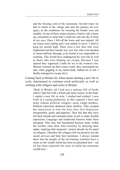and the freezing cold of the mountains. Several times we had to return to the village and start the journey all over again, as the conditions for crossing the border were not suitable. In one of these return journeys I had to ride a horse up a mountain so steep that I could see only the sky in front of my eyes. Once I fell off the horse and was injured. All my bones were aching and I was unable to move. I tried to keep my morale high. There were a few men who were frightened and their morale was very low. One even decided to return halfway through, as he found it was impossible to continue. This would have endangered his own life as well as those who were helping our escape. Because I was injured they organized a bath for me in the women's hut. Women warmed up their scarce water, they surrounded me and, while giggling at my naked body, bathed me in tub. I finally managed to escape alive.'

Coming back to Britain for Alma meant starting a new life in exile, determined to continue work politically as well as working with refugees and exiles in Britain:

> 'Back in Britain, all I had was a suitcase full of books which I had left with a friend and some money in the bank. I started a new life in exile. I studied and worked. I now work in a caring profession. In this capacity I have met many Iranian political refugees, many single mothers. Political repression shattered many families. They escaped the repression in Iran but here they feel displaced, irresponsible, guilty and hopeless. They feel that they have left their friends and comrades dead, in jail or under terrible repression. Language and traditional barriers make them alienated. They also feel humiliated because many within the welfare state show their hostility by delaying their rights, implying that taxpayers' money should not be spent on refugees. Therefore the refugees feel too proud to use the social services and hide their problems. I always remind them that the people of the developing countries have a claim on the wealth which has been accumulated here - our oil has been exploited for years to build the enormous wealth here.'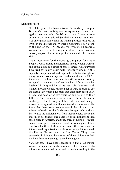#### Mandana says:

'In 1980 I joined the Iranian Women's Solidarity Group in Britain. Our main activity was to expose the Islamic laws against women under the Islamist state. I then became active in the International Solidarity Front for Iran. This was an organization to help the Iranian political refugees. In 1985, in the International Women's Conference in Nairobi, at the end of the UN Decade for Women, I became a woman in exile, as I, alongside other Iranian women, actively exposed the sufferings of women under the Islamic state.

'As a researcher for the Housing Campaign for Single People I work around homelessness among young women, and sexual abuse as a cause of homelessness. As a journalist I worked for many years with refugee women. In this capacity I experienced and exposed the bitter struggle of many Iranian women against fundamentalism. In 1989 I interviewed an Iranian woman in exile who successfully struggled to gain custody of her daughter. After divorce her husband kidnapped her three-year-old daughter and, without her knowledge, returned her to Iran, in order to use the sharia law which advocates that girls after seven years of age and boys after two years of age belong to their fathers. The woman is a refugee in Britain. She could neither go to Iran to bring back her child, nor could she get a court order against him. She contacted other women. She found that there were many women in her circumstances where husbands use the fundamentalist approach of sharia law to take the children away from their mothers. She found that in 1989, twenty-one cases of child-kidnapping had taken place in America, and thirty-three in Europe. Through an active campaign, women exposed the kidnapping of their children by their fathers and raised this issue within international organizations such as Amnesty International, the United Nations and the Red Cross. They have succeeded in bringing back seven of these children to their mothers from Iran, amongst them her daughter.

'Another case I have been engaged in is that of an Iranian woman in Japan who has been refused refugee status. If she returns to Iran she will be stoned to death according to the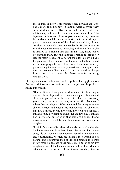law of *zina*, adultery. This woman joined her husband, who had Japanese residency, in Japan. After a while they separated without getting divorced. As a result of a relationship with another man, she now has a child. The Japanese authorities refuse to give her residency because her husband has left Japan. In most countries, residency is given to women because of their husbands and they do not consider a woman's case independently. If she returns to Iran she could be executed according to the *zina law*, as she is married to an Iranian man and has an "illegitimate" child by another man. But the Japanese refuse to grant her refugee status because they do not consider this law a basis for granting refugee status. I am therefore actively involved in the campaign to save the lives of such women by pressurizing international organizations to recognize the threat to women's lives under Islamic laws and to change international law to consider these cases for granting refugee status.'

The experience of exile as a result of political struggle makes Parvaneh determined to continue the struggle and hope for a future generation:

> 'Here in Britain, I study and work as an artist. I have begun a new relationship and have another daughter. My second child is important to me because I feel that I lost so many years of my life in prison away from my first daughter. I missed her growing up. When they took her away from me she was a baby, and when I was reunited with her she was a big girl. I missed seeing her losing her teeth and lisping. I missed seeing her going to school for the first day. I missed her laughs and her cries in that stage of her childhood development. I want to see those years in my second daughter.

> 'I think fundamentalist ideas which also existed under the Shah's system, and have been intensified under the Islamic state, distort women's development sexually, intellectually and emotionally. Women are given a role which is not natural, and it represses their ability and potentialities. Part of my struggle against fundamentalism is to bring up my daughters free of fundamentalism and all the fear which is attached to it for women. I don't want my daughters to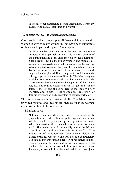suffer ml bitter experience of fundamentalism. I want my daughters to gain all that I lost as a woman.'

### *The importance of the Anti-Fundamentalist Struggle*

One question which preoccupies all these anti-fundamentalist women is why so many women in Iran have been supporters of this sexual apartheid regime. Alma explains:

> 'A large number of women from the deprived sectors are attracted to this apartheid system. This is partly because of the humiliation and deprivation they experienced during the Shah's regime. Unlike the minority upper- and middle-class women who enjoyed a certain degree of prosperity, many of whom adopted Western lifestyles, the majority of women from the deprived sections of society were debased, degraded and neglected. Hence they envied and detested the other groups and their Western lifestyle. The Islamic regime exploited such sentiments and won the women to its side. These women became the staunch supporters of the Islamic regime. The regime declared them the guardians of the Islamic society and the upholders of the society's new morality and values. These women are the symbol of Islamic womanhood and advocators of sexual apartheid.'

This empowerment is not just symbolic. The Islamic state provided material and ideological interests for these women, and allowed them to become visible.

Mandana says:

'I know a woman whose activities were confined to preparation of food for Islamic gatherings such as Sofreh, which are exclusively women's gatherings within the home. After Islamization, she extended these activities to public work. She began to work voluntarily within the Islamic organizations such as Bonyade Mostazafin. [The Foundation of the Oppressed]. She became visible and gained prestige. Moreover, she was not in a contradictory position, as this was just an extension of her activities in the private sphere of the home and she was not expected to be modern. She became the symbol of the good woman, a real Fatimah [the symbol of motherhood and devoted wife] and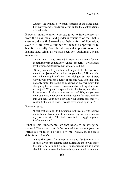Zainab [the symbol of woman fighters] at the same time. For many women, fundamentalism ended the contradictions of modernity.'

However, many women who struggled to free themselves from the class, racial and gender inequalities of the Shah's system did not find sexual apartheid a form of liberation, even if it did give a number of them the opportunity to benefit materially from the ideological implications of the Islamic state. Alma, as we have seen, felt 'subhuman'. Mana remembers:

> 'Many times I was arrested in Iran in the streets for not complying with compulsory veiling "properly". I was asked by the fundamentalist woman who arrested me:

> "Sister, how could your heart allow you to let the eyes of a *namahram* [strange] man look at your body? How could you make him guilty of sin?" I was dying to ask her "Sister, why in your eyes am I guilty of his sin? Why is it that I am not only sinful for not being ashamed of my own body, but also guilty because a man harasses me by looking at me as a sex object? Why am I responsible for his faults, and why is it me who is driving a pure man to sin? Why do you see your value and your power in what you do for men, and for this you deny your own body and your visible presence?" I couldn't, though. If I had, I would have ended up in jail.'

Parvaneh says:

'I feel that with all its limitations, political activity helped me to bloom like a bud, to overcome my fears and realize my potentialities. The task now is to struggle against fundamentalism.'

What is this fundamentalism that needs to be struggled against? There are many definitions of the concept (see the Introduction to this book). For me, however, the best definition is Alma's:

> 'I use the terms fundamentalism and fundamentalists specifically for the Islamic state in Iran and those who share the same beliefs and values. Fundamentalism is about absolute control over the female body and mind. It is about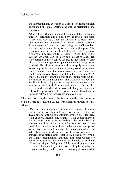the segregation and exclusion of women. The regime in Iran is founded on sexual apartheid as well as dictatorship and repression.

'Under the apartheid system of the Islamic state, women are directly segregated and secluded by the laws of the state. There is no way out. They are limited to the rights, roles and tasks that the state sees fit for them. 'Sexual apartheid is expressed in Islamic law. According to the Ghesas law, the value of a human being is based on her/his price. The price of a man is equivalent to 100 camels, but the price of a woman is equivalent to 50 camels. According to the Ghesas law a man can kill his wife in a case of Zina. Men who commit adultery can be set free if they admit to their sin, or if they manage to escape while they are being stoned to death. But these exemptions do not apply to women. According to this law, women are categorized in the same rank as children and the insane. According to Khomeini's book *Hallolmassael* [Analysis of Problems], Article 2412, married women cannot go out of the house without the permission of their husbands. The wife has to obey and facilitate his sexual pleasure, except during menstruation. According to Islamic law, women are dirty during this period and they should be avoided. They are not even allowed to pray. When their cycle finishes, they have to bath and ask God for forgiveness and cleanness.'

The need to struggle against the fundamentalism of the state is also a struggle against values embedded in ourselves, says Mana:

> 'Our movement against fundamentalism was defeated because what was imposed on us was already part of us. Even among anti-fundamentalists, women are identified with chastity, virginity and dignity - with getting married, having legitimate children, being a devoted wife and mother. We don't have these definitions for men. If we could free ourselves from these fundamentalist concepts of womanhood, we could then face the fundamentalist women who feel powerful under the Islamic regime by implementing state power - that is, by being active within the Islamic organizations and punishing other women for not obeying Islamic law. We will then be able to ask them: "How could you feel powerful by denying your own existence? How could you feel powerful by being ashamed of your own body, and be proud of covering it from head to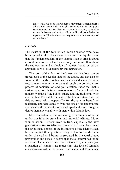toe?" What we need is a women's movement which absorbs all women from Left to Right, from atheist to religious fundamentalist, to discuss women's issues, to tackle women's issues and not to allow political boundaries to separate us. This is where we may achieve a new concept of womanhood.'

### *Conclusion*

The message of the four exiled Iranian women who have been quoted in this chapter can be summed up by the claim that the fundamentalism of the Islamic state in Iran is about absolute control over the female body and mind. It is about the subjugation and exclusion of women, based on sexual apartheid as well as dictatorship and repression.

The roots of this form of fundamentalist ideology can be traced back to the secular state of the Shahs, and can also be found in the minds of radical nationalists and socialists. As a result, many women who went through the contradictory process of socialization and politicization under the Shah's system were torn between two symbols of womanhood: the modern woman of the public sphere and the traditional wife and mother. The establishment of the Islamic state resolved this contradiction, especially for those who benefited materially and ideologically from the rise of fundamentalism and became the advocates of sexual apartheid, even though it denies them any equality with men within Islamic law.

Most importantly, the worsening of women's situation under the Islamic state has had material effects. Many women whom I interviewed in Iran, especially the new generation whose socialization process has taken place under the strict social control of the institutions of the Islamic state, have accepted their position. They feel more comfortable under the veil and being segregated in the workplace, universities and buses. It seems that social control has led to self-control - the values have been internalized, so it is not just a question of Islamic state repression. The lack of feminist consciousness within the radical Nationalist and Communist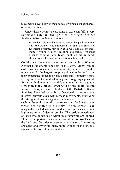movements never allowed them to raise women's consciousness on women's issues.

Under these circumstances, being in exile can fulfil a very important role in the political struggle against fundamentalism, as Mana point out:

> If I couldn't discuss the class and gender inequalities in Iran with the women who supported the Shah's regime and Khomeini's regime, maybe in exile we could discuss these matters without fear of execution and torture. We must discuss together our fears, such as motherhood, childbearing, childrearing, love, especially in exile.'

Could the existence of an organization such as Women Against Fundamentalism help in this way? Many Iranian exiled women, as socialists and feminists, are involved in this movement. As the largest group of political exiles in Britain, their experience under the Shah's state and Khomeini's state is very important in understanding and struggling against all forms of fundamentalism and fundamentalist propaganda. However, many others, even with strong socialist and feminist ideas, are ambivalent about the British Left and feminists. They feel that a form of sectionalism and sectional interests prevails even within these movements, overriding the struggle of women against fundamentalist issues. Issues such as the multiculturalist consensus and fundamentalism, which are debated in a purely British context, can marginalize exiled women. Fundamentalism is viewed as a legitimate form of identity politics. The terrible experiences of those who do not see it within this framework are ignored. These are important issues which could be discussed within the Left and feminist movements as a way of removing obstacles and involving many more women in the struggle against all forms of fundamentalism.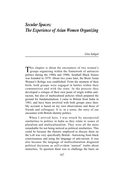## *Secular Spaces; The Experience of Asian Women Organizing*

*Gita Sahgal*

This chapter is about the encounters of two women's<br>groups organizing within the framework of antiracist politics during the 1980s and 1990s. Southall Black Sisters was founded in 1979. About two years later, the Brent Asian Women's Refuge was established. From the moment of their birth, both groups were engaged in battles within their communities and with the state. In the process they developed a critique of their own point of origin within antiracism, but also of multicultural policies which prepared the ground for fundamentalism. I came to Britain from India in 1983, and have been involved with both groups since then. My account is based on my own observations and those of friends and colleagues. It is, in a sense, the story of our encounter with British identity politics.

When I arrived here, I was struck by unexpected similarities to politics in India as they relate to issues of pluralism and multiculturalism. They were all the more remarkable for not being noticed as political similarities. This could be because the rhetoric employed to discuss them on the Left was very specifically British - borrowing from black consciousness and using the language of anti-racism. It was also because the language of multiculturalism disguised political decisions as self-evident 'natural' truths about minorities. To question them was to challenge the basis on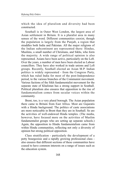which the idea of pluralism and diversity had been constructed.

Southall is in Outer West London, the largest area of Asian settlement in Britain. It is a pluralist area in many senses of the word. Different communities coexist, though the population is largely from the Punjab, a region that straddles both India and Pakistan. All the major religions of the Indian subcontinent are represented there: Hindus, Muslims, a small number of Christians, and Sikhs, who form the majority. A wide range of political opinion is also represented. Asians have been active, particularly on the Left. Over the years, a number of men have been elected as Labour councillors. They have also worked in trade unions and Left groups. Recently, Southall elected an Asian M.P. Indian politics is widely represented - from the Congress Party, which has ruled India for most of the post-Independence period, to the various branches of the Communist movement. Various factions of the Sikh fundamentalist movement for the separate state of Khalistan has a strong support in Southall. Political pluralism also ensures that opposition to the rise of fundamentalism comes from secular voices within the community.

Brent, too, is a very plural borough. The Asian population there came to Britain from East Africa. Most are Gujaratis with a Hindu background. The politics of caste associations are more noticeable in Brent than they are in Southall. So are the activities of well-endowed Hindu temples. (The media, however, have focused more on the activities of Muslim fundamentalist groups who are setting up separate schools.) Again, the opposition to Hindu fundamentalism came from within Hindu communities, reflecting not only a diversity of opinion but strong political opposition.

Class stratification - particularly the development of a petty bourgeoisie and a rapidly growing professional class also ensures that different sections of these communities have ceased to have common interests on a range of issues such as the education system.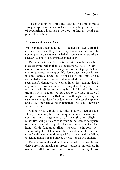The pluralism of Brent and Southall resembles most strongly aspects of Indian civil society, which operates a kind of secularism which has grown out of Indian social and political conditions.

### *Secularism in Britain and India*

While Indian understandings of secularism have a British colonial history, they bear very little resemblance to contemporary discussions in Britain about the nature of the secular state or of secularism as an ideology.

References to secularism in Britain usually describe a state of mind rather than a constitutional fact. Britain is assumed to be a secular society because most people's lives are not governed by religion. It's also argued that secularism is a militant, evangelical form of atheism imposing a rationalist discourse on all citizens of the state. Some of secularism's defenders, as well as its critics, assume that it replaces religious modes of thought and imposes the separation of religion from everyday life. This alien form of thought, it is argued, would destroy the way of life of religious minorities in Britain. It is thought that religion sanctions and guides all conduct, even in the secular sphere, and allows minorities no independent political views or social existence.

Unlike Britain, India is constitutionally a secular state. There, secularism, far from being an atheist imposition, is seen as the only guarantor of the rights of religious minorities. All politicians who want to be seen to safeguard or defend such rights appeal to the Constitution. On the other hand, Hindu fundamentalists who want to impose their version of political Hinduism have condemned the secular state for allowing minorities special privileges and for failing to defend Hinduism and impose its ethos on all true Indians.

Both the strengths and the limitations of Indian secularism derive from its mission to protect religious minorities. In order to fulfil this mission, their collective rights are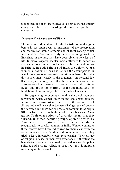recognized and they are treated as a homogeneous unitary category. The insertion of gender issues upsets this consensus.

### *Secularism, Fundamentalism and Women*

The modern Indian state, like the British colonial regime before it, has often been the instrument of the preservation and ossification both o customs and of legal concept which were codified from imperfectly understood religious texts. Enshrined in the law, they have been given a new lease of life. In many respects, secular Indian attitudes to minorities and social policy related to them resemble multiculturalism in Britain. In both Britain and India the existence of a women's movement has challenged the assumptions on which policy-making towards minorities is based. In India, this is seen most clearly in the arguments on personal law that took place during the 1980s. In Britain, the existence of autonomous black women's groups has raised profound questions about the multicultural consensus and the limitations of anti-racist politics over the last ten years.

By organizing autonomously within the black women's movement, Asian women drew on and challenged both the feminist and anti-racist movements. Both Southall Black Sisters and the Brent Asian Women's Refuge reached beyond the narrow allegiances for one caste or community of origin. SBS, in fact, started as both an Afro-Caribbean and Asian group. Their own notions of diversity meant that they formed, in effect, secular groups, operating within a framework of religious tolerance which would be recognizable to secular opinion in India. Women coming to these centres have been radicalized by their clash with the social mores of their families and communities when they tried to leave intolerably violent relationships. Their critique of religion is based on their own experience. It threatens the boundaries of secularism - usually defined as a secular public sphere, and private religious practice, and demands a redefining of the concept.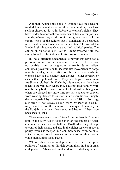Although Asian politicians in Britain have on occasion tackled fundamentalists within their communities, they have seldom chosen to do so in defence of women's rights. They have tended to choose those issues which had a clear political agenda, where they could avoid being seen to attack the central tenets of the religion itself. Khalistan is a separatist movement, which threatens the Indian state. The rise of the Hindu Right threatens Centre and Left political parties. The campaign on schools in Southall demonstrated both the strengths and the limitations of this form of secularism.

In India, different fundamentalist movements have had a profound impact on the behaviour of women. This is most noticeable in minority groups where fundamentalism combines powerfully with secessionist movements to forge new forms of group identification. In Punjab and Kashmir, women have had to change their clothes - either forcibly, or as a matter of political choice. They have begun to wear more 'traditional clothes'. In Kashmir, this means that they have taken to the veil even where they have not traditionally worn one. In Punjab, there are reports of a headmistress being shot when she pleaded for more time for her students to convert from wearing dresses to *shalwar-kameez* (traditional Punjabi dress regarded by fundamentalists as 'Sikh' clothing, although it has always been worn by Punjabis of all religions). Girls on the campus of Chandigarh University, in the Punjab, have been threatened and beaten if they have been seen in jeans.

These movements have all found their echoes in Britain both in the activities of young men on the streets of Asian communities such as Southall and Bradford as they attempt to control their sisters, and also in the higher reaches of social policy, which is steeped in a common sense, with colonial antecedents, of how to manage and control an alien people while maintaining social peace.

Where other ex-colonial powers like France adopted policies of assimilation, British colonialism in South Asia and parts of Africa retained and reinvented aspects of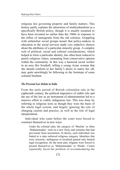religious law governing property and family matters. This history partly explains the attractions of multiculturalism as a specifically British policy, though it is usually assumed to have been invented no earlier than the 1960s in response to the influx of immigrants from the old colonies. Grappling with unfamiliar social groups meant that policy-makers in education or the social services made very reductive choices about the attributes of a particular minority group. A complex web of political, social and cultural considerations, which helped to form a particular identity, has often been reduced to purely religious values, emanating from conservative opinion within the community. In this way a harassed social worker in an area like Southall, telling a young Asian woman that she should conform to her family's desire to marry her off, may quite unwittingly be following in the footsteps of some colonial forebear.

## *The Personal Law Debate in India*

From the early period of British colonialist rule in the eighteenth century, the political imperative of stable rule and the use of the law as an instrument of administration led to a massive effort to codify indigenous law. This was done by referring to religious texts as though they were the basis of the whole legal system, and largely ignoring the role of changing custom and practice, as well as the role of legal interpretation.

Individual who came before the court were forced to construct themselves in new ways:

> Under the colonial state, the category of 'Muslim' or often 'Muhammadan', took on a new fixity and certainty that had previously been uncommon. In theory, each individual was linked to a state enforced religious category. Identities that were syncretic, ambiguous or localised gained only limited legal recognition; for the most part, litigants were forced to present themselves as 'Muhammadan' or 'Hindu'. Courts repeatedly faced the problem of accommodating the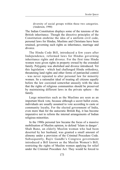diversity of social groups within these two categories. (Anderson, 1990)

The Indian Constitution displays some of the tensions of the British inheritance. Though the directive principles of the Constitution enshrine the idea of a uniform civil code, personal laws for Hindus, Muslims and Christians have been retained, governing such rights as inheritance, marriage and divorce.

The Hindu Code Bill, introduced a few years after Independence, reformed laws for Hindus governing inheritance rights and divorce. For the first time Hindu women were given rights in property owned by the extended family. Polygamy was abolished and divorce introduced. Yet this legislation - which had challenged Hindu orthodoxy, threatening land rights and other forms of patriarchal control - was never repeated to alter personal law for minority women. So a rationalist ideal of treating all citizens equally before the law coexisted somewhat uneasily with the idea that the rights of religious communities should be preserved by maintaining different laws in the private sphere - the family.

Large minorities such as the Muslims are seen as an important block vote, because although a secret ballot exists, individuals are usually assumed to vote according to caste or community loyalty, For the elected government of India, even more than for the autocratic British Raj, it has become imperative not to reform the internal arrangements of Indian religious minorities.

In the 1980s personal law became the focus of a massive mobilisation of Muslim opinion, to defend 'Islam in danger'. Shah Bano, an elderly Muslim woman who had been deserted by her husband, was granted a small amount of alimony under a provision of the Criminal Procedure Code. Subsequently, Rajiv Gandhi's Congress government introduced a Bill known as the Muslim Women's Bill, restricting the rights of Muslim women applying for relief under the Criminal Procedure Act. They would be forced to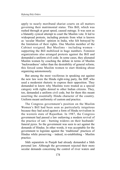apply to nearly moribund shariat courts on all matters governing their matrimonial status. This Bill, which was rushed through at great speed, caused outrage. It was seen as a blatantly cynical attempt to court the Muslim vote. It led to widespread protests, including protests from what is known as 'secular Muslim' opinion in India, who felt betrayed by the limitation of their rights. One Muslim member of the Cabinet resigned. But Muslims - including women supporting the Bill mobilized in huge numbers. Feminist organizations also arranged protests against the Bill and demanded a uniform civil code. In some cases, they alienated Muslim women by couching the debate in terms of Muslim 'backwardness' rather than the desirability of general reform; this forced some Muslim women to start thinking about organizing autonomously.

But among the most vociferous in speaking out against the new law were the Hindu right-wing party, the BJP, who used a modernist rhetoric to express their opposition. They demanded to know why Muslims were treated as a special category with rights denied to other Indian citizens. They, too, demanded a uniform civil code, but for them this meant asserting the essentially Hindu character of the country. Uniform meant uniformity of custom and practice.

The Congress government's position on the Muslim Women's Bill had been seen as particularly iniquitous because they had acted against a form of Hindu revivalism in the western state of Rajasthan. In 1987, the Congress government had passed a law outlawing a modern revival of the practice of sati - burning widows on their husbands' funeral pyres. So the government was seen to act against the demands of Hindus. In other words, it was acceptable for the government to legislate against the 'traditional' practices of Hindus while preserving - indeed, re-establishing - Muslim practice.

Sikh separatists in Punjab had already demanded a Sikh personal law. Although the government rejected their more secular demands concerning the control of river waters and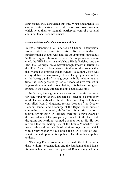other issues, they considered this one. When fundamentalists cannot control a state, the control exercised over women, which helps them to maintain patriarchal control over land and inheritance, becomes crucial.

## *Fundamentalism and Multiculturalism in Britain*

In 1986, 'Bandung File', a series on Channel 4 television, investigated extreme right-wing Hindu revivalist or fundamentalist groups who had set up apparently innocuous 'cultural' organizations in Britain. Two organizations were cited: the VHP, known as the Vishwa Hindu Parishad, and the RSS, the Rashtriya Swayamsevak Sangh, known in Britain as the HSS. They had been granted funding on the grounds that they wanted to promote Indian culture - a culture which was always defined as exclusively Hindu. The programme looked at the background of these groups in India, where, at that time, the RSS particularly had a history of involvement in large-scale communal riots - that is, riots between religious groups, in their case directed mainly against Muslims.

In Britain, these groups were seen as a legitimate target for state funding, as they appeared to cater to a community need. The councils which funded them were largely Labourcontrolled. Ken Livingstone, former Leader of the Greater London Council and a scourge of the Right, found himself somewhat shamefacedly defending his administration's record, saying that GLC officers were not always aware of the antecedents of the groups they funded. On the face of it, the grant applications seemed unexceptional. He did not mention that the mailing lists of the Ethnic Minorities Unit were made up almost wholly of religious organizations which would very probably have failed the GLC's tests of antisexist or equal opportunities policies, had these been applied to them.

'Bandung File's programme first made the link between these 'cultural' organizations and the Ramjanmabhumi issue. Ramjanmabhumi means birthplace of Rama, a major Hindu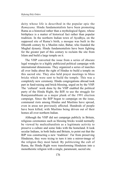deity whose life is described in the popular epic the *Ramayana*. Hindu fundamentalists have been promoting Rama as a historical rather than a mythological figure, whose birthplace is a matter of historical fact rather than popular tradition. In the northern Indian town of Ayodhya, on the supposed site of Rama's birth, a mosque was built in the fifteenth century by a Muslim ruler, Babar, who founded the Mughal dynasty. Hindu fundamentalists have been fighting for the greater part of this century to reclaim the site from Islam and build a large temple on it.

The VHP converted the issue from a series of obscure legal wrangles to a highly publicized political campaign with international dimensions. They organized a series of marches all over India about the right of Hindus to build a temple on this sacred site. They also held prayer meetings to bless bricks which were sent to build the temple. This was a completely new ceremony. Hindu congregations abroad took part in fund-raising and brick-blessing, urged on by the VHP. The 'cultural' work done by the VHP enabled the political party of the Hindu Right, the BJP, to use the struggle for Ramjanmabhumi as a major plank of the 1991 election campaign. Since the BJP began to campaign on the issue, communal riots among Hindus and Muslims have spread, even in areas not previously affected. Hundreds of people have been killed, with Muslims being driven out of their homes all over northern Indian.

Although the VHP did not campaign publicly in Britain, religious ceremonies such as blessing bricks would normally be viewed by muliculturalists as a legitimate activity to preserve a culture and some links with the homeland. It took secular Indians, in both India and Britain, to point out that the BJP was constructing a new 'tradition'. Far from preserving Hinduism, they were trying to turn it into a mirror-image of the religion they most hated. By politicizing the cult of Rama, the Hindu Right were transforming Hinduism into a monotheistic religion with a single, paramount, sacred site.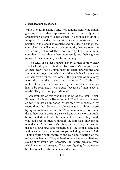## *Multiculturalism and Women*

While Ken Livingstone's GLC was funding right-wing Hindu groups, it was also supporting some of the early selforganization efforts of black women. It continued to do this in spite of considerable scepticism and sometimes active hostility in the labour movement and outside. In London, the control of a small number of community leaders over the lives and politics of their community has never been complete. It has always been contested, and their right to represent the community has been challenged.

The GLC and other councils never seemed entirely clear about why they were funding black women's groups. Some of them dearly had a commitment to equal opportunities and autonomous organizing which would enable black women to set their own agendas. For others, the principle of autonomy was akin to the 'separate but equal' policies of multiculturalism. Black women or groups of other ethnicities had to be separate, it was argued, because of their 'special needs'. They were simply 'different'.

An example of this was the funding of the Brent Asian Women's Refuge by Brent council. The first management committee was composed of women who, while they recognized that domestic violence was a problem, were trying to contain it within the Asian community. For them, the refuge was a breathing space from which women could be reconciled back into the family. The women they hired, who had been politicized through the anti-racist movement, regarded an Asian women's refuge as a necessity because of the racist structures and mentalities of the British state and within socialist and feminist groups, including Women's Aid. Their position with regard to the role and function of the refuge was feminist. They refused to organize reconciliations, saying they would not reproduce the family pressure from which women had escaped. They were fighting for women to be able to make truly autonomous decisions.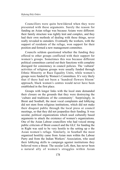Councillors were quite bewildered when they were presented with these arguments. Surely the reason for funding an Asian refuge was because Asians were different: their family structure was tightly knit and complex, and they had their own methods of dealing with these things, never really revealed to outsiders. Eventually the workers, with the support of residents of the refuge, won support for their position and formed a new management committee.

Councils seldom questioned whether the funding they offered to other groups conflicted with their support for women's groups. Sometimes this was because different political committees carried out their functions with complete disregard for consistency in council policies. The 'cultural' activities of religious groups were usually funded through Ethnic Minority or Race Equality Units, while women's groups were funded by Women's Committees. It's very likely that if there had not been a 'hundred flowers bloom' approach, black women's centres would never have been established in the first place.

Groups with longer links with the local state demanded their closure on the grounds that they were destroying the 'culture and traditions of the community'. Surprisingly, in Brent and Southall, the most vocal complaints and lobbying did not stem from religious institutions, which did not make their disquiet public through the local press or council meetings, so that they did not jeopardize their funding. It was secular, political organizations which used culturally based arguments to attack the existence of women's organizations. One of the Asian Labour councillors who had voiced strong public criticism of Brent council and the GLC for funding the in Right was said to be very hostile to the setting up o the Asian women's refuge. Similarly, in Southall the most organized hostility came from Asian men within the Labour Party and from the Indian Workers' Association, who used their lobbying skills to campaign against institutions they believed were a threat. The secular Left, then, has never been a natural ally of women's struggles within Asian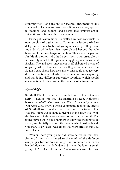communities - and the most powerful arguments it has attempted to harness are based on religious sanction, appeals to 'tradition' and 'culture', and a denial that feminists are an authentic voice from within the community.

Every political tradition, no matter how new, constructs its own version of authenticity. Community leaders tried to delegitimize the activities of young radicals by calling them 'outsiders', while feminists were placed beyond the pale because of their challenge to tradition. This was very painful for black women who had seen their own struggle as intrinsically allied to the general struggle against racism and fascism. The anti-racist movement itself elaborated myths of origin by which it raised its own flag of authenticity. The Southall case shows how the same events could produce very different politics- all of which were in some way exploring and validating different subjective identities which would come, in time, to clash within the tradition of anti-racism.

## *Myth of Origin*

Southall Black Sisters was founded in the heat of mass activity against racism. The Institute of Race Relations booklet *Southall: The Birth of a Black Community* begins: 'On April 23rd, 1979, a whole community took to the streets of Southall to protest at the invasion of its town.' The National Front was holding a meeting at the Town Hall with the backing of the Conservative-controlled council. The police turned up in huge numbers to allow the meeting to go ahead, and brutally attacked the crowds which had gathered. One man, Blair Peach, was killed; 700 were arrested and 342 were charged.

Women, both young and old, were active on that day. Some of them contributed to the work of the defence campaigns formed to challenge the draconian sentences handed down to the defendants. Six months later, a small group of Afro-Caribbean and Asian women were to form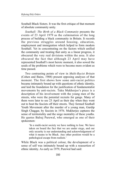Southall Black Sisters. It was the first critique of that moment of absolute community unity.

*Southall: The Birth of a Black Community* presents the events of 23 April 1979 as the culmination of the long process of building a black community in Britain. It records the previous struggles around housing, education, employment and immigration which helped to form modern Southall. Yet in concentrating on the factors which unified the community and treating that unity as a linear progress, it obscured the very real divisions within the area. It also obscured the fact that although 23 April may have represented Southall's most heroic moment, it also sowed the seeds of the problems which were to become more evident as time passed.

Two contrasting points of view in *Multi-Racist Britain* (Cohen and Bains, 1988) present opposing analyses of that moment. The first shows how some anti-racist politics became intimately bound up with questions of ethnic identity, and laid the foundation for the justification of fundamentalist movements by anti-racists. Tuku Mukherjee's piece is a description of his involvement with the young men of the streets, who were the potential recruits for gangs. Many of them were later to see 23 April as their day when they went out to beat the fascists off their streets. They formed Southall Youth Movement after the murder of a young man, Gurdip Singh Chaggar, by fascists in 1976. Mukherjee captures the sense of territoriality and the siege mentality of these youths. He quotes Balraj Purewal, who emerged as one of their spokesmen:

> 'In a multi-racist society we have nothing to lose. We have taken on board the fact that we are under siege, and our only security is our understanding and acknowledgement of what it means to be Black. Any other position would be a pathological escape from realism.'

While Black was a political colour, the development of a sense of self was intimately bound up with a reassertion of ethnic identity. As early as 1979, Purewal had said: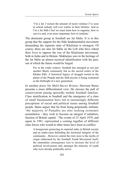'I'm a Jat. I reckon the amount of racist violence I've seen in school nobody will ever realise in their lifetime. And as I'm a Jat Sikh I feel we must learn how to organise, how to survive and, even more important, how to retaliate.'

The dominant group in Southall are Jat Sikhs. It is in this group that the support for the Sikh fundamentalist movement demanding the separate state of Khalistan is strongest. Of course, there are also Jat Sikhs on the Left who have risked their lives to oppose the rise of the Khalistani movement, both in India and in Britain. Mukherjee sees in the heritage of the Jat Sikhs an almost mystical identification with the past, out of which the future would be forged:

> For in the wider context, Southall has emerged as not just another Black community but as the sacred centre of the Khalsa Sikh. A historical legacy of struggle rooted in the plains of the Punjab and the Sikh psyche is being reclaimed as the birthright of a new generation.

In another piece for *Multi-Racist Britain*, Harwant Bains presents a more differentiated view. He stresses the pull of conservatism among upwardly mobile Southall families. Class stratification in Southall and the emergence of a class of small businessmen have led to increasingly different perceptions of social and political issues among Southall people. Bains argues that far from being perpetually militant, 'the majority of Punjabis are also seeking economic assimilation - they wish to become an integral if subaltern, fraction of British capital.' The events of 23 April 1979, and again in 1981, represented a coming together of different class forces who would at other times have been in conflict:

> A bourgeoisie protecting its material stake in British society and an under-class defending the territorial integrity of the community... However central the riots were to the myths of origin elaborated by the Southall Youth Movement itself, the immediate consequence was to increase the level of political involvement only amongst the minority of youth who were already politically active.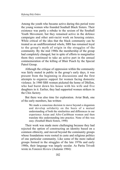Among the youth who became active during this period were the young women who founded Southall Black Sisters. Their existence was partly a rebuke to the sexism of the Southall Youth Movement, but they remained active in the defence campaigns and other anti-racist work on housing estates. While critical of the idea that the black community can be treated as an undifferentiated whole, SBS has remained loyal to the group's myth of origin in the struggles of the community. By the mid 1980s the membership of the group had completely changed, but in spite of efforts to marginalize them they continued to take an active part in the annual commemoration of the killing of Blair Peach by the Special Patrol Group.

Although the critique of oppression within the community was fairly muted in public in the group's early days, it was present from the beginning in discussions and the first attempts to organize support for women facing domestic violence. In 1980 SBS women picketed the home of Dhillon, who had burnt down his house with his wife and five daughters in it. Earlier, they had supported women strikers in the Chix factory.

But there was also time for exploration. Avtar Brah, one of the early members, has written:

> We made a conscious decision to move beyond a sloganism and develop solidarity on the basis of a mutual understanding of both the similarities and differences in our experience Asian and Afro-Caribbean women and then translate this understanding into practice. None of this was easy. (Southall Black Sisters, 1990)

Their work was made more challenging because they had rejected the option of constructing an identity based on a common ethnicity, and moved beyond the community groups whose foundations were rooted in caste and religious politics of one particular community. Like some of the more radical groups formed in the struggles of the late 1970s and early 1980s, their language was largely secular. As Parita Trivedi wrote in *Feminist Review* (Autumn 1984):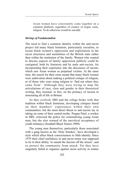Asian women have consistently come together on a common platform, regardless of country of origin, caste, religion. To do otherwise would be suicidal.

# *Stirrings of Fundamentalism*

The need to find a common identity within the anti-racist project led many black feminists, particularly socialists, to locate black women's oppression and exploitation in the racist structures and mentalities of the British state rather than within the institution of the family. Women who wanted to discuss aspects of family oppression publicly could be castigated, both by feminists and by male anti-racists, for incorporating their experience into the discourses of racism, which saw Asian women as perpetual victims. At the same time, the search for their roots meant that many black women were ambivalent about making a political critique of religion, or of those who were using religion to 'find out where they came from'. Although they were trying to map the articulations of race, class and gender in their theoretical writing, they insisted, in fact, on the primacy of racism in structuring all of life in Britain.

As they evolved, SBS and the refuge broke with that tradition within black feminism, developing critiques based on their members' experiences within their own communities; but the most direct threat to anti-racists lay in taking on some of their central myths. Pragna Patel, a worker in SBS, criticized the police for criminalizing young Asian men, but she also warned of the uncritical acceptance of youth militancy (Southall Black Sisters, l990).

The young men themselves, particularly those associated with a gang known as the 'Holy Smokes', have developed a style which allies black consciousness to Sikh identity. Since 1979 their chief usefulness in anti-racist terms was supposed to lie in their ability 'to smash the fascists off the streets', and so protect the community from attack. Yet they have singularly failed to organize against racist activity in estates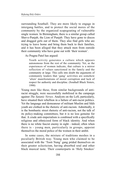surrounding Southall. They are more likely to engage in intergang battles, and to protect the social mores of the community by the organized scapegoating of vulnerable single women. In Birmingham, there is a similar group called Sher-e-Punjab, the Lion of Punjab. They have gone to discos and dragged girls out of them. They also find girls who are trying to leave home and bring them back to their families, and it has been alleged that they attack men from outside their community who have gone out with 'their women'.

As Pragna Patel has argued:

Youth activity generates a culture which appears autonomous from the rest of the community. Yet, as the experiences of women indicate, that culture is a mirror reflection of values sanctioned in the family and the community at large. This calls into doubt the arguments of community leaders that 'gang' activities are somehow 'alien' manifestations of moral corruption and lack of respect for authority and discipline. (Southall Black Sisters, 1990)

Young men like these, from similar backgrounds of antiracist struggle, were successfully mobilized in the campaign against *The Satanic Verses*. Analysts on the Left, particularly, have situated their rebellion in a failure of anti-racist politics. Yet the language and demeanour of militant Muslim and Sikh youth are clothed in the rhetoric of anti-racism. Admittedly, it is the bombastic street rhetoric of anti-racism, not the talk of its policy-making committees, but it is no less genuine for that. A crude anti-imperialism is combined with a specifically religious and ethnicized form of black identity. And when there is no white fascist enemy in sight - indeed, often when there is - young men, particularly in groups, appoint themselves the moral police of the women in their ambit.

In some cases, the mixture of traditions meshes in a peculiarly British way. Young men who claimed to be associated with the 'Tooti Nung' gang prided themselves on their greater eclecticism, having absorbed soul and other black musical taste. Their counterparts in 'Holy Smokes'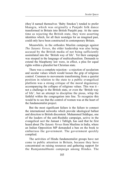(they'd named themselves 'Baby Smokes') tended to prefer bhangra, which was originally a Punjabi folk dance transformed in Britain into British Punjabi pop. At the same time as rejecting the British state, they were asserting identities which, for all their nostalgia for an imagined past, could only have been constructed in contemporary Britain.

Meanwhile, in the orthodox Muslim campaign against *The Satanic Verses*, the older leadership was also being accused by the British media of not being sufficiently assimilated into the 'British way of life'. Yet their campaign was steeped in the language of multiculturalism. Demands to extend the blasphemy law were, in effect, a plea for equal rights within a pluralist but Christian state.

There was a complete rejection - a rejection of secularism and secular values which would loosen the grip of religious control. Common to movements transforming from a quietist position in relation to the state to a public evangelical platform was a strong critique of the moral degeneracy accompanying the collapse of religious values. This was it not a challenge to the British state, or even the 'British way of life', but an attempt to discipline the pious, whip the faithful within the congregation into line. To recognize this would be to see that the control of women was at the heart of the fundamentalist project.

But the most significant failure is the failure to connect the international networks which provide ideological ballast and direction to British discontent. Muhammed Siddique, one of the leaders of the anti-Rushdie campaign, active in the evangelical sect the Jamaat i Tabligh, has said that he first heard about *The Satanic Verses* from Muslims in India, where an Indian Opposition MP demanded a ban on the book to embarrass the government. The government quickly complied.

The activities of Hindu fundamentalist groups have not come to public attention in Britain, because they have concentrated on raising resources and gathering support for the Ramjanmabhumi campaign among Hindus. The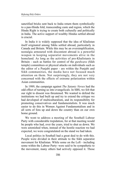sanctified bricks sent back to India return them symbolically to a pan-Hindu fold, transcending caste and region, which the Hindu Right is trying to create both culturally and politically in India. The active support of wealthy Hindus settled abroad is crucial.

In India it is widely supposed that the idea of Khalistan itself originated among Sikhs settled abroad, particularly in Canada and Britain. While this may be an oversimplification, nostalgia armoured with discontent abroad is a powerful weapon in keeping separatist movements alive in the homeland. As long as the activities of pro-Khalistanis in Britain - such as battles for control of the *gurdwara* (Sikh temple) committees or physical attacks on individuals such as the editor of a Punjabi paper - are within the Punjabi and Sikh communities, the media have not focused much attention on them. Not surprisingly, they are not very concerned with the effects of extreme polarization within Asian communities.

In 1989, the campaign against *The Satanic Verses* had the odd effect of turning us into evangelicals. In SBS, we felt that our right to dissent was threatened. We wanted to defend the institutions we had built up and try to extend the critique we had developed of multiculturalism, and its responsibility for promoting conservatives and fundamentalists. It was much easier to do this in Women Against Fundamentalism and in all sorts of fora up and down the country than on our own home ground.

We went to address a meeting of the Southall Labour Party with considerable trepidation, for at that meeting would be people who had, over the years, tried to shut us down. We were astonished when, instead of the hostile reaction we had expected, we were congratulated on the stand we had taken.

Local politics in Southall had a great deal to do with this. People were divided in their attitude to the Sikh separatist movement for Khalistan. While some on the Left - including some within the Labour Party- were said to be sympathetic to the movement, many others had actively opposed it. Those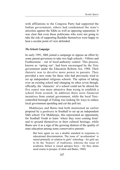with affiliations to the Congress Party had supported the Indian government; others had condemned the state's atrocities against the Sikhs as well as opposing separatism. It was clear that even those politicians who were not going to take the risk of supporting Rushdie themselves were happy to hear a secular point of view defended.

# *The Schools Campaign*

In early 1991, SBS joined a campaign to oppose an effort by some parent-governors to take two high schools - Villiers and Featherstone - out of local-authority control. This process, known as 'opting out', had been encouraged by the Tory government under the Education Reform Act, 1988. Their rhetoric was to devolve more power to parents. They provided a new route for those who had previously tried to set up independent religious schools. The option of taking over an existing school and changing its ethos (even though, officially, the 'character' of a school could not be altered for five years) was more attractive than trying to establish a school from scratch. In addition there were financial incentives from central government, while the local Torycontrolled borough of Ealing was looking for ways to reduce local government spending and cut the poll tax.

Mukherjee and Bains had both mentioned an earlier proposal by a *gurdwara* in Southall to set up an independent Sikh school. For Mukherjee, this represented an opportunity for Southall Youth to learn 'where they were coming from' and to ground themselves in their cultural heritage, while Bains saw it as a sign of the growing distrust of the quality of state education among some conservative parents:

> But here again we see a double standard in responses to educational discrimination. The issue of 'acculturation' is raised primarily in relation to girls' schooling - for girls are to be the 'bearers' of traditions, whereas the issue of academic failure is raised apropos boys - for they alone need exams to prosper. (Cohen and Bains, 1988)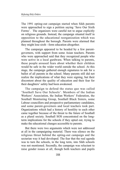The 1991 opting-out campaign started when Sikh parents were approached to sign a petition saying 'Save Our Sixth Forms'. The organizers were careful not to argue explicitly on religious grounds. Instead, the campaign situated itself in opposition to the educational reorganization which was planned throughout the borough. Parents were alarmed that they might lose sixth - form education altogether.

The campaign appeared to be headed by a few parentgovernors, with support from some Asian teachers. Parents who were approached said that they recognized people who were active in a local gurdwara. When talking to parents, these people aroused fears about whether their children would be safe in the wider world outside the school. At this stage, the campaign gathered enough signatures to ask for a ballot of all parents in the school. Many parents still did not realize the implications of what they were signing, but their discontent about the quality of education and their fear for their daughters' safety had been awakened.

The campaign to defend the status quo was called 'Southall Save Our Schools'. Members of the Indian Workers' Association, the Indian Workers' Federation, the Southall Monitoring Group, Southall Black Sisters, some Labour councillors and prospective parliamentary candidates, and some parent-governors and local teachers took part. Organizations which had a history of hostility to each other came together because of the threat to the future of Southall as a plural society. Southall SOS concentrated on the longterm implications for the schools if they opted out, trying to make the educational changes accessible to parents.

But there were two arguments which were not addressed at all in the campaigning material. There was silence on the religious thrust behind the opting-out campaign and the sectarian way it had developed. The fear that the real agenda was to turn the schools, in the long term, into Sikh schools was not mentioned. Secondly, the campaign was reluctant to raise gender issues at all, though both teachers and pupils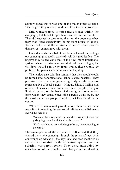acknowledged that it was one of the major issues at stake. 'It's the girls they're after,' said one of the teachers privately.

SBS workers tried to raise these issues within the campaign, but failed to get them inserted in the literature. They did succeed in discussing them on the doorsteps when they mobilized extensively, going from house to house. Women who used the centre - some of them parents themselves - campaigned with them.

Once demands for a ballot had been achieved, the optingout campaign produced a series of well-designed leaflets. The bogeys they raised were that in the new, more impersonal system, where sixth-formers would attend local colleges, the children would run away from home, there would be problems for parents, and families would split up.

The leaflets also said that rumours that the schools would be turned into denominational schools were baseless. They promised that the new governing body would be more representative of local parents - Hindus, Sikhs, Muslims and others. This was a new construction of people living in Southall, purely on the basis of the religious communities from which they came. Since Sikh parents would be by far the most numerous group, it implied that they should be in control.

When SBS canvassed parents about their views, most were firm in rejecting the control of religious establishments over local schools:

> 'We came here to educate our children. We don't want our girls going around with their heads covered.'

> 'If it's anything to do with the *gurdwara*, I want nothing to do with it.'

The assumptions of the anti-racist Left meant that they viewed the whole campaign through the prism of race. At a conference on education, the key issue had been identified as racial discrimination in the education system, and the solution was parent power. They were untroubled by consideration of the complex new changes in the Education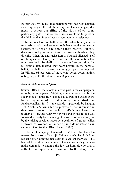Reform Act, by the fact that 'parent power' had been adopted as a Tory slogan. It could be a very problematic slogan, if it meant a severe curtailing of the rights of children, particularly girls. To raise these issues would be to question the thinking that Southall was 'a community in resistance'.

In an area like Southall, where the education system is relatively popular and some schools have good examination results, it is possible to defend their record. But it is dangerous to try to ignore fears and discontents where they do exist. When the anti-racist Left in Southall silenced itself on the question of religion, it fell into the assumption that most people in Southall actually wanted to be guided by religious diktat. Instead, they were hostile. In the parental ballot, Southall parents overwhelmingly rejected opting out. In Villiers, 93 per cent of those who voted voted against opting out; in Featherstone it was 76 per cent.

## *Domestic Violence and its Effects*

Southall Black Sisters took an active part in the campaign on schools, because years of fighting around issues raised by the experience of domestic violence had alerted the group to the hidden agendas of orthodox religious control and fundamentalism. In 1984 the suicide - apparently by hanging - of Krishna Sharma led to pickets of her inquest and demonstrations outside her husband's house. Later, the murder of Balwant Kaur by her husband in the refuge was followed not only by a campaign to ensure his conviction, but by the raising of wider issues by a coalition of groups called Network of Women, culminating in a demonstration in summer l986 (Southall Black Sisters, 1990).

The latest campaign, launched in 1990, was to obtain the release from prison of Kiranjit Ahluwalia, who had killed her husband after suffering ten years in a violent marriage. This has led to work with a number of other women's groups to make demands to change the law on homicide so that it reflects the experience of women. To the charge that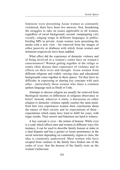feminists were presenting Asian women as constantly victimized, there have been two answers: first, broadening the struggles to take on issues applicable to all women, regardless of racial background; second: campaigning very vocally; singing songs in different languages in public; briefing MPs in private. Asian women were presenting the media with a new view - far removed from the images of either passivity or drabness with which Asian women and feminism respectively have been saddled.

What effect did the experience of domestic violence and of being involved in a women's centre have on women's consciousness? Women getting together at the refuge or centre often discuss their experience of violence and its effects on their lives and thought. Asian women from different religions and widely varying class and educational backgrounds come together in these spaces. Yet they have no difficulty in expressing or sharing key concepts with each other - particularly those women who share a common spoken language such as Hindi or Urdu.

Attempts to discuss religion are usually far removed from theological niceties or differences in religious observance or belief. Instead, wherever it starts, a discussion on either religion or domestic violence rapidly reaches the same point. from heir own experiences women draw conclusions about the nature of their society and its expectations of them expectations which many have tried to fulfil for years, with tragic results. Their sorrow and bitterness are hard to witness.

A key concept is *izzat* - the notion of honour. While *izzat* is a code which affects men and women in different ways (for instance, it can be used to describe family honour at stake in a land dispute) and has a greater or lesser prominence in the social structure depending on community, region or class, the idea is commonly understood. Most women who have escaped from violence in the family have broken one of the codes of *izzat*: that the honour of the family rests on the woman's behaviour.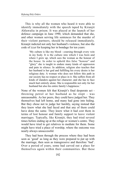This is why all the women who heard it were able to identify immediately with the speech taped by Kiranjit Ahluwalia in prison. It was played at the launch of her defence campaign in June 1990, which demanded that she, and other women serving life sentences for the murder of their violent partners, should be released immediately. Kiranjit indicted not only her husband's violence, but also the code of *izzat* for keeping her in bondage for ten years:

> 'My culture is like my blood - coursing through every vein in my body. It is the culture into which I was born and where I grew up, which sees the woman as the honour of the house. In order to uphold this false "honour" and "glory" she is taught to endure many kinds of oppression and pain in silence. In addition, religion also teaches that her husband is her god and fulfilling his every desire is her religious duty. A woman who does not follow this path in our society has no respect or place in it. She suffers from all kinds of slanders against her character; and she has to face much hurt entirely alone. She is responsible not only for her husband but also his entire family's happiness.'

None of the women felt that Kiranjit's final desperate act throwing petrol at her husband as he slept - was unreasonable. As her peers, they could have judged her. They themselves had left home, and many had gone into hiding. But they chose not to judge her harshly, saying instead that they knew what she had faced and that any of them could have done the same. They knew what it had cost them in terms of lost honour and family support to leave violent marriages. Typically, like Kiranjit, they had tried several times before ending up at the refuge or women's centre. They would have tried to get relatives to mediate for them. Some might have tried a place of worship, where the outcome was nearly always unsuccessful.

They had been through the process where they had been seen as 'good' as long as they were prepared to put up with the marriage, then seen as transgressive and therefore 'bad'. Over a period of years, some had carved out a place for themselves again within their communities. But these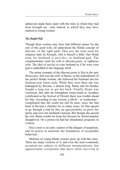upheavals made them clash with the roles in which they had been brought up - and, indeed, to which they may have aspired as young women.

# *The Dutiful Wife*

Though these women may have had different names for the role of the good wife, all understood the Hindu concept of *dharma*, or the right path. This was the term used for religious duty by Kiranjit, who is herself a Sikh. One Hindi term for husband is *pati-dev*, or husband-god. The complementary term for wife is *dharma-patni*, or righteous wife. The idea of service to your husband as if he were your god is embedded in the language itself.

The prime example of the *dharma-patni* is Sita in the epic *Ramayana*. Sita was the wife of Rama; as the embodiment of the perfect Hindu woman, she followed her husband into his fourteen-year forest exile. While they were there she was kidnapped by Ravana, a demon king. Rama and his brother fought a long war to get her back. Finally, Rama was victorious. But after his triumphant return home to Ayodhya (celebrated as the festival of Diwali) there was trouble ahead for Sita. According to one version, a *dhobi* - or washerman complained that she could not still be pure, since she had been in Ravana's clutches for so many years. So Sita agreed to go through a trial by fire, an *agni-pariksha*, to prove her purity and save her husband's honour. But though she passed the test, Rama would not keep her because he feared popular disapproval. On a pretext he had her abandoned, pregnant, in a forest.

Sita's story is an early caution of the dangers of populism, and its power to maintain the boundaries of acceptable behaviour.

Millions of young Hindu women grow up with this story. There are many versions of it, and even the most commonly accepted are subject to different interpretations, but oppositional viewpoints that have often survived in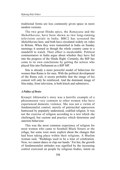traditional forms are less commonly given space in more modern versions.

The two great Hindu epics, the *Ramayana* and the *Mahabharata*, have been shown as two long-running television serials in India. BBC2 has screened the *Mahabharata* here, and both have circulated widely on video in Britain. When they were transmitted in India on Sunday mornings it seemed as though the whole country came to a standstill to watch. Their effect is incalculable. Political commentators in India argue about whether they have fed into the progress of the Hindu Right. Certainly, the BJP has come to its own conclusions by getting the actress who played Sita into Parliament as a BJP MP.

Sita is already a more powerful model of behaviour for women than Rama is for men. With the political development of the Rama cult, it seems probable that the image of his consort will only be reinforced. And the dominant image of Sita today, from television, is both kitsch and submissive.

## *A Politics of Desire*

Kiranjit Ahluwalia's story was a horrific example of a phenomenon very common to other women who have experienced domestic violence. She was not a victim of fundamentalist control, merely of patriarchal oppression buttressed by popularly understood, codified religion. It was not the exercise of religion according to a text which she challenged, but custom and practice which determine and sanction behaviour.

This was the most common experience of religion for most women who came to Southall Black Sisters or the refuge, but some were more explicit about the changes that had been taking place within their religions. A Muslim woman said, 'Weddings used to be a time of celebration. Now, we cannot dance or clap our hands.' For her, the growth of fundamentalist attitudes was signified by the increasing control exercised on people by religious bodies, intent on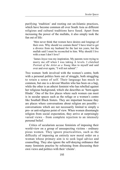purifying 'tradition' and rooting out un-Islamic practices, which have become common all over South Asia as different religious and cultural traditions have fused. Apart from increasing the power of the mullahs, it also simply took the fun out of life:

> 'Men never think that women have desires and longings of their own. Why should we contain them? I have tried to get a divorce from my husband for the last ten years, but the mullah said I must be reconciled to him. Why should I live with a man I don't love?

> 'James Joyce was my inspiration. My parents were trying to marry me off when I was taking A levels. I clutched *Portrait of the Artist as a Young Man* to myself and said over and over again, "I will not submit".'

Two women: both involved with the women's centre, both with a personal politics born out of struggle, both struggling to retain a sense of self. Their language has much in common, but one is a devout Muslim who has been on a hajj, while the other is an atheist feminist who has rebelled against her religious background, which she describes as 'born-again Hindu'. One of the few places where such women can meet is in secular spaces such as the refuge or a women's centre like Southall Black Sisters. They are important because they are places where conversations about religion are possible conversations which are not necessarily limited to simply a pro- or anti-religious point of view. When women disentangle religion from social expectation, they arrive at surprisingly varied views - from complete rejection to an intensely personal belief.

Critics of secularism accuse feminists of imposing their world-view on a group of unsuspecting victims - ordinary pious women. They ignore practicalities, such as the difficulty of imposing an entirely new moral order on a woman whose primary aim is to seek legal advice and counselling. They also ignore the self-denying ordinance that many feminists practise by refraining from discussing their own views and politics with their 'clients'.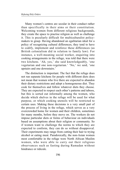Many women's centres are secular in their conduct rather than specifically in their aims or their constitution. Welcoming women from different religious backgrounds, they create the space to practise religion as well as challenge it. This is peculiarly difficult for multiculturalist policymakers to grasp. Having abandoned an egalitarian ideal for a policy of recognizing cultural differences, they tend to have to codify, implement and reinforce these differences (as British colonialism did in relation to family law). For instance, a well-meaning social worker, enquiring into cooking arrangements in the refuge, was told that there were two kitchens. 'Ah, yes,' she said knowledgeably, 'one vegetarian and one non-vegetarian.' 'No,' we said, 'one upstairs and one downstairs.'

The distinction is important. The fact that the refuge does not run separate kitchens for people with different diets does not mean that women who live there are expected to abandon their dietary restrictions and adopt a homogeneous diet. They cook for themselves and follow whatever diets they choose. They are expected to respect each other's patterns and taboos, but this is sorted out informally among the women, who decide which shelves in the refuge will be used for what purpose, or which cooking utensils will be restricted to certain uses. Making these decisions is a very small part of the process of living in the refuge, which serves as a very overcrowded home for women and their children, sometimes for many months, before they move on. The workers do not impose particular diets or forms of behaviour on individuals based on assumptions about their religion or community. So if women want to challenge the norms to which they are expected to conform, they can do so without disapproval. Their experiments may range from cutting their hair to trying alcohol or eating meat. Paradoxically, the non-Asian women most comfortable in the refuge were North African Muslim women, who were able to carry out their religious observances such as fasting during Ramadan without hindrance or ridicule.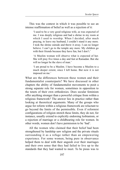This was the context in which it was possible to see an intense reaffirmation of belief as well as a rejection of it:

> 'I used to be a very good religious wife, as was expected of me. I was deeply religious and had a shrine in my room at which I used to worship. When I decided, after much praying, to leave my husband, I couldn't stand it any more. I took the shrine outside and threw it away. I can no longer believe. I can't go to the temple any more. My children go with their friends because they have fun, but I don't.'

> 'A Muslim woman will observe what is expected of her. She will pray five times a day and fast at Ramadan. But she will no longer be the slave of man.'

> 'I am proud to be a Muslim. I have become a Muslim to a much deeper extent, since I left home. But now it is not imposed on me.'

What are the differences between these women and their fundamentalist counterparts? We have discussed in other chapters the ability of fundamentalist movements to posit a strong separate role for women, sometimes in opposition to the tenets of their own orthodoxies. Does secular feminism offer anything stronger than a powerful critique from within a religious framework? The answer lies in practice rather than looking at theoretical arguments. Many of the groups who argue for reform within a religious framework are reluctant to go beyond the limits of the permissible. Even if reformist configurations of religion stretch these limits, they do not, for instance, usually extend to explicitly endorsing lesbianism, or a rejection of marriage or a childbearing role for women. In other words, women don't have permission to be 'bad'.

All the women who claimed that their belief had been strengthened by hardship saw religion and the private rituals surrounding it as a refuge rather than an empowering experience. For some women, being pure in observance helped them to deal with their anguish over their marriages and their own sense that they had failed to live up to the standards that they had wanted to meet. To be pious was to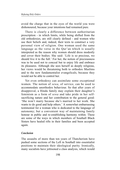avoid the charge that in the eyes of the world you were dishonoured, because your intentions had remained pure.

There is clearly a difference between authoritarian prescription - in which limits, while being shifted from the old orthodoxies, are still clearly defined - and women who use their beliefs and, indeed, their texts to construct a very personal view of religion. One woman used the same language as the verse in the Qur'an which is usually interpreted as the reason why women should dress modestly and cover their bodies. She said: 'Life is so precious, we should live it to the full.' For her, the notion of preciousness was to be used not to conceal but to enjoy life and embrace its pleasures. Although she sees herself as deeply religious, her views would be threatening both to orthodox Muslims and to the new fundamentalist evangelicals, because they would not be able to control her.

Yet even orthodoxy can assimilate some exceptional women. The notion of *sewa*, of service, can be used to accommodate unorthodox behaviour. So that after years of disapproval, a Hindu family may explain their daughter's feminism as a form of *sewa* and take pride in her selfsacrificing nature and her contribution to the general good: 'She won't marry because she's married to her work. She wants to do good and help others.' A somewhat embarrassing testimonial for a woman who is dedicated to the language of autonomy; but a convenient way of maintaining family honour in public and re-establishing harmony within. These are some of the ways in which members of Southall Black Sisters have healed rifts in their families and been accepted again.

## *Conclusion*

The assaults of more than ten years of Thatcherism have pushed some sections of the Left in Southall into essentialist positions to maintain their ideological purity. Ironically, many socialists have jettisoned a class analysis, which would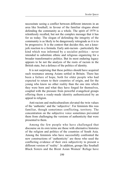necessitate seeing a conflict between different interests in an area like Southall, in favour of the familiar slogans about defending the community as a whole. The spirit of 1979 is relentlessly recalled, but not the complex message that it has for us today. The slogan of defending the integrity of the community is as likely to be dangerously retrograde as it is to be progressive. It is the context that decides this, not a kneejerk reaction to a formula. Early anti-racism - particularly the kind which was informed by a socialist politics - never intended to substitute ethnic and religious organizing for a broader transformative politics. But its most enduring legacy appears to be not the analysis of the roots of racism in the British state, but a defence of the politics of identity.

It is not surprising that these politics should have acquired such resonance among Asians settled in Britain. There has been a failure of hope, both for older people who had expected to return to their countries of origin, and for the young who know no other reality than the one into which they were born and what they have forged for themselves, coupled with the pressure from powerful evangelical groups offering them a ready-made identity authenticated by an appeal to religion.

Anti-racism and multiculturalism elevated the twin values of the 'authentic' and the 'subjective'. For feminists this was familiar, though sometimes conflicting, territory. The concentration on the subjective voice sometimes prevented them from challenging the versions of authenticity that were presented to them.

Among the few people who have challenged that discourse on its own terms are those with alternative histories of the religion and politics of the countries of South Asia. Among the feminists who have successfully confronted the new constructions of 'authenticity' are those who used the conflicting evidence of their own subjectivity to present a different version of 'reality'. In addition, groups like Southall Black Sisters and the Brent Asian Women' Refuge have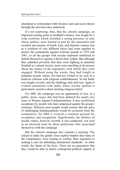attempted to reformulate both feminist and anti-racist theory through the activities they undertook.

It's not surprising, then, that the schools campaign, an important turning point in Southall's history, was fought by a wide coalition which included a strong presence of men whose politics were formed in part by the nationalist and socialist movements of South Asia, and feminist women Just as a coalition of very different forces had come together to protect the community against external assault in 1979 and 1981, so all the groups with secular traditions mobilized to defend themselves against a threat from within. But although they admitted privately that they were fighting to maintain Southall as a plural society, most were unwilling to be precise about the nature of the arguments with which they were engaged. Without using the words, they had fought to maintain secular values, but had not wished to be seen in a head-on collision with religious establishments. So the battle was fought covertly, and the challenge only half met. Again it evoked similarities with India, where secular opinion is particularly sensitive about tackling religious belief.

For SBS, the campaign was an opportunity to test, in a public arena, issues that had been debated for nearly two years in Women Against Fundamentalism. It also symbolized acceptance by people who had campained against the group's existence. Whereas most people would assume that the price of challenging fundamentalism would be exclusion from the community, for SBS it created a common ground for acceptance and recognition. Significantly, the defence of secular values, however covertly it was conducted, was seen as an electoral asset by those politicians who associated themselves with the campaign.

But the schools campaign also contains a warning. The refusal to make the gender issue explicit implies that many of the campaigners were hoping to confine their argument to making a case for defending educational standards - in other words, the future of the boys. There are no guarantees that they would be able to attract widespread political support if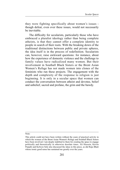they were fighting specifically about women's issues though defeat, even over these issues, would not necessarily be inevitable.

The difficulty for secularists, particularly those who have embraced a pluralist ideology rather than being complete atheists, is that they cannot offer a complete identity to people in search of their roots. With the breaking down of the traditional distinctions between public and private spheres, the idea itself is in the process of redefinition. Secularists can, however, raise awkward questions: for instance, about how the experience of domestic violence and the challenge to family values have radicalized many women. But their involvement in Southall Black Sisters or the Brent Asian Women's Refuge has not made women into clones of the feminists who run these projects. The engagement with the depth and complexity of the response to religion is just beginning. It is only in a secular space that women can conduct the conversation between atheist and devotee, belief and unbelief, sacred and profane, the grim and the bawdy.

#### Note:

This article could not have been written without the years of practical activity in which the women of the Brent Asian Women's Refuge and Southall Black Sisters have been involved. I am deeply indebted to them for creating the space to engage politically and theoretically in otherwise desolate times. Ali Hussein, Kavita Punjabi and Kelwyn Sole also discussed the ideas in this piece, as did Raju Bhatt whose ironic good sense has sustained me greatly over the years.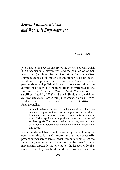# *Jewish Fundamentalism and Women's Empowerment*

*Nira Yuval-Davis*

Owing to the specific history of the Jewish people, Jewish<br>fundamentalist movements (and the position of women inside them) embrace forms of religious fundamentalism common among both majorities and minorities both in the West and in post-colonial countries. Two different perspectives and political interests have determined the definition of Jewish fundamentalism as reflected in the literature: the Messianic Zionist *Gush Emunim* and its satellites (Lustick, 1988) and the individualistic spiritual *khazara bitshuva* ('Born-Again') movement (Kaufman, 1989. I share with Lustick his political definition of fundamentalism:

> A belief system is defined as fundamentalist in so far as its adherents regard its tenets as uncompromisable and direct transcendental imperatives to political action oriented toward the rapid and comprehensive reconstruction of society. (p.6) [For comparative purposes, see our own definition of religious fundamentalism in the Introduction to this book.]

Jewish fundamentalism is not, therefore, just about being, or even becoming, Ultra-Orthodox, and is not necessarily present everywhere where a Jewish community exists. At the same time, examination of some of the *khazara bitshuva* movements, especially the one led by the Lubavitch Rebbe, reveals that they are fundamentalist movements in the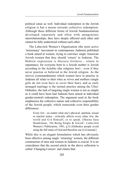political sense as well. Individual redemption in the Jewish religion is but a means towards collective redemption. Although these different forms of Jewish fundamentalism developed separately and often with antagonistic interrelationships, they have deeply affected each other and cannot be fully understood without each other.

The Lubavitch Women's Organization (the most active 'missionary' movement in contemporary Judaism) published a book aimed at women, trying to convince single American Jewish women that they should 'return' to Judaism. The Hebrew expression is *khazara bitshuva* - return to repentance; for everyone born to a Jewish mother is Jewish according to the *halakha* (the religious law) - even if they never practise or believed in the Jewish religion. As the *mitzvot* (commandments) which women have to practise in Judaism all relate to their roles as wives and mothers (single girls do not even have to cover their hair), and as early arranged marriage is the normal practice among the Ultra-Orthodox, the task of targeting single women is not as simple as it could have been had Judaism been aimed at individual gender-neutral) redemption. The argument used in the book emphasizes the collective nature and collective responsibility of the Jewish people, which transcends even their gender differences:

> Every Jew - no matter what one's physical, spiritual, sexual or marital status - critically affects every other Jew, the world and G-d Himself, so to speak. (Shaina Sara Handelman, 'On Being Single & Jewish', Lubavitch Women's Publication, 1981, p.5) [Orthodox people avoid using the full name of God and therefore use G-d instead.]

While this is an elegant formulation which has obviously been effective among single 'returning' women, the different construction of men and women in Judaism is crucial. It is no coincidence that the second article in the above collection is called 'Changing Careers' and claims that: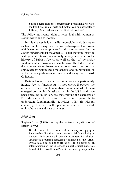Shifting gears from the contemporary professional world to the traditional role of wife and mother can be unexpectedly fulfilling. (ibid., Abstract in the Table of Contents)

The following twenty-eight articles deal with women as Jewish wives and as mothers.

In this chapter it is virtually impossible to do justice to such a complex background, as well as to explore the ways in which women are empowered and disempowered by the Jewish fundamentalist movements. I shall therefore resort to wide generalizations, drawing only in very general terms the history of British Jewry, as well as that of the major fundamentalist movements which have affected it. I shall then concentrate on issues relating to women's position and empowerment within these movements and, in particular, on factors which push women towards and away from Jewish Orthodoxy.

Britain has not spawned a unique or even particularly intense Jewish fundamentalist movement. However, the effects of Jewish fundamentalism movement which have emerged both within Israel and within the USA, and have been operating in Britain, are transforming the character of British Jewry. At the same time, it is impossible to understand fundamentalist activities in Britain without analysing them within the particular context of British multiculturalism and state structures.

### *British Jewry*

Stephen Brook (1989) sums up the contemporary situation of British Jewry:

> British Jewry, like the waters of an estuary, is tugging in innumerable directions simultaneously. While declining in numbers, it is growing in Jewish awareness. Its religious structure is becoming increasingly polarized, as the various synagogal bodies adopt irreconcilable positions on interpretations of Jewish law and on such crucial matters as Jewish status. Loyalties to Zionist causes and principles that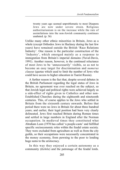twenty years ago seemed unproblematic to most Diaspora Jews are now under severe strain. Religious authoritarianism is on the increase while the rate of assimilations into the non-Jewish community continues unabated. (p. 36)

Unlike many other ethnic minorities in Britain, Jews as a whole (except Orthodox Jews in Hackney during the last few years) have remained outside the British 'Race Relations Industry'. One reason is the particular construction of the 'Industry', which emerged mainly as a response to immigration from Britain's imperial domains (Yuval-Davis, 1991). Another reason, however, is the continued reluctance of most Jews to be 'unnecessarily' visible, so as not to become an easy target for discrimination and *numerus clausus* (quotas which used to limit the number of Jews who could have access to higher education in Tsarist Russia).

A further reason is the fact that, despite several debates in the British Parliament regarding the legal status of Jews in Britain, no agreement was ever reached on the subject, so that Jewish legal and political rights were achieved largely as a side-effect of rights given to Catholics and other non-Established Churches during the eighteenth and nineteenth centuries. This, of course applies to the Jews who settled in Britain from the sixteenth century onwards. Before that period there were no Jews in Britain for about three hundred years; and earlier, their legal position had been very clearly delineated. Jews first reached Britain during Roman times and settled in large numbers in England after the Norman occupation. In medieval times they constituted what Abraham Leon (1970 has called 'a people-caste' and fulfilled specific socioeconomic roles within the feudal estate society. They were excluded from agriculture as well as from the city guilds, so their occupations were necessarily concentrated in the money economy, from pawning to the poor to lending huge sums to the aristocracy.

In this way they enjoyed a certain autonomy as a community (*Kehila*) and the patronage of the feudal lords.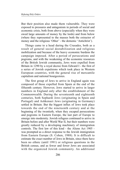But their position also made them vulnerable. They were exposed to pressures and antagonism in periods of social and economic crisis, both from above (especially when they were owed large amounts of money by the lords) and from below (where they represented to the masses both the extractor of money and the religious 'Other' - the demonic 'Antichrist').

Things came to a head during the Crusades, both as a result of general social destabilization and religious mobilization and because of the heavy economic burdens the campaign imposed. After a period of persecutions and pogroms, and with the weakening of the economic resources of the British Jewish community, Jews were expelled from Britain in 1290 by a royal decree from Edward I - the first of a series of Jewish expulsions which took place in Western European countries, with the general rise of mercantile capitalism and national bourgeoisies.

The first group of Jews to arrive in England again was composed of those expelled from Spain at the end of the fifteenth century. However, Jews started to arrive in larger numbers in England only after the establishment of the Commonwealth. During the seventeenth and eighteenth centuries, both Sephardi Jews (originating in Spain and Portugal) and Ashkenazi Jews (originating in Germany) settled in Britain. But the biggest influx of Jews took place towards the end of the nineteenth century and at the beginning of the twentieth, when they escaped persecutions and pogroms in Eastern Europe, the last part of Europe to emerge into modernity. Jewish refugees continued to arrive in Britain before and after World War II, but their numbers were greatly reduced by a developing machinery of immigration controls. The first law of this kind - the Aliens Act 1905 was prompted as a direct response to the Jewish immigration from Eastern Europe (S. Cohen, 1988). It is difficult to estimate the exact number of Jews in Britain, since there have been no ethnic (until 1991) or religious questions in the British census, and as fewer and fewer Jews are associated with the organized Jewish community. An additional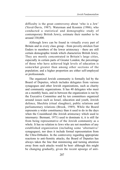difficulty is the great controversy about 'who is a Jew' (Yuval-Davis, 1987). Waterman and Kosmin (1986), who conducted a statistical and demographic study of contemporary British Jewry, estimate their number to be around 330,000.

Although Jews can be found in virtually every part of Britain and in every class group - from poverty-stricken East Enders to members of the lower aristocracy - there are still certain demographic trends which characterize British Jewry. They are mostly concentrated in Britain's large cities, especially in certain parts of Greater London; the percentage of those who have achieved high levels of education is somewhat greater than among other sections of the population; and a higher proportion are either self-employed or professionals.

The organized Jewish community is formally led by the Board of Deputies, which includes delegates from various synagogues and other Jewish organizations, such as charity and community organizations. It has 40 delegates who meet on a monthly basis, and in between the organization is run by the Executive Committee and by ten committees organized around issues such as Israel, education and youth, Jewish defence, Shechita (ritual slaughter), public relations and parliamentary relations (Brook, 1989). While the Board represents a wider constituency than it used to do in the days when the Cousinhood (the Jewish aristocracy which used to intermarry: Bermant, 1971) used to dominate it, it is still far from being representative of the Jewish community as a whole. It has no relation to Jews who are not members of any established organization (including some 'alternative' synagogues), nor does it include formal representation from the Ultra-Orthodox. In the controversy regarding appropriate reactions to anti-Semitic attacks, the Board of Deputies has always taken the line that minimizing and turning attention away from such attacks would be best- although this might be changing gradually, given the recent upsurge of anti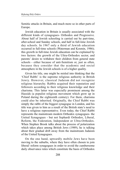Semitic attacks in Britain, and much more so in other parts of Europe.

Jewish education in Britain is usually associated with the different kinds of synagogues- Orthodox and Progressive. About half of Jewish schooling is carried out by part-time, after-school and Sunday schools, and half in full-time Jewish day schools. In 1967 only a third of Jewish education occurred in full-time schools (Waterman and Kosmin, 1986); this growth in full-time Jewish education can be explained by two factors: the growth of the Ultra-Orthodox sector, and parents' desire to withdraw their children from general state schools - either because of anti-Semitism or, just as often, because they consider that the academic and social atmosphere in the Jewish schools is of a higher quality.

Given his title, one might be misled into thinking that the 'Chief Rabbi' is the supreme religious authority in British Jewry. However, classical Judaism did not recognize religious hierarchy. Rabbis acquired their reputation and followers according to their religious knowledge and their charisma. This latter was especially prominent among the Hassids (a populist religious movement which grew up in Poland during the eighteenth century). For them, charisma could also be inherited. Originally, the Chief Rabbi was simply the rabbi of the biggest synagogue in London, and his title was given to him as a result of the British state's need to have a religious representative. Even today, the Chief Rabbi represents the mainstream modern Orthodox synagogues- the United Synagogues - but not Sephardi Orthodox, Liberal, Reform, the Federation, Independent or Ultra-Orthodox. When Stephen Brook talks about the process of polarization which takes place among British Jews (1989), he is talking about their gradual drift away from the mainstream Judaism of the United Synagogues.

On the one hand, upwardly mobile Jews have been moving to the suburbs, where they have often chosen to join liberal/ reform synagogues in order to avoid the cumbersome daily observance rules which constitute the basis of Orthodox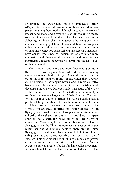observance (the Jewish adult male is supposed to follow 613(!) different *mitzvot*). Assimilation becomes a dominant pattern in a neighbourhood which lacks a support network of kosher food shops and a synagogue within walking distance (observant Jews are forbidden to travel in a vehicle on the Sabbath), and has a class-homogeneous but religiously and ethnically mixed population. This assimilation can take place either on an individual basis, accompanied by secularization, or on a more collective basis. Liberal and reform synagogues have constructed kinds of Judaism which are much more compatible with Protestant denominations and do not intrude significantly (except on Jewish holidays) into the daily lives of their adherents.

On the other hand, more and more Jews who grew up in the United Synagogues strand of Judaism are moving towards a more Orthodox lifestyle. Again, this movement can be on an individual or family basis, when they become *khozrim bitshuva* ('born-again Jews'), or on a more collective basis - when the synagogue's rabbi, or the Jewish school, develops a much more Orthodox style. One cause of the latter is the general growth of the Ultra-Orthodox community, a result of the average large size of their families. The post-World War II generation in Britain has reached adulthood and produced large numbers of Jewish scholars who became available to serve as teachers and sometimes as rabbis in the United Synagogues' institutions. Much of the United Synagogues' Jewish education took place in part-time, afterschool and weekend lessons which could not compete scholastically with the products of full-time Jewish education. Moreover, the difference between the United Synagogues and the Ultra-Orthodox was a question of degree rather than one of religious ideology; therefore the United Synagogues proved themselves vulnerable to Ultra-Orthodox self-presentations as representing 'the' valid version of Judaism. This essentialist notion of Judaism has also proved effective among those individuals who became *khozrim bitshuva* and was used by Jewish fundamentalist movements in their attempt to impose their version of Judaism on other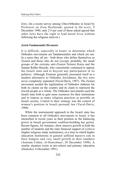Jews. (In a recent survey among Ultra-Orthodox in Israel by Professor en Zion Hochstadt, quoted in *Ha'aretz*, 9 December 1990, only 2.9 per cent of those asked agreed that other Jews have the right to lead moral lives without following the religious mitzvot.)

## *Jewish Fundamentalist Movements*

It is difficult, especially in Israel, to determine which Orthodox movements are fundamentalist and which are not. In a sense they all are - both those who define themselves as Zionist and those who do not (except, probably, the small groups of the extreme anti-Zionist Neturei Karta and the Satmar Rebbe Hassids, who consistently continued to oppose the Israeli state and to boycott any participation in its politics). Although Zionism generally presented itself as a modern alternative to Orthodox Jewishness, the two were never completely separated (Yuval-Davis, 1987). The Zionist movement needed the legitimation of Orthodox Judaism for both its claims on the country and its claim to represent the Jewish people as a whole. The Orthodox movements used the Israeli state both to gain more resources for their institutions and to impose as many religious practices as possible on Israeli society. Central to their strategy was the control of women's position in Israeli personal law (Yuval-Davis, 1980).

While the instrumental approach to the Israeli state has been common to all Orthodox movements in Israel, it has intensified in recent years as their position as the balancing power in Israeli government coalition-building has grown. Recent figures, for instance, show massive growth in both the number of students and the state financial support of *yeshivot* (higher religious study institutions), at a time in which higher education institutions in general suffered massive cuts in their budgets and very small growth in their numbers (Amiram Cohen, *Al-Hamishmar*, 28 December 1990). A similar situation exists in pre-school and primary education (*Hadashot*, 6 December 1991).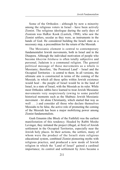Some of the Orthodox - although by now a minority among the religious voters in Israel - have been actively Zionist. The religious ideologue during the early days of Zionism was HaRav Kook (Lustick, 1988), who saw the Zionist settlers, secular as they were, as instruments in the hands of God. He considered building the Israeli state as a necessary step, a precondition for the return of the Messiah.

The Messianic element is central to contemporary fundamentalist Jewish movements, both in Israel and in the Diaspora. Although the individual motivation of people who become *khozrim bitshuva* is often totally subjective and personal, Judaism is a communal religion. The general political message of these movements as a whole is Messianic; therefore, 'the Promised Land' - Israel and the Occupied Territories - is central to them. In all versions, the ultimate aim is constructed in terms of the coming of the Messiah, in which all these splits within Jewish existence would heal - the people of Israel would be in the land of Israel, in a state of Israel, with the Messiah as its ruler. While most Orthodox rabbis have learned to treat Jewish Messianic movements very suspiciously (owing to some painful historical moments such as the Shabtaic Jewish Messianic movement - let alone Christianity, which started that way as well . . .) and consider all those who declare themselves Messiahs to be false, the active role of promoting the coming of the Messiah has been a major mobilizing power among Zionist fundamentalists.

Gush Emunim (the Block of the Faithful) was the earliest manifestation of this tendency. Headed by Rabbi Moshe Levinger, they initiated the project (illegal, at first) of Jewish settlement in the Occupied Territories, especially near the Jewish holy places. In their actions, the settlers, many of whom were the product of the Israeli state religious educational system, combined Zionist pioneering myths with religious practice, and produced a new mode of Jewish religion in which the 'Land of Israel' gained a cardinal importance; its control and settlement by Jews became a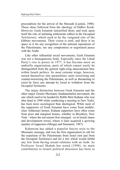precondition for the arrival of the Messiah (Lustick, 1988). These ideas followed from the ideology of HaRav Kook. However, Gush Emunim intensified them, and took upon itself the role of initiating settlements (albeit in the Occupied Territories), which used to be the vanguard role of the kibbutz movements. Their vision is total, and there is no space in it for any recognition of the national aspirations of the Palestinians, nor any compromise or negotiated peace with the Arabs.

Like other influential social movements, Gush Emunim was not a homogeneous body. Especially since the Likud Party's rise to power in 1977, it has become more an umbrella organization, parts of which cannot easily be distinguished from the general right-wing annexationist bloc within Israeli politics. Its most extreme wings, however, turned themselves into paramilitary units terrorizing and counter-terrorizing the Palestinians, as well as threatening to resist by force any attempt by Israel to withdraw from the Occupied Territories.

The major distinction between Gush Emunim and the other major Zionist Messianic fundamentalist movement, the one which used to be headed by Rabbi Meir Kahana who was shot dead in 1990 while conducting a meeting in New York), has been more sociological than ideological. While most of the supporters of Gush Emunim have come from middleclass Ashkenazi homes, Kahana supporters have often come from poor and marginal homes, whether in Brooklyn, New York - where the movement first emerged - or in Israeli slums and development towns, where it later acquired a growing number of supporters (Mergui and Simonnot, 1987).

Kahanism has added a populist fascist style to the Messianic message, and was the first organization to call for the expulsion of the Palestinians from Israel (not just from the Occupied Territories) and for a law which would forbid any Jew from having sexual relations with an Arab. As Professor Israel Shahak has noted (1990), its main contribution to Israeli political discourse has been to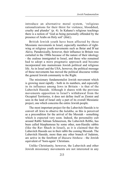introduce an alternative moral system, 'religious rationalizations for their thirst for violence, bloodshed, cruelty and plunder' (p. 4). In Kahana's religious teachings there is a notion of 'God as being personally offended by the presence of Arabs on Holy soil' (ibid.).

British Jewish youth have been affected by these Messianic movements in Israel, especially members of rightwing or religious youth movements such as Betar and B'nai Akiva. Paradoxically, however, their influence in Britain was curtailed in the 1980s because of the nature of their ideology - the zealous immigrated to Israel, and those who remained had to adopt a more pragmatic approach and became incorporated into mainstream Jewish political and religious life. As in Israel and the USA, however, the political message of these movements has moved the political discourse within the general Jewish community to the Right.

The missionary fundamentalist Jewish movement which is growing most rapidly - both in its numbers, and especially in its influence among Jews in Britain - is that of the Lubavitch Hassids. Although it shares with the previous movements opposition to Israel's withdrawal from the Occupied Territories, it does not define itself as Zionist and sees in the land of Israel only a part of its overall Messianic project, one which concerns the entire Jewish people.

The most important project for the Lubavitch Hassids is to convert all Jews to observe the *halakha*, as this is perceived as a precondition for the arrival of the Messiah - something which is expected very soon. Indeed, the personality cult around Rabbi Salman Schneerson, the Lubavitch Rebbe, has been called blasphemous by some other, non-Hasidic rabbis (like the Rav Shach in Israel), as it is claimed that the Lubavitch Hassids see in their rabbi the coming Messiah. The Lubavitch Hassids, more than any other branch of Judaism, are active in the forefront of *khazara bitshuva* - the Jewish equivalent of 'born-again' Christians.

Unlike Christianity, however, the Lubavitch and other Jewish missionary movements are not interested in any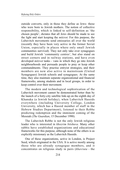outside converts, only in those they define as Jews- those who were born to Jewish mothers. The notion of collective responsibility, which is linked to self-definition as 'the chosen people', dictates that all Jews should be made to see the light and start keeping the *mitzvot*. For this purpose, the Lubavitch movements send emissaries all over the world (recently they have been very active in the former Soviet Union, especially in places where only small Jewish communities survived). They not only take over synagogues and build Jewish 'community centres', but also stand on street corners and in railway stations, and have even developed *mitzvot* tanks - vans in which they go into Jewish neighbourhoods and persuade people to pray or keep other commandments. They practise entryist strategies, and their members are now also active in mainstream (United Synagogues) Jewish schools and synagogues. At the same time, they also maintain separate organizational and financial frameworks, among students and in local groups, in order to keep control over their movement.

The modern and technological sophistication of the Lubavitch movement cannot be demonstrated better than by the launch of a forty-city satellite link-up on the eighth day of Khanuka (a Jewish holiday), when Lubavitch Hassids everywhere (including University College, London University, which has a Hassid member of staff in the Hebrew Studies Department), listened to their Rebbe predicting redemption and the imminent coming of the Messiah (*The Guardian*, 15 December 1990).

The Lubavitch Rebbe is not the only Jewish religious leader who is interested in *khozrim bitshuva*. Many other rabbis have established organizations and educational frameworks for this purpose, although none of the others is as explicitly missionary as the Lubavitch Hassids.

One of these organizations, active in London, is Project Seed, which originated in the USA. It is active mostly among those who are already synagogue members, and it concentrates on religious study in pairs (*khavruta* - the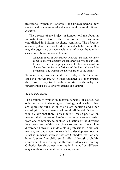traditional system in *yeshivot*): one knowledgeable Jew studies with a less knowledgeable one, in this case the *khozer bitshuva*.

The director of the Project in London told me about an important innovation in their method which they have established in Britain: weekend seminars. The *khozrim bitshuva* gather for a weekend in a country hotel, and in this way the organizers can work with and influence the families as a whole - because, as she told me:

> Although most of our *khozrim bitshuva* are men, we have come to know that unless we can draw the wife to our side, to involve her in the project as well, there is almost no chance that the *khazara bishuva* of the husband would be permanent. The women are the foundation of the family.

Women, then, have a crucial role to play in the 'Khazara Bitshuva' movement. As in other fundamentalist movements, their conformity to the role allocated to them by the fundamentalist social order is crucial and central.

# *Women and Judaism*

The position of women in Judaism depends, of course, not only on the particular religious ideology within which they are operating but also on their class position and other sociological determinants. Although all Jewish Orthodox would claim that there is an inherent Jewish position on women, their degree of freedom and empowerment varies from one community to another, a function of the different interpretations which are given to common laws. The difference between a middle-class professional American woman, say, and a poor housewife in a development town in Israel is immense, even if both are Orthodox, married and have four or five children. Similar although probably somewhat less striking- differences also exist among Orthodox Jewish women who live in Britain, from different neighbourhoods and in different class positions.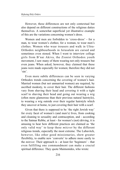However, these differences are not only contextual but also depend on different constructions of the religious duties themselves. A somewhat superficial yet illustrative example of this are the variations concerning women's dress.

Women and men are forbidden to 'cross-dress' - for a man, to wear women's clothes; for a woman, to wear men's clothes. Women who wear trousers and walk in Ultra-Orthodox neighbourhoods in Jerusalem are cursed and sometimes even stoned. When I went to interview college girls from B'nai Akiva, the Zionist Orthodox youth movement, I saw many of them wearing not only trousers but even jeans. When asked, however, they claimed that these jeans were made especially for women; therefore they did not 'sin'.

Even more subtle differences can be seen in varying Orthodox trends concerning the covering of women's hair. Married women (but not unmarried women) are required, by ascribed modesty, to cover their hair. The different fashions vary from shaving their head and covering it with a tight scarf to shaving their head and going out wearing a wig (often more glamorous than their previous natural hairstyle), to wearing a wig outside over their regular hairstyle which they uncover at home, to just covering their hair with a scarf.

Given that there is supposed to be 'the right Jewish way' for every facet of women's (and men's) lives, from cooking and cleaning to sexuality and contraception, and - according to the Satmar Rebbe, at least - for women's (not) driving, it is amusing to hear how different practices are claimed as 'the only valid way' to keep these *mitzvot* by the different religious trends, especially the most extreme. The Lubavitch, however, like other good missionaries, show greater flexibility, to enable new 'converts' to adhere more easily to the *mitzvot.* Their approach is - at least for 'beginners' - that even fulfilling one commandment can make a crucial spiritual difference. They quote Maimonides, who wrote: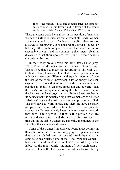If he [each person] fulfils one commandment he turns the scale of merit in his favour and in favour of the whole world. (Lubavitch Women's Publication, 1981, p. 5)

There are some basic inequalities in the position of men and women in Orthodox Judaism that crosscut all trends. Women are not counted as part of a Jewish 'public'; they are not allowed to lead prayers, to become rabbis, dayans (judges) or hold any other public religious position their evidence is not acceptable in court and they cannot - unlike men - obtain a divorce against their spouses' will, even if their case is conceded to be just.

In their daily prayers every morning, Jewish men pray: 'Bless Thee that did not make me a woman'. Women pray: 'Bless Thee that has made me according to Thy will' . . . Orthodox Jews, however, claim that women's position is not inferior to men's but different, and equally important. Since the rise of the feminist movement, a lot of energy has been expended to show that in actuality the Jewish woman's position is 'really' even more important and powerful than the man's. For example, concerning the above prayer, one of the *khazara bitshuva* organizations, Project Seed, teaches in its courses that it is actually a sign that women are of a higher 'Madrega' (stage) of spiritual standing and proximity to God. The men have to work harder, and therefore have so many religious duties, in order to be able to strive or spiritual ascendance. Women already have it without needing to work that hard. Their 'proof' is that in this prayer men are mentioned after animals and slaves and before women. It is true that in the Bible women are generally mentioned in the same breath as animals and slaves...

Some of the women I interviewed found great comfort in this interpretation of the morning prayer, especially since they are so excluded from any signs of 'proximity to God' in other religious rituals. Some of the Ultra-Orthodox women I have interviewed mentioned 'Simkhat Torah' (the joy in the Bible) as the most painful moment of their exclusion as women. This is the last day of the holiday Sukot, during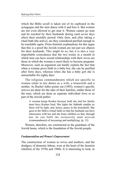which the Bible scroll is taken out of its cupboard in the synagogue and the men dance with it and kiss it. But women are not even allowed to get near it. Women cannot go near and be touched by their husbands during (and seven days after) their monthly period. Only then, and after taking a ritual bath (the *mikve*), are they considered purified enough to be touchable again. Proto-feminist explanations for this argue that this is a proof the Jewish women are not just sex objects for their husbands. This might be so, but it is also a very improbable coincidence that the two weeks in a month in which men can have sexual relationships with their wives are those in which the woman is most likely to become pregnant. Moreover, such an argument can hardly explain the fact that when a woman gives birth to a baby boy she can be purified after forty days, whereas when she has a baby girl she is untouchable for eighty days.

The religious commandments which are specific to women relate to her duties as a wife, a housewife and a mother. As Rachel Adler points out (1983), women's specific *mitzvot* are done for the sake of their families, unlike those of the men, which are done as separate individual Jews or as part of the Jewish public:

> A woman keeps Kosher because both she and her family must have Kosher food. She lights the Sabbath candles so there will be light, and, hence, peace in the household. She goes to the Mikve (ritual bath) so that her husband can have intercourse with her and she bears children so that, through her, he can fulfil the exclusively male *mitzvah* (commandment) of increasing and multiplying. (p. 13)

Women, therefore, are constructed as the guardians of the Jewish home, which is the foundation of the Jewish people.

#### *Fundamentalism and Women's Empowerment*

The construction of women as wives and mothers, and the drudgery of domestic labour, were at the heart of the feminist rebellion of the 1970s and 1980s. It is interesting to look, in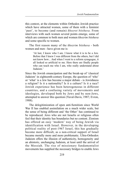this context, at the elements within Orthodox Jewish practice which have attracted women, some of them with a feminist 'past', to become (and remain) *khozrot bitshuva*. From interviews with such women several points emerge, some of which are common to both men and women *khozrim bitshuva* and some specific to women.

The first reason many of the *khozrim bitshuva* - both women and men - have given me is:

> 'At last, I know who I am. I know what it is to be a Jew. Before that I knew I was different from the others, but I did not know how... And when I went to a reform synagogue, it all looked so artificial to me. Here there are finally people who can teach me who I am, who really understand about Judaism.'

Since the Jewish emancipation and the break-up of 'classical Judaism' in eighteenth-century Europe, the question of 'who' or 'what' is a Jew has become a major debate - is Jewishness a religion? Is it a nationality? Is it a culture? Is it a race? Jewish experience has been heterogeneous in different countries, and a confusing variety of movements and ideologies, developed both by Jews and by non-Jews, attempted to answer this question (Yuval-Davis, 1987; Evron, 1988).

The delegitimization of open anti-Semitism since World War II has enabled assimilation on a much wider scale, but the sense of being different and 'the Other' has continued to be reproduced. Jews who are not Israelis or religious often feel that their identity has boundaries but no content. Zionism has offered an easy 'modern' way of being Jewish via identification with Israel. However, in the developing political reality of post-1967 Israel, this has gradually become more difficult, as a non-critical support of Israel became morally more and more problematic. Ultra-Orthodox Judaism offers the illusion of authenticity, homogeneity and an ahistoric, unchanging Judaism, at least until the arrival of the Messiah. The rise of missionary fundamentalist movements has supplied the necessary bridges to enable Jews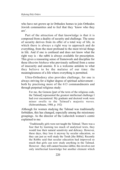who have not grown up in Orthodox homes to join Orthodox Jewish communities and to feel that they 'know who they are'.

Part of the attraction of that knowledge is that it is composed from a duality of security and challenge. The sense of security derives from its offer of a total way of life, in which there is always a right way to approach and do everything, from the most profound to the most trivial things in life. And if one is confused and does not know what the right way is - the rabbi is always available for prescription. This gives a reassuring sense of framework and discipline for those *khozrim bitshuva* who previously suffered from a sense of insecurity and anomie. It is a welcome antidote to what they believe to be the malaise of our time: the meaninglessness of a life where everything is permitted.

Ultra-Orthodoxy also provides challenge, for one is always striving for a higher degree of spiritual achievement both by practising more of the 613 commandments and through perpetual religious study:

> For me, the Gemora [part of the texts of the religious code, the Talmud] represented the greatest intellectual challenge I had ever encountered. My graduate and doctoral work were minor swells to the Talmud's majestic waves. (Schwartzbaum, 1988, p. 192)

Although for women studying the Talmud was traditionally forbidden, this has changed, especially among the missionary groupings. As the director of the Lubavitch women's centre explained to me:

> 'Traditionally girls were not taught the Talmud. There was a fear that by learning too much of analytical texts, they would lose their natural sensitivity and delicacy. However, these days, they lose it anyway by secular education, so they can just as well study the Torah [the Bible]. Recently the Rebbe said that secular education had improved so much that girls can now study anything in the Talmud. However - they still cannot become rabbis; this involves not only intellectual knowledge but another element which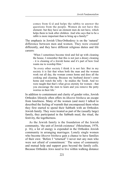comes from G-d and helps the rabbis to answer the questions from the people. Women do not have this element- but they have an element men do not have, which helps them to look after children. And who says that to be a rabbi is more important than to bring up a family?'

The emphasis in Jewish Ultra-Orthodoxy is on the 'natural' difference between men and women. They were created differently, and they have different religious duties and life careers:

> 'When I sometimes become tired and fed up with cleaning the house, I remember that this is not just a dreary cleaning - it is cleaning of a Jewish home and it's part of how God wants me to worship Him.'

> 'In every other society I think it is not fair. But in my society it is fair that when both the man and the woman work out all day, the woman comes home and does all the cooking and cleaning. Because my husband doesn't come home and watch the telly - he studies the Torah. And we were taught that that's what gives eternity for women - that you encourage the men to learn and you remove the petty worries in their life.'

In addition to containment and clarity of gender roles, Jewish Orthodox lifestyle often offers its *khozrot bitshuva* an escape from loneliness. Many of the women (and men) I talked to described the feeling of warmth that encompassed them when they first started to spend their Sabbath with an Orthodox Jewish family. They were treated as part of the (usually large) family, they participated in the Sabbath meal, the ritual, the festivity, the togetherness.

As the Jewish family is the foundation of the Jewish community, 'the unit of Jewish existence' (Meiselman, 1978, p. 16), a lot of energy is expended in the Orthodox Jewish community in arranging marriages. Lonely single women who become *khozrot bitshuva* gain a chance to have families of their own: 'Before I "returned" I never met any men who were not afraid of commitment.' The sense of community and mutual help and support goes beyond the family cells. Because Orthodox Jews need to live within walking distance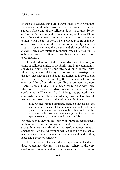of their synagogue, there are always other Jewish Orthodox families around, who provide vital networks of mutual support. Since one of the religious duties is to give 10 per cent of one's income (and many also interpret this as 10 per cent of one's time) to charity work, there is always somebody to help when a baby is born, when somebody is ill or in any other crisis, even when there are no other family members around - for sometimes the parents and siblings of *khozrim bitshuva* break off relations (although often the break-up is only temporary, and often the parents are later drawn closer to Orthodoxy).

The naturalization of the sexual division of labour, in terms of religious duties, in the family and in the community, creates a very strong separate women's community. Moreover, because of the system of arranged marriage and the fact that except on Sabbath and holidays, husbands and wives spend very little time together as a rule, a lot of the emotional lot of emotional bonding is between women. Debra Kaufman (1989) (...in a much less reserved way, Tariq Modood in relation to Muslim fundamentalists [at a conference in Warwick, April 1990]), has pointed out a similarity between the sense of empowerment of Jewish women fundamentalists and that of radical feminists:

> Like women-centred feminists, many ba'alot tshuva and indeed other women of the new religious right celebrate gender differences. For many radical feminists and for newly orthodox women, women represent a source of special strength, knowledge and power. (p. 18)

For me, such a view mixes form with purpose, separateness with segregation, autonomy with male-defined women's space. It is easy to talk about women's empowerment as emanating from their difference without relating to the actual reality of their lives. It is not only about warmth and smiling faces and a sense of solidarity.

The other facet of the warmth and support is the harshness directed against 'deviants' who do not adhere to the very strict rules of internal authority and closed ranks. In a recent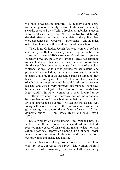well-publicized case in Stamford Hill, the rabbi did not come to the support of a family whose children were allegedly sexually assaulted by a Yeshiva Bocher, a rabbinical student, who acted as a babysitter. When the frustrated family decided, after a long time, to complain to the police, they were denounced as 'Moysers' - 'informants' - and hounded out of their home, and their children out of their school.

There is no Orthodox Jewish 'battered women's' refuge, and family conflicts are usually handled by the rabbi, who attempts to re-establish *shlom bayit* - domestic peace. Recently, however, the Jewish Marriage Bureau has started to train volunteers to become marriage guidance counsellors, for the need has become so acute. In a case of physical violence (as well as failure to provide for her material and physical needs, including sex), a Jewish woman has the right to claim a divorce (but the husband cannot be forced to give his wife a divorce against his will). However, the conception of what constitutes acceptable social relations between husband and wife is very narrowly determined. There have been cases in Israel (where the religious divorce courts have legal validity) in which women have been declared to be 'rebellious women', and therefore denied maintenance, because they refused to sew buttons on their husbands' shirts, or to do other domestic chores. The fact that the husband was living with another woman at the time was not considered a good enough reason for the wife to refuse to fulfil her domestic duties… (Aloni, 1976; Hecht and Yuval-Davis, 1978).

Social workers who work among Ultra-Orthodox Jews, as well as the Ultra-Orthodox women with whom I talked, reported many cases of physical and mental exhaustion and extreme post-natal depression among Ultra-Orthodox Jewish women who bore many children in conditions of serious overcrowding and inadequate housing.

As in other cases of oppression, however, it is not those who are most oppressed who rebel. The women whom I interviewed, who broke away from Jewish Orthodoxy during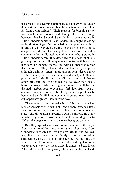the process of becoming feminists, did not grow up under these extreme conditions (although their families were often far from being affluent). Their reasons for breaking away were much more emotional and ideological. It is interesting, however, that I did not find any feminists who grew up in Ultra-Orthodox homes in East London. This might be owing to the shortcomings of my snowballing sampling methods. It might also, however, be owing to the system of almost complete social control which applies in these homes and this community. In my discussions with women who grew up in Ultra-Orthodox homes, they described to me how rebellious girls express their rebellion by making contact with boys, and therefore end up being married and with children even earlier than the others. They claimed that breaking away happensalthough again not often - more among boys, despite their greater visibility due to their clothing and hairstyle. Orthodox girls in the British climate, after all, wear similar clothes to other girls, and they are not required to cover their heads before marriage. While it might be more difficult for the distinctly garbed boys to consume 'forbidden fruit' such as cinemas, secular libraries, etc., the girls are kept closer to home, and the familial and community control over them is still apparently greater than over the boys.

The women I interviewed who had broken away had regular contacts as girls with non-Jews or non-Orthodox Jews as a result of having at least part of their education in regular state schools or non-parochial Jewish schools. In other words, they were exposed - at least to some degree - to *Weltanschauungen* other than the ones they grew up with.

Rebelling against such close control was one of the major factors mentioned by those who have broken away from Orthodoxy: 'I wanted to live my own life, to find my own way. It was very warm in the family bosom, but too often suffocatingly so . . .' This stifling feeling was not just the familial control, nor were the strict rules and regulations of observance always the most difficult things to bear. Dena Attar 1985 describes being caught between, on the one hand,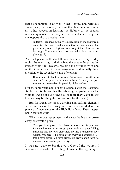being encouraged to do well in her Hebrew and religious studies, and, on the other, realizing that there was no point at all to her success in learning the Hebrew or the special musical symbols of the prayers: she would never be given any opportunity to practise them:

> Judaism, I realized, actually required little of me apart from domestic obedience, and some authorities maintained that girls in a proper religious home ought therefore not to be taught Torah at all- all we needed to learn was our place. (p. 2)

And that place itself, she felt, was devalued. Every Friday night, the men sing to their wives the *esheth khayil* psalm (verses from the Proverbs praising the virtuous wife and mother), which she felt was patronizing and actually drew attention to the secondary status of women:

> If you thought about the words - 'A woman of worth, who can find? Her price is far above rubies...' Clearly the poet was setting housewives impossibly high standards.

(When, some years ago, I spent a Sabbath with the Bostonne Rebbe, the Rebbe and his Hassids sang the psalm when the women were not even there to hear it; they were in the kitchen busy finishing the preparations for the meal.)

But for Dena, the most worrying and stifling elements were the lists of terrifying punishments included in the prayers of repentance on the High Holy Days. They trapped her in fear and guilt.

When she was seventeen, in the year before she broke away, she wrote a poem:

> Tree you have grown old I have no more use for you tree for your insolent arms sky groping reach wrapping folding intruding into my own close held my-life I remember days without you tree... no stifle-green swaying possessing . . . tree I have grown old have grown old grown apart have no more no more use for you tree. (p. 3)

It was not easy to break away. One of the women I interviewed described her feeling of dread in the beginning: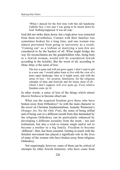'When I danced for the first time with this tall handsome Catholic boy, I was sure I was going to be struck down by God. Nothing happened. It was all crap.'

God did not strike them down, but a high price was extracted from them nevertheless. Contact with their families was sometimes broken for a long time, and one woman was almost prevented from going to university as a result. 'Coming out' as a lesbian or marrying a non-Jew are considered to be the hardest of all. What might bridge the way for reconciliation are the grandchildren who, being born to a Jewish woman, would still be considered Jewish according to the *halakha*. But the worst of all, according to Dena Attar, is the sense of loss:

> The tree is gone and will not grow again. I don't want to put in a new one. I would rather learn to live with the view of a more open landscape, bare as it might seem, and with the sense of loss - for security, familiarity, for the religious calendar of fasts and festivals and for music most of all which I don't suppose will ever quite go. Even relative freedom costs. (p. 6)

In other words, a sense of loss of the things which attract *khozrot bitshuva* to become observant.

What can the acquired freedom give those who have broken away from Orthodoxy? As with the main character in the novel on Christian fundamentalism, Jeanette Winterson's *Oranges Are Not the Only Fruit*, the sense of being stifled and of being cast in a different mould from that demanded by the religious Orthodoxy can be particularly enhanced by developing a different sexuality from the norm - not just lesbianism, but also a wish to remain single and/or not to become a mother to a big family. Freedom to become 'different', then, has been essential. Getting in touch with the feminist movement has played a significant role in the lives of many of the women who have broken away from religious Orthodoxy.

Not surprisingly, however, some of them can be critical of attempts by other Jewish feminists, who have come from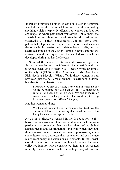liberal or assimilated homes, to develop a Jewish feminism which draws on the traditional framework, while eliminating anything which is explicitly offensive to women but does not challenge the whole patriarchal framework. Unlike them, the Jewish feminist liberation theologian Judith Plaskow has claimed (1991) that to transform Judaism into a nonpatriarchal religion would require a revolution as extensive as the one which transformed Judaism from a religion that sacrificed animals in the Jewish Temple in Jerusalem into the abstract monotheistic system of classical Judaism which has developed during the last 2,000 years.

Some of the women I interviewed, however, go even further and see feminism as inherently incompatible with any religious order. One of them, Gail Chester, wrote an article on the subject (1983) entitled 'A Woman Needs a God like a Fish Needs a Bicycle'. What offends these women is not, however, just the patriarchal element in Orthodox Judaism but also its particularistic nature:

> I wanted to be part of a wider, freer world in which no one would be judged or valued on the basis of their race, religion or degree of observance. My one mistake, of course, was in thinking the rest of the world might live up to those expectations… (Dena Attar, p. 4)

Another woman told me:

What started my questioning, even more than God, was the question of Israel. Discovering that non-Jews were also living there and what happened to them.'

As we have already discussed in the Introduction to this book, minority women often face the dilemma that the same particularistic collective identity which they seek to defend against racism and subordination - and from which they gain their empowerment to resist dominant oppressive systems and cultures - also oppresses them as women and can include many reactionary and exclusionary elements. In the Jewish case the picture is even more complicated, because the same collective identity which constructed them as a persecuted minority is also the one which, via the hegemony of Zionism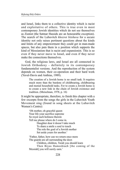and Israel, links them to a collective identity which is racist and exploitative of others. This is true even in most contemporary Jewish identities which do not see themselves as Zionist (the Satmar Hassids are an honourable exception). The search of the Lubavitch *khozrot bitshuva* for a secure identity not only raises pertinent questions about the kinds and limits of any empowerment they could get in man-made spaces, but also puts them in a position which supports the kind of Messianism that is racist and expansionist. This is so even if they never move to Israel, and even if they never make the connections themselves.

God, the religious laws, and Israel are all connected in Jewish Orthodoxy - definitely in its contemporary fundamentalist versions. And the reproduction of the system depends on women, their co-operation and their hard work (Yuval-Davis and Anthias, 1989).

> The creation of a Jewish home is no small task. It requires much more than the burdens of childbearing, childbearing and menial household tasks. For to create a Jewish home is to create a new link in the chain of Jewish existence and tradition. (Meiselman, 1978, p. 16)

It might be appropriate, therefore, to finish this chapter with a few excerpts from the songs the girls in the Lubavitch Youth Movement sing (found in song sheets at the Lubavitch Women's Centre):

> 'Oh mother, oh graceful queen Your life your sacrifice supreme So royal such holiness therein Tell me please where do I come in.

> > Daughter dear it doesn't take much To share a smile a soul to touch The role the goal of a Jewish mother Set aside yours for another.'

'Father, father, how can we return once more The guards are all surrounding the door.

Children, children, Torah you should learn

Then Biyas Hamoshiach [the coming of the Messiah] you will surely earn.'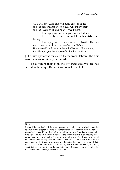'G-d will save Zion and will build cities in Judea and the descendants of His slaves will inherit them and the lovers of His name will dwell there.

How happy we are, how good is our fortune

How lovely is our fate and how beautiful our heritage

How happy we are, Jews we are, Lubavitch Hassids we are of our Lord, our teacher, our Rebbe.

If you would build everywhere the House of Lubavitch, I shall show you the House of Lubavitch in Zion.'

[The third quote was translated by me from Hebrew. The first two songs are originally in English.]

The different themes in the different excerpts are not linked in the songs. But *we have* to make the link.

#### Note:

I would like to thank all the many people who helped me to obtain material relevant to this chapter- they are too numerous for me to mention them all here. In particular I would like to thank all those within the Jewish Orthodox community who agreed to supply me with material and to be interviewed, even knowing that I do not share their world-view. I am not mentioning any of their names, to avoid associating them in any way with this chapter. But I would like to mention by name some of the friends who helped me, knowing that I do share some of their views: Dena Attar, Julia Bard, Gail Chester, Neil Collins, Ora Davis, Sue Katz, Janet Kufperman, Rami Levy, Pragna Patel, Israel Shahak. The responsibility for the chapter and its views, however, is all mine.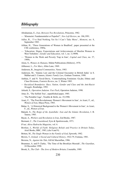# *Bibliography*

Abrahamian, E., *Iran, Between Two Revolutions*, Princeton, 1982.

— 'Khomeini: Fundamentalist or Populist?', *New Left Review*, no. 186,1991.

- Adler, R., 'I've Had Nothing Yet So I Can't Take More', *Moment*, no. 8, September 1983.
- Afshar, H., 'Three Generations of Women in Bradford', paper presented at the CSE conference, 1989a.
- 'Education: Hopes, Expectations and Achievements of Muslim Women in West Yorkshire', *Gender and Education*, vol. 1, no. 3,1989b.
- 'Women in the Work and Poverty Trap in Iran', *Capital and Class*, no. 37, 1989c.
- Aloni, S., *Women As Humans*, Mabat Publications (Hebrew), 1976.
- Althusser, L., *For Marx*, Allen Lane, 1969.
- Anderson, B., *Imagined Communities*, Verso, 1983.
- Anderson, M., 'Islamic Law and the Colonial Encounter in British India' in S. Malhat and J. Connors, *Islamic Family Law*, Graham Trontron, 1990.
- Anthias, F. and N. Yuval-Davis, 'Contextualising Feminism: Ge,der, Ethnic and Class Divisions, *Feminist Review*, no. 5, Winter 1983.
- *Racialized Boundaries: Race, Nation, Gender and Class and the Anti-Racist Struggle*, Routledge, 1992.
- Arkush, S., O*peration Judaism: Fact Pack*, Operation Judaism, 1990.
- Attar, D., 'The Selfish Tree', unpublished paper, 1985.
- 'The Portable Cage', Trouble & Strife, no. 19,1990.
- Azari, F., 'The Post-Revolutionary Women's Movement in Iran', in Azari, F., ed., *Women of Iran*, Ithaca Press, 1983.
- Bahar, S., 'A Historical Background to the Women's Movement in Iran', in Azari, F., ed., *Women of Iran.*
- Bakash, S., *The Reign of the Ayatollahs: Iran and the Islamic Revolution*, I. B. Taurus, 1985.
- Bayat, A., *Workers and Revolution in Iran*, Zed Books, 1987.
- Bermant, C., *The Cousinhood*, Eyre & Spottiswoode, 1971.
- *B'nai, Akiva Hadracha Magazine*, vol. 6.
- Bowker, J., *Worlds of Faith: Religious Beliefs and Practice in Britain Today*, Ariel Books, BBC, 1983, (chs 8 and 9).
- Britten, M., *The Single Woman in the Family of God*, Epworth, 1982.

Brown, T., *Ireland: A Social and Cultural History*, 1922-79, Fontana, 1981.

- Browne, N., *Against the Tide*, Gill & Macmillan, 1986.
- Brummer, A. and P. Clarke, 'The Time of the Brooklyn Messiah', *The Guardian*, 24 December 1990.
- Brook, S., *The Club The Jews of Modern Britain*, Constable, 1989.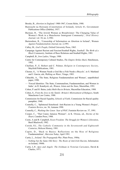Brooks, B., *Abortion in England:* 1900-1967, Croom Helm, 1988.

- Bunreacht na Heireann (Constitution of Ireland), Article 41, Govemment Publications Office (Dublin), 1937.
- Burman, R., 'The Jewish Woman as Breadwinner: The Changing Value of Women's Work in a Manchester Immigrant Community', *Oral History Journal*, vol. 10, no. 2,1982.
- Burtenshaw, R., 'Censorship of Information on Abortion in Ireland', Women *Against Fundamentalism Journal*, no. 2,1991.
- Calley, M., *God's People*, Oxford University Press, 1965.
- Campaign Against Racism and Fascism/Southall Rights, *Southall: The Birth of a Black Community*, Institute of Race Relations and Southall Rights, 1981.
- Campbell, B., *Iron Ladies*, Virago, 1988.
- Centre for Contemporary Cultural Studies, *The Empire Strikes Back*, Hutchinson, 1982.
- Chalfant, P., E. Robert and C. Palmer, *Religion in Contemporary Society*, Mayfield Publications, 1981.
- Chester, G., 'A Woman Needs a God like a Fish Needs a Bicycle', in S. Maitland and J. Garcia, eds, *Walking on Water*, Virago, 1983.
- Chhachhi, A., 'The State, Religious Fundamentalism and Women', unpublished paper, 1990.
- 'Forced Identities: The State, Communalism, Fundamentalism, and Women in India', in D. Kandiyoti, ed., *Women, Islam and the State*, Macmillan, 1991.
- Cohen, P. and H. Bains, (eds) *Multi-Racist Britain*, Macmillan Education, 1988.
- Cohen, S., *From the Jews to the Tamils: Britain's Mistreatment of Refugees*, South Manchester Law Centre, 1988.
- Commission for Racial Equality, *Schools of Faith*, Commission for Racial quality pamphlet, 1940.
- Connolly, C., 'Splintered Sisterhood: Anti-Racism in a Young Women's Project', *Feminist Review*, no. 36, Autumn 1990.
- Connolly, C., *Washing Our Linen: Year of WAF*, Feminist Review no. 37, 1991.
- Cooper, C., 'That Cunny Jamaica Woman!', in K. Owusu, ed., *Storms of the Heart*, Camden Press, 1988.
- Coote, A and B. Campbell, *Sweet Freedom: The Struggle for Women's Liberation*, Basil Blackwell, 1982.
- Corish, P,J., *The Catholic Community in the Seventeenth and Eighteenth Centuries*, Helicon History, 1981.
- Cupitt, D., 'Back to Basics: Reflections on the Rise of Religious Fundamentalism', *Marxism Today*, April 1991.
- Curtis, L., *Ireland: The Propaganda War*, Pluto Press, 1984a.
- *Nothing but the Same Old Story: The Roots of Anti-lrish Racism*, Information on Ireland, 1984b.
- Curtis, L.P., *Apes and Angels: The Irishman in Victorian Caricature*, David & Charles, 1971.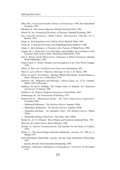- Daly, M.E., *Social and Economic History of Ireland since 1800*, The Educational Company, 1981.
- Davidson, R., *West Indian Migrants*, Oxford University Press, 1962.
- Elwell, W., ed., *Evangelical Dictionary of Theology*, Marshall Pickering, 1985.
- *Encyclopaedia Britannica*, 'Birth Control', *Macropaedia*, 15th edn, vol. 2, Benton, 1984.
- Enger, G., *Birth Regulation and Catholic Belief*, Sheed & Ward, 1966.
- Evron, B., *A National Reckoning*, Dvir Publishing House (Hebrew), 1988.
- Finlay, F., *Mary Robinson: A President with a Purpose*, O'Brien Press, 1990.
- Fogarty, M., L. Ryan and J. Lee, Irish Values and Atnludes: the *Irish Report of the European Value Systems Study*, Dominican Publications, 1984.
- Foh, S., *Women and the Word of God: A Response to Biblical Feminism*, Christian World Publication, 1979.
- Foster Carrol, T., *Women, Religion and Development in the Third World*, Praegar, 1983.
- Gilroy, P., *There Ain't No Black in the Union Jack*, Hutchinson, 1987.
- Haeri, S., *Law of Desire: Temporary Marruage in Iran*, 1. B. Tauris, 1989.
- Hecht, D. and N. Yuval-Davis, 'Ideology Without Revolution: Jewish Women in Israel', *Khamsin*, no. 6, Pluto Press, 1978.
- Hendessi, M., 'Migration and Marriage', *Nimeye-Digar*, no. 12/13, Autumn/ Winter 1991 (in Persian).
- Hendessi, M. and N. Fielding, 'The Unquiet Grave in Teheran', *New Statesmen and Society*, 13 January 1989.
- Holden, P., ed., *Women's Religious Experience*, Croom Helm, 1983.
- Hollenweger, W., *The Pentecostal*s, SCM Press, 1972.
- Honeyford, R., 'Multiracial Myths', *The Times Educational Supplement*, November 1982.
- 'Multiracial Influences', *The Salisbury Review*, Summer 1983a.
- 'Multiethnic Intolerance', *The Salisbury Review*, Summer 1983b.
- 'Education and Race An Altemative View', *The Salisbury Review*, Winter 1984a.
- 'Do-gooders Doing a Disservice', The Times, May 1984b.
- Hooks, B., *Ain't I a Woman?: Black Women and Feminism*, Southend Press, 1981.
- Horowitz, M., *Rabbi Schach*, Keter (Hebrew), 1989.
- Hyman, A., *Muslim Fundamentalism*, The Institute for the Study of Culture, 1985.
- Hynes, U., 'The Great Hunger and Irish Catholicism', *Societas*, vol. VIII, no. 2, Spring 1978.
- Irish Information Partnership, *Agenda*, 5th edn, Irish Information Partnership, 1987.
- *Agenda*, 6th edn, Irish Information Partnership, 1990.
- Irish Press, 'Hierarchy's Statement on Contraceptives', *Irish Press*, 26 November 1973.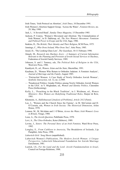Irish Times, 'Irish Protocol on Abortion', *Irish Times*, 10 December 1991.

- Irish Women's Abortion Support Group, 'Across the Water', *Feminist Review*, no. 29, May 1988.
- Jack, I., 'A Severed Head', *Sunday Times Magazine*, 15 December 1985.
- Jackson, P. Conroy, 'Women's Movement and Abortion: The Criminalization of Irish Women', in D. Dahlerup, ed., *The New Women's Movement: Feminism and Political Power in Ewope and the USA*, Sage, 1986.
- ¥enkins, D., *The British, Their Identity and Their Religion*, SCM Press, 1975.
- Jennings, C., *Who Owns Ireland, Who Owns You?,* Attic Press, 1985.
- Jessel, D., 'The Looking Glass Law', *The Guarduan*, 10-11 February 1990.
- Jimack, M., *Research into Hackney Jewry A Summary of Current Information Relevant to the Planning and Provision of lewish Socual Services in Hackney*, Federation of Jewish Family Services, 1989.
- Johnson, S. and J. Tamney, eds, *The Political Role of Religion in the USA*, Westview Press, 1986.
- Kandiyoti, D., ed., *Women, Islam and the State*, Macmillan, 1991.
- Kaufman, D., 'Women Who Return to Orthodox Judaism: A Feminist Analysis', *Journal of Marriage and the Family*, August 1985.
- 'Patriarchal Women: A Case Study of Newly Orthodox Jewish Women', *Symbolic Interaction*, vol. 12, no. 2,1989.
- 'Paradoxical Politics: Gender Politics among Newly Orthodox Jewish Womcn in the USA'. in V. Moghadam, ed., *Women and Identity Politics*, Clarendon Press (forthcoming).
- Kelly, L., 'Preaching in the Black Tradition', in J. Weidman, ed., *Women Ministers: How Women are Redefining Traditional Roles*, Harper & Row, 1981.
- Khomeini, A., *Hallolmassael [Analysis of Problems]*, *Article 2412* (Farsi).
- Lee, J., 'Women and the Church Since the Famine', in M. McCurtain and D. O'Corrain, eds, *Women in Irish Society: The Historical Dimension*, Arlen House, 1978.
- Lennon, M., M. McAdam and J. O'Brien, *Across the Water, Irish Women's Lives in Britain*, Virago, 1988.
- Leon, A., *The Jewish Question*, Pathfinder Press, 1970.
- Levi, A., *The Ultra-Orthodox*, Keter (Hebrew), 1989.
- Levine, J., *Sisters: The Personal Story of an Irish Feminist*, Ward River Press, 1982.
- Longley, E., *From Cathleen to Anorexia*, The Breakdown of Irelands, Lip Pamphlet, Attic Press, 1990.
- *Lubavitch Girls' Song Sheets* (unpublished).
- Lubavitch Women's Publication, *The Modern Jewish Woman: A Unique Perspective*, Lubavitch Educational Foundation for Jewish Marriagc Enrichment, 1981.
- Lustick, I.S., *For the Land and the Lord: Jewish Fundamentalism in Israel*, Council on Foreign Relations, 1988.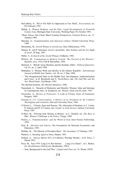- McCafferty, N., 'We're Not Half As Oppressed as You Think', *Everywoman*, no. 69, February 1991.
- Mahdi, A., *Women, Religion, and the State: Legal Developments in Twentieth Century Iran*, Michigan State University, Working Paper 38, October 1983.
- 'Many Voices, One Chant: Black Feminist Perspectives, *Feminist Review*, no. 17, Autumn 1984.
- Marsden, G., *Fundamentalism and American Culture*, Oxford University Press, 1980.
- Meiselman, M., *Jewish Woman in Jewish Law*, Ktav Publications, 1978.
- Mergui, R., and P. Simonnot, *Israel's Ayatollahs: Meir Kahane and the Far Right in Israel*, Al Saqi, 1987.
- Miller, Y., *In Search of the Jewish Woman*, Feldheim, 1984.
- Milotte, M., *Communism in Modern Ireland: The Pursuif of the Workers' Republic since 1916*, Gill & Macmillan, 1984.
- Modood, T., 'British Asian Muslims and the Rushdie Affair', *Political Quarterly*, vol. 61, no. 2, April 1990.
- Mohadam, V, 'Women Work and Ideoloy in the Islamic Republic', *International Journal of Middle East Studies*, vol. 20, no. 2, May 1988.
- 'The Neopatriarchal State in the Middle East: Development, Authoritarianism and Crisis', in H. Bresheeth and N. Yuval-Davis, eds, *The Gulf War and the New World Order*, Zed Books, 1991.
- The Muslim Institute, *The Muslim Manifesto*, 1990.
- Najmabadi, A., 'Hazards of Modernity and Morality: Women, State and Ideology in Contemporary Iran', D. Kandiyoti, ed., *Women, Islam and the State*, 1991.
- Neustatter, A., *Hyenas in Petticoats*: A Look at Twenty Years of Feminism, Penguin, 1989.
- Noonan Jr, J.T., *Contraception: A History of its Treatment by the Catholic Theologians and Canonists*, Harvard University Press, 1966.
- O'Dowd, L., 'Church, State and Women: The Aftermath of Partition, in C. Curtin, P. Jackson and B. O'Connor, eds, *Gender in Irish Society*, Galway University Press, 1987.
- O'Shea, M., 'Policing Irish Women in Britain', in C. Dunhill, ed., *The Boys in Blue: Women's Challenge to the Police*, Virago, 1989.
- Packer, J., *'Fundamentalism' and the World of God*, Inter-Varsity Fellowship, 1958.
- Paul, R., *Abortion and Liberty*, The Foundation for Rational Economics and Education, 1983.
- Phillips, M., 'The Miracle of President Mary', *The Guarduan*, 27 February 1991.
- Plaskow, J., *Standing Again at Sinai*, Harper, 1991.
- Pollack, A., 'Survey Shows 82% of Catholics Worship Weekly', *Irish Times*, 2 March 1991.
- Poya, M., 'Iran 1979: Long Live Revolution! . . . Long Live Islam?', in C. Barker, ed., *Revolutionary Rehearsals*, Bookmarks, 1987a.
- 'Iran: Background to the Gulf War', *Capital and Class*, no. 33, Winter 1987b.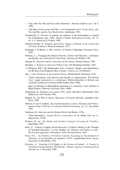- 'Iran After the War and Iran After Khomeini', *Khamsin Bulletin*, nos 7 & 8, 1990.
- 'The Role of Iran in the Gulf War', in H. Bresheeth and N. Yuval- Davis, eds, *The Gulf War and the New World Order*, Zed Books, 1991.
- Prenderville, P., 'Divorce in Ireland: An Analysis of the Referendum to Amend the Constitution, June, 1986', *Women's Studies International Forum*, vol. 11, no. 4, A. Smyth (ed.), Oxford, 1988.
- Radford Ruether, R., *Religion and Sexism: Images of Women in the Jewish and Christian Traditions*, Simon & Schuster, 1974.
- Ranelagh, J. O'Beirne, *A Short History of Ireland*, Cambridge University Press, 1983.
- Rattansi, A., 'Changing the Subject? Racism, Culture and Educaion', in Rattansi and Reedar, eds, *Radicalism in Education*, Lawrence & Wishart, 1992.
- Reagan, R., *Abortion and the Conscience of the Nation*, Thomas Nelson, 1984.
- Reichley, J., *Religion in American Political Life*, The Brookings Institute, 1985.
- 'A Religious War? The Background, Facts, Analysis, Dangers and Significance for the Rise of the Religious Bloc in Israel', *Politics*, no. 24 (Hebrew).
- Rex, J., *Race Relations in Sociological Theory*, Weidenfeld & Nicholson, 1970.
- 'Multi-culturalism, Anti-Racism and Equality of Opportunity: The British Case', paper presented at a conference: Multiculturalism in Britain and Australia, Institute of Commonwealth Studies, May 1990a.
- paper on Muslims in Birmingham presented at a conference: New Debates in Black Politics, Warwick University, May 1990b.
- Richardson, R., *Religious Ed ucation 1991*, Letter and Spirit, Runnymede Trust Bulletin no. 249, October 1991.
- Riddick, R., *The Riht to choose: Questions of Feminist Morality*, pamphlet Attic Press, 1990.
- Roberts, P. and D. Seddon, eds, *Fundamentalism in Africa: Religion and Politics*, special issue of Review of African Political Economy, no. 52, November 1991.
- Rodinson, M., *Marxism and the Muslim World*, Zed Books, 1979a.
- 'Islam Resurgent?', *Gazelle Review of Literature on the Middle East*, no. 6., Ithaca Press, 1979b.
- Rolston, B., ed., *The Media and Northern Ireland: Covering the Troubles*, Macmillan, 1991.
- Rose, G., 'Velayat-e Faghih and the Recovery of Islamic Identity in the Thought of Ayatollah Khomeini', in N.K. Keddie, ed., *Religion and Politics in Iran: Shi'ism from Quietism to Revolution*, Yale University Press, 1983.
- Rose, R.S., 'An Outline of Fertility Control, Focusing on the Element of Abortion, in the Republic of Ireland to 1976', unpublished Ph.D. thesis, University of Stockholm, 1976.
- Rossiter, A., 'Granting Civil Rights to the Foetus in Ireland A Victory to Chri6tian Furumentalists Worldwide', *Women Against Fundamenalism Journal*, no. 1, November 1990.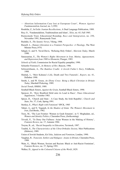— Abortion Information Case lost at European Court', *Women Against Fundamentalism Journal*, no. 3,1992.

Rouhifar, Z., In Exile: *Iranian Recollections*, A Dual Language Publication, 1989.

- Roy, O., 'Fundamedalism, Traditionalism and Islam', *Telos*, no. 65, Fall 1985.
- Runnymede Trust, Educational Roundup, *Race and Immigration*, no. 250, November 1991, Runnymede Trust.
- Rushdie, S., *The Satanic Verses*, Viking, 1988.
- Russell, L., *Human Liberation in a Feminist Perspechve: A Theology*, The West Minster Press,1974.
- Sahgal, G. and N. Yuval-Davis, 'Refusing Holy Orders', *Marxism Today*, March 1990.
- Sanassarian, E., *The Women's Rights Movement in Iran, Mutiny, Appeasement, and Repression from 1900 to Khomeini*, Praeger, 1983.
- *Schools of Faith*, Commission for Racial Equality pamphlet, 1990.
- Schustler Fiorenza E., *In Memory of Her*, Beacon, 1986.
- Schwartzbaum, A., *The Bamboo Cradle: A Jewish Father's Story*, Feldheim, 1988.
- Shahak, I., 'Meir Kahana's Life, Death and Two Funerals', *Report*, no. 41, DeÏmber 1990.
- Smith, I., and W. Green, *An Ebony Cross: Being a Black Christian in Britain Today*, Marshall Pickering, 1989.
- *Social Trends*, HMSO, 1989.
- Southall Black Sisters, *Against the Grain*, Southall Black Sisters, 1990.
- Spencer, D., 'How Bradford Held onto its Lead in Race', *Times Educational Supplement*, 7 October 1983.
- Spicer, D., 'Church and State A Case Study, the Irish Republic', C*hurch and State*, No. 37, Cork, Spring 1991.
- Storkey, E., *What's Right with Feminism?* SPCK, 1985
- Tabari, A., and N. Yeganeh, *In the Shadow of Islam: The Women's Movement in Iran*, Zed Books, 1982.
- Tress, M., 'The Last Frontier: Women in Gush Emunim', in V. Moghadam, ed., *Women and Identity Politics*, Clarendon Press, (forthcoming).
- Trivedi, P., 'To Deny Our Fullness: Asian Women in the Making of History', *Feminist Review*, no. 17, Autumn 1984.
- Troyna, B., ed., '*Racial Inequality in Education*, Tavistock, 1987.
- Tzadok, S., *The Characteristics of the Ultra-Orthodox Society*, Meir Publications (Hebrew), 1989.
- Union of Jewish Students, *Kol Isha, Judaism and Feminism*, London, 1990.
- Vaughan, R.. *Trancient, Settlers and Refugees: Asians in Britain*, Clarendon Press, 1988.
- Wain, G., 'Black Women, Sexism and Racism: Black or Anti-Racist Feminism', *Feminist Review*, no. 37, Spring 1991.
- Walker, D., *Appeal to the Coloured Citizens of the World* ,1829.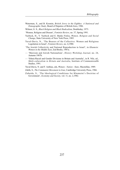- Waterman, S., and B. Kosmin, *British Jewry in the Eighhes: A Statisncal and Demographic Study*, Board of Deputies of British Jews, 1986.
- Wilmor, G. S., *Black Religion and Black Radicalism*, Doubleday, 1973.
- 'Women, Religion and Dissent', *Feminist Review*, no. 37, Spring 1991.
- Yazbeck, H., Y. Yazbeck and E. Banks Finley, *Women, Religion and Social Change*, State University of New York Press, 1985.
- Yuval-Davis, N., 'The Bearers of the Collective: Women and Religious Legislation in Israel', *Feminist Review*, no. 4,1980.
- 'The Jewish Collectivity and National Reproduction in Israel', in *Khamsin: Women in the Middle East*, Zed Books, 1987a.
- 'Marxism and Jewish Nationalism', *History Workshop Journal*, no. 24, Autumn 1987b.
- 'Ethnic/Racial and Gender Divisions in Britain and Australia', in R. Nile, ed., *Multi-culturalism in Britain and Australia*, Institute of Commonwealth Studies, 1991.
- Yuval-Davis, N. and F. Anthias, eds, *Women Nation State*, Macmillan, 1989.
- Zabih, S., *The Communist Movement in Iran*, Cambridge University Press, 1966.
- Zubaida, S., 'The Ideological Conditions for Khomeini's Doctrine of Government', *Economy and Society*, vol. 11, no. 2,1982.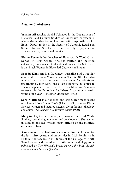## *Notes on Contributors*

**Yasmin Ali** teaches Social Sciences in the Department of Historical and Cultural Studies at Lancashire Polytechnic, where she is also Senior Lecturer with responsibility for Equal Opportunities in the faculty of Cultural, Legal and Social Studies. She has written a variety of papers and articles on race, culture and politics.

**Elaine Foster** is headteacher of Handsworth Wood Girls' School in Birmingham. She has written and lectured extensively on a range of educational issues. Her MA thesis is on 'Black Women in Black-led Churches in Britain'.

**Saeeda Khanum** is a freelance journalist and a regular contributor to *New Statesman and Society.* She has also worked as a researcher and interviewer for television programmes. Her work has given extensive coverage to various aspects of the lives of British Muslims. She was runner-up in the Periodical Publishers Association Awards, writer of the year (Consumer Magazines) 1992.

**Sara Maitland** is a novelist, and critic. Her most recent novel was *Three Times Table* (Chatto 1990; Virago 1991). She has written and lectured extensively in feminist theology and edited *The Rushdie File* (Fourth Estate 1990).

**Maryam Poya** is an Iranian, a researcher in Third World Studies, specializing in women and development. She teaches in London and has written many articles on the political economy of Iran.

**Ann Rossiter** is an Irish woman who has lived in London for the last thirty years, and an activist in Irish Feminism in Britain. She teaches Irish Studies at the College of North West London and has edited a forthcoming anthology to be published by The Women's Press, *Beyond the Pale: British Feminism and he Irish Question.*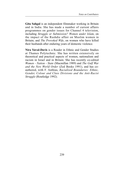**Gita Sahgal** is an independent filmmaker working in Britain and in India. She has made a number of current affairs programmes on gender issues for Channel 4 television, including *Struggle or Submission? Women under Islam*, on the impact of the Rushdie affair on Muslim women in Britain; and *The Provoked Wife*, on women who have killed their husbands after enduring years of domestic violence.

**Nira Yuval-Davis** is a Reader in Ethnic and Gender Studies at Thames Polytechnic. She has written extensively on theoretical and practical aspects of women, nationalism and racism in Israel and in Britain. She has recently co-edited *Women - Nation - State* (Macmillan 1989) and *The Gulf War and the New World Order* (Zed Books 1991), and has coauthored, with F. Anthias, *Racialized Boundaries: Ethnic, Gender, Colour and Class Divisions and the Anti-Racist Struggle* (Routledge 1992).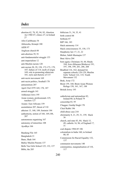### *Index*

abortion 62, 78, 92, 94, 95; Abortion Act 1968 47; clinics 27; in Ireland 27 Afro-Caribbeans 54 Ahluwalia, Kiranjit 180 AIDS 97 Anglican church 88 anti-abortion 39, 91 anti-fundamentalist struggle 153 anti-imperialism 12 anti-Muslim racism 120 anti-racism 20, 29, 158, 172-173, 179, 187; failure of 114; myth of origin 169; role in promoting ethnicism 101; style and rhetoric of 115 anti-racist movement 169 anti-racist politics, Southall 170 antisemitism 207 April 23rd 1979 169, 170, 187 armed struggle 141 Ashkenazi Jews 195 Asian women, professionals 125; teachers 127 Asians- East Africans 159 assimilation 207; threat of 110 atheism 13, 160, 189; feminist 184 authenticity, notion of 168, 169,188, 207 autonomous organising 167 autonomy of minorities 108 Ayodhya 166 Bandung File 165 Bangladesh 21 Bano, Shah 164 Batley Muslim Parents 137 Belle Vue Girls School 125, 132, 137 Bible, the 205

biblicism 31, 34, 35, 41 birth control 88 birthrate 87 BJP 166, 183 black autonomy 114 black consciousness 35, 158, 173 blasphemy law 17, 21, 22 Bleher, Sahib Mustaqim 137 Bnai Akiva 204 born again, Christians 10, 44; Hindu 184; Jews (Khazara Bitshuva) 191, 197, 198, 199, 201, 206, 208 Bradford 116, 162; demand for separate schools 128-129; Muslim Girls' School 122, 133; Youth Movement 132 Brah, Avtar 172 Brent 159, 168; Brent Asian Women Refuge 158, 161, 167, 188 British Jewry 193 catholicism and nationalism 82; Ireland 80; in Poland 79 censorship 83, 95 Chaggar, Gurdip Singh 170 Chief Rabbi 196 child abuse case 210 christianity 8, 21, 29, 31, 159; black 36 church, and state 83, 84; black 15, 49; catholic 16, 96; of England 17, 31 coal dispute 1984-85 106 colonialism in India 160; in Ireland 80, 85 Commission for Racial Equality 132, 137 communist movements 140 communities, marginalisation of 110, 117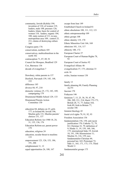community, Jewish (Kehila) 194; invention of 110; of women 119; leaders, male 108; pressure 126; leaders, Islam, basis for control of women 118; leaders, organic 104, 108; static notion of 111; in nonmetropolitan area 109; control 25, 211; claims of destroying culture 168 Congress party 176 conservatism, northern 105 conservatives, multiculturalism in the north 102 contraception 71, 87, 89, 91 Council for Mosques, Bradford 129 Cox, Baroness 136 decade of evangelism 7 Dewsbury, white parents in 137 Dezfooli, Parvaneh 139, 145, 148, 152 difference 185 divorce 84, 97, 210 domestic violence 25, 172, 183, 189; campaigning 179 Drummond Middle School 129, 133 Drummond Parents Action Committee 130 education 84; debates on 23; girls 177; in Ireland 80; Jewish 196; Muslim girls 131; Muslim parents' choices 131, 137 Education Reform Act 1988 18, 24, 31, 135, 136, 176 Education Reform act, parent power 179 education, religious 24 education, secular threat to muslims 133 empowerment 123, 126, 153, 186, 191, 206 enlightenment 11, 12 equal opportunities 26, 108, 167

escape from Iran 149 Established Church in Ireland 81 ethnic absolutism 108, 111, 112, 121 ethnic entrepreneurship 109 ethnic groups 108 ethnic identity 119, 170 Ethnic Minorities Unit 166, 168 ethnicism 101, 114, 117 ethnicity 100, 172 European Charter 27 European Court of Human Rights 78, 92 European Court of Justice 92 Evangelical Allianc 46 evangelicalism 37, 175; christian 33 exile 16 exiles, Iranian women 138 family 13 family planning 88; Family Planning Act 91 fascism 170 Fedayeen 146 feminism 7, 15, 25, 38, 39, 47, 98, 206, 209, 211, 214; black 172-173; British 28, 71, 77; Indian 164; Irish 89; Irish in Britain 77; secular 186 feminist theology 43 foetal civil rights 79, 91, 92, 93 Freedom Association 136 fundamentalism 156, 158; anti-racist justification 170; Catholic 72, 79, 82; Christian 32, 79; definition of 9; Hindu 11, 19, 159, 160, 166, 175; international links 19; Jewish 10, 191, 198; Khomeinism 11; Muslim 32, 116, 159; neofundamentalist Christian 44; personal law 165; Protestant 72; Sikh 11, 165, 171, 173, 175; Third World 11

fundamentalist groups 175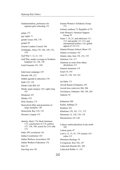fundamentalists, preference for separate girls schooling 131

gangs 173 gay rights 71 gender issues 160, 178 gospel 59 Greater London Council 166 Grehdaghi, Alma 139, 146, 149, 153, 154 Gulf War 7, 12, 21, 116 Gulf War, media coverage in Northern England 116, 128, 138 Gush Emunim 191, 199 halal meat campaign 129 Hassids 198, 212 hidden agenda in education 136 hijab 122, 124 Hindu Code Bill 163 Hindu, legal category 163; right-wing 167 Hinduism 167 Hindus 159 Holy Smokes 173 Honeyford affair and promotion of seige mentality 130 Honeyford, Ray 129, 133 Hussain, Liaquat 133

identity, black 174; black feminists 173; construction of 172; politics 157, 158, 188; search for 214; sikh 173 India 189; secularism 161 Indian Constitution 163 Indian Workers Association 169 Indian Workers Federation 178 Iran 19 Iran-Iraq war 143

Iranian Women's Solidarity Group 151 Ireland, northem 73; Republic of 79 Irish Women's Abortion Support Group 78 Islam 7, 10, 21; and ethnicism 111- 113; and gender 111-113; and international politics 116; global appeal of 112-113 Islamia Primary School, Brent 133 Islamic revolution 142 Islamic state, Iran 138, 152, 155 Islamism 114, 117 Islamism as route from ethnic absolutism 113 Islamist feminism 119 Israel 10, 193 izzat 23, 130, 134, 181 Jat Sikhs 171 Jewish Board of Deputies 195

Jewish laws (mitzvot) 204, 206 Jewishness, Orthodox 198, 199, 203 Judaism 10

Kahanism 200 Kalim, Siddiqui 23 Kashmir 162 Khalistan 159, 161, 171, 175 Khomeini 12, 138, 139, 155 Khomeinism 141-144

Labour, multiculturalism in the north 102 Labour party 47 Left 8, 12, 15, 47, 179; Iranian 147; white 115 liberation theology 10 Livingstone, Ken 166, 167 Lubavitch Hassids 201, 202 Lubavitch Rebbe 11, 191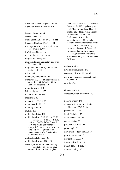Lubavitch women's organization 191 Lubavitch Youth movement 215 Maastricht summit 94 Mahabharata 183 Mana Sarabi 139, 145, 147, 154, 155 Mandana Hendessi 139, 144, 151 marriage 87, 126, 210; and education 125; arranged 209 McWhirter, Norris 136 men in black-led churches 65 migrant aristocracy 103 migrants, to East Lancashire and West Yorkshire 104 migration, to the north, South Asian patterns of 103 mikve 205 miners, styereotypes of 107 Minorities 11, 158; children's needs in education 134; in India 160; in Iran 145; religious 160 minority women 214 Mirza, Nighat 122, 123 modernisation 90, 139 modernism 32 modernity 8, 11, 33, 86 moral majority 11, 37 moral right 27, 29 mullahs 101 multicultural state 102 multiculturalism 7, 13, 19, 20, 26, 29, 114, 117, 121, 158, 161, 162, 176, 188; and Bradford City Council 129; and funding of women's groups 167; impact of in Northern England 101; legitimation of fundamentalism 167; static view of communities 107 multiculturalist policy 185 multiculturalist state 108, 120 Muslim, as definition of community 113, 119; ballot on schools 132; communities, Northern England

100; girls, control of 128; Muslim Institute, the 112; legal category 163; Muslim Manifesto 112, 113; middle class 110; Muslim Parents Association 132; Muslim Parliament 23; schools, consultation on 132; schools, demand for voluntary aided status 132; vote 164; women 100; women and acts of defiance 118; women and domestic violence 118, 120; women and religious observance 185; Muslim Women's Bill 164

nationalism 8, 82 nationalist movements 140 neo-evangelicalism 11, 34, 37 neo-evangelicalism, construction of women 40 new right 34

Orientalism 100 orthodoxy, break away from 213

Pahalvi dynasty 140 Parental Alliance for Choice in Education (PACE) 136 parliament 17, 194 Patel, Abdullah 132 Patel, Pragna 173-174 pentacostalism 63 personal law, India 163 pornography 39 Prevention of Terrorism Act 74 pro-life movement 27 Project Seed 202, 205 Protestantism 9, 10, 35 Punjab 159, 162, 165, 171 Purewal, Balraj 170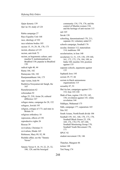Qajar dynasty 139

Qur'an 10; study of 124 Rabia campaign 27 Race Equality Unit 168 race, ideology of 102 race relations bodies 103 racism 15, 19, 29, 58, 170, 173 racism, absence of 125 racism, anti-lrish 73 racism, as hegemonic culture, antimuslim 9; institutionalised in Bradford 130; popular in Bradford 130 radical right 40, 44 Rama 166, 182 Ramayana 166, 182 Ramjanmabhumi 166, 175 rape victim, Irish 94 Rashtriya Swayamsevak Sangh, the 165 Rastafarianism 62 referendum 92 refuge 25, 210; Asian 26; cultural difference 167 refugee status, campaign for 28, 152 refugees, Jewish 195 religion, critique of 173; and state in Britain 16 religious orthodoxy 10 repression, effects of 150 reproductive rights 26 Rescue 39 revivalism, Christian 31 revivalism, Hindu 165 Robinson, Mary 89, 92, 98 Rushdie affair, see the "Satanic Verses"

Satanic Verses 9, 18, 19, 22, 25, 32, 100, 128; and the beseiged

community 134, 174, 176; and the control of Muslim women 134; and the heritage of anti-racism 115 sati 165 Savak 138 schooling, denominational 178, 211; separate 24; voluntary aided 23 schools campaign, Southall 176 secular, feminist 112; materialism 114; traditions 188 secularisation, in Iran 140 secularism 12, 31, 119, 158, 159-160, 161, 172, 175, 176, 184, 189; in India 160; muslim 164; position against 135 separate schools, arguments against 135 Sephardi Jews 195 sexism 29, 57, 66 sexism in black autonomous organisations 115 sexuality 87, 91 Sha'ria law, campaigns against 151- 152; Iran 143-144 Shah of Iran, regime 138-139, 142, 156; revolution against 141; white revolution 144 Siddique, Muhamad 175 Sikh, campaign 177; separatism 165 Sita 182 South Asians, North/South divide 106 Southall 159, 161, 168, 170, 173, 178; Southall Black Sisters 25, 158, 169, 176, 178-179, 187-188; Southall Monitoring Group 178; Southall Youth Movement 170, 171 SPUC 92 student movement 138, 146 Thatcher, Margaret 46

torture 148 Toti Nung 174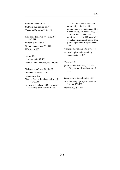tradition, invention of 174 tradition, purification of 184 Treaty on European Union 94

ultra orthodox Jews 191, 196, 197, 207, 211 uniform civil code 164 United Synagogues 197, 202 USA 8, 10, 193

veiling 154 virginity 144-145, 155 Vishwa Hindu Parishad, the 165, 165

Well-woman Centre, Dublin 92 Whitehouse, Mary 18, 40 wife, dutiful 182 Women Against Fundamentalism 15, 78, 176, 189 women, and Judaism 203; and socio-

economic development in Iran

141; and the effect of state and community collusion 117; autonomous black organising 161; Caribbean 15, 49; control of 7, 14; in minorities 13; Islam and ethnicism 111-113, 117; networks, of 121; political involvement 140; political prisoners 149; single 60, 209

women's movements 138, 146, 155 women's rights under attack by fundamentalists 147

Yeshivot 198

youth culture, male 113, 118, 162, 174; quasi-ethnic nationalim, of 116

Zakaria Girls School, Batley 133 zina law, campaign against Pakistan 28; Iran 151-152 zionism 10, 198, 207